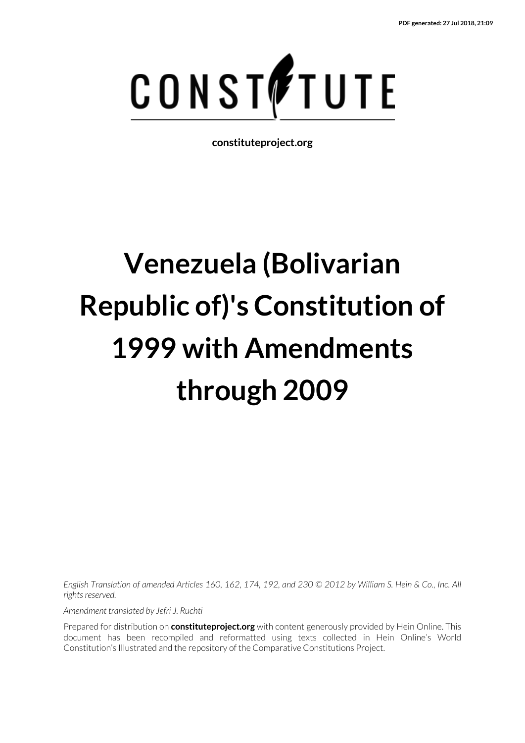

**constituteproject.org**

# **Venezuela (Bolivarian Republic of)'s Constitution of 1999 with Amendments through 2009**

*English Translation of amended Articles 160, 162, 174, 192, and 230 © 2012 by William S. Hein & Co., Inc. All rights reserved.*

*Amendment translated by Jefri J. Ruchti*

Prepared for distribution on **constituteproject.org** with content generously provided by Hein Online. This document has been recompiled and reformatted using texts collected in Hein Online's World Constitution's Illustrated and the repository of the Comparative Constitutions Project.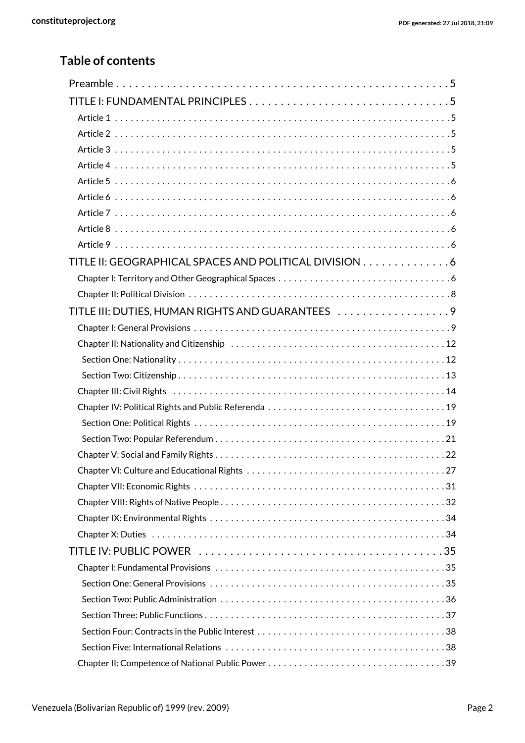### **Table of contents**

| TITLE I: FUNDAMENTAL PRINCIPLES5                       |
|--------------------------------------------------------|
|                                                        |
|                                                        |
|                                                        |
|                                                        |
|                                                        |
|                                                        |
|                                                        |
|                                                        |
|                                                        |
| TITLE II: GEOGRAPHICAL SPACES AND POLITICAL DIVISION 6 |
|                                                        |
|                                                        |
| TITLE III: DUTIES, HUMAN RIGHTS AND GUARANTEES 9       |
|                                                        |
|                                                        |
|                                                        |
|                                                        |
|                                                        |
|                                                        |
|                                                        |
|                                                        |
|                                                        |
| . 27                                                   |
|                                                        |
|                                                        |
|                                                        |
|                                                        |
|                                                        |
|                                                        |
|                                                        |
|                                                        |
|                                                        |
|                                                        |
|                                                        |
| Chapter II: Competence of National Public Power39      |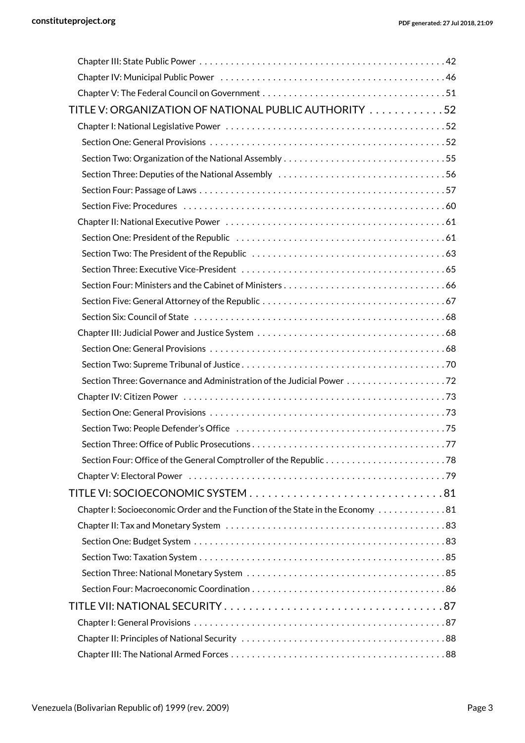| TITLE V: ORGANIZATION OF NATIONAL PUBLIC AUTHORITY 52                              |  |
|------------------------------------------------------------------------------------|--|
|                                                                                    |  |
|                                                                                    |  |
|                                                                                    |  |
| Section Three: Deputies of the National Assembly 56                                |  |
|                                                                                    |  |
|                                                                                    |  |
|                                                                                    |  |
|                                                                                    |  |
|                                                                                    |  |
|                                                                                    |  |
|                                                                                    |  |
|                                                                                    |  |
|                                                                                    |  |
|                                                                                    |  |
|                                                                                    |  |
|                                                                                    |  |
|                                                                                    |  |
|                                                                                    |  |
|                                                                                    |  |
|                                                                                    |  |
|                                                                                    |  |
|                                                                                    |  |
|                                                                                    |  |
|                                                                                    |  |
| 81. Chapter I: Socioeconomic Order and the Function of the State in the Economy 81 |  |
|                                                                                    |  |
|                                                                                    |  |
|                                                                                    |  |
|                                                                                    |  |
|                                                                                    |  |
|                                                                                    |  |
|                                                                                    |  |
|                                                                                    |  |
|                                                                                    |  |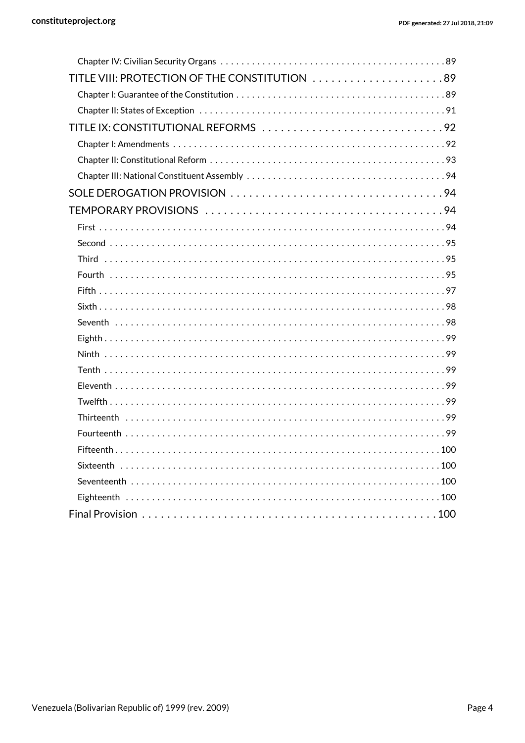| TITLE VIII: PROTECTION OF THE CONSTITUTION 89 |
|-----------------------------------------------|
|                                               |
|                                               |
|                                               |
|                                               |
|                                               |
|                                               |
|                                               |
|                                               |
|                                               |
|                                               |
|                                               |
|                                               |
|                                               |
|                                               |
|                                               |
|                                               |
|                                               |
|                                               |
|                                               |
|                                               |
|                                               |
|                                               |
|                                               |
|                                               |
|                                               |
|                                               |
|                                               |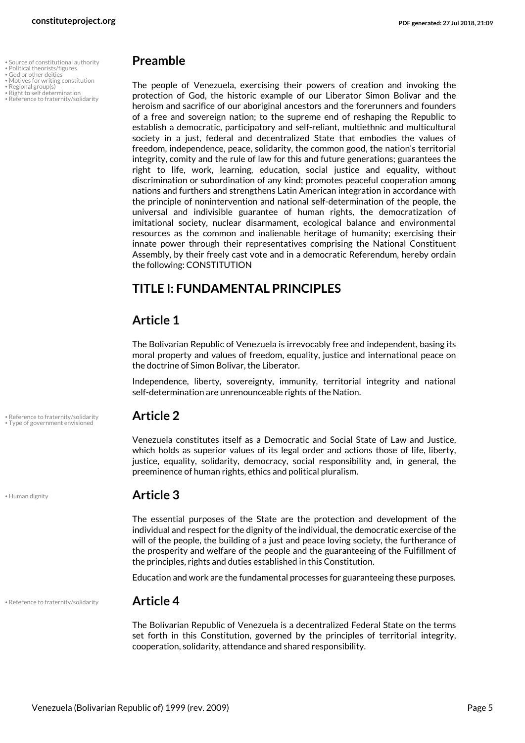- Source of constitutional authority **Preamble**
- 
- Political theorists/figures God or other deities
- Motives for writing constitution
- Regional group(s) Right to self determination
- Reference to fraternity/solidarity

<span id="page-4-0"></span>The people of Venezuela, exercising their powers of creation and invoking the protection of God, the historic example of our Liberator Simon Bolivar and the heroism and sacrifice of our aboriginal ancestors and the forerunners and founders of a free and sovereign nation; to the supreme end of reshaping the Republic to establish a democratic, participatory and self-reliant, multiethnic and multicultural society in a just, federal and decentralized State that embodies the values of freedom, independence, peace, solidarity, the common good, the nation's territorial integrity, comity and the rule of law for this and future generations; guarantees the right to life, work, learning, education, social justice and equality, without discrimination or subordination of any kind; promotes peaceful cooperation among nations and furthers and strengthens Latin American integration in accordance with the principle of nonintervention and national self-determination of the people, the universal and indivisible guarantee of human rights, the democratization of imitational society, nuclear disarmament, ecological balance and environmental resources as the common and inalienable heritage of humanity; exercising their innate power through their representatives comprising the National Constituent Assembly, by their freely cast vote and in a democratic Referendum, hereby ordain the following: CONSTITUTION

### <span id="page-4-1"></span>**TITLE I: FUNDAMENTAL PRINCIPLES**

### <span id="page-4-2"></span>**Article 1**

The Bolivarian Republic of Venezuela is irrevocably free and independent, basing its moral property and values of freedom, equality, justice and international peace on the doctrine of Simon Bolivar, the Liberator.

<span id="page-4-3"></span>Independence, liberty, sovereignty, immunity, territorial integrity and national self-determination are unrenounceable rights of the Nation.

• Reference to fraternity/solidarity **Article 2** • Type of government envisioned

Venezuela constitutes itself as a Democratic and Social State of Law and Justice, which holds as superior values of its legal order and actions those of life, liberty, justice, equality, solidarity, democracy, social responsibility and, in general, the preeminence of human rights, ethics and political pluralism.

### • Human dignity **Article 3**

<span id="page-4-4"></span>The essential purposes of the State are the protection and development of the individual and respect for the dignity of the individual, the democratic exercise of the will of the people, the building of a just and peace loving society, the furtherance of the prosperity and welfare of the people and the guaranteeing of the Fulfillment of the principles, rights and duties established in this Constitution.

<span id="page-4-5"></span>Education and work are the fundamental processes for guaranteeing these purposes.

• Reference to fraternity/solidarity **Article 4**

The Bolivarian Republic of Venezuela is a decentralized Federal State on the terms set forth in this Constitution, governed by the principles of territorial integrity, cooperation, solidarity, attendance and shared responsibility.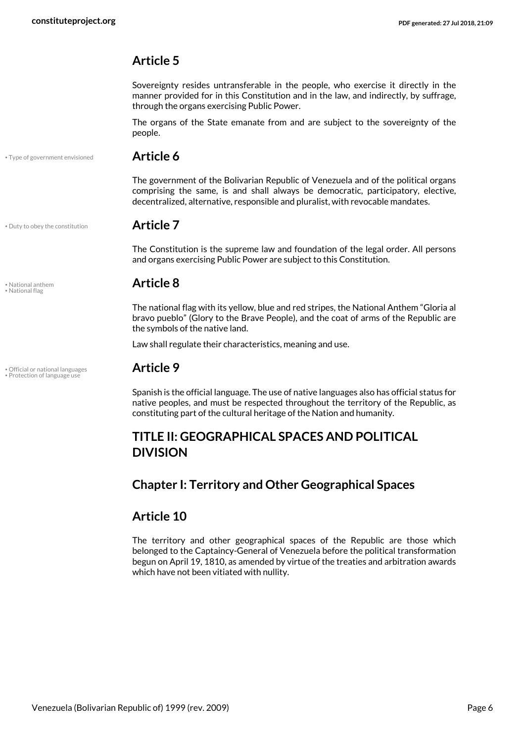<span id="page-5-0"></span>Sovereignty resides untransferable in the people, who exercise it directly in the manner provided for in this Constitution and in the law, and indirectly, by suffrage, through the organs exercising Public Power.

<span id="page-5-1"></span>The organs of the State emanate from and are subject to the sovereignty of the people.

• Type of government envisioned **Article 6**

The government of the Bolivarian Republic of Venezuela and of the political organs comprising the same, is and shall always be democratic, participatory, elective, decentralized, alternative, responsible and pluralist, with revocable mandates.

• Duty to obey the constitution **Article 7**

<span id="page-5-3"></span><span id="page-5-2"></span>The Constitution is the supreme law and foundation of the legal order. All persons and organs exercising Public Power are subject to this Constitution.

### • National anthem **Article 8** • National flag

The national flag with its yellow, blue and red stripes, the National Anthem "Gloria al bravo pueblo" (Glory to the Brave People), and the coat of arms of the Republic are the symbols of the native land.

<span id="page-5-4"></span>Law shall regulate their characteristics, meaning and use.

Spanish is the official language. The use of native languages also has official status for native peoples, and must be respected throughout the territory of the Republic, as constituting part of the cultural heritage of the Nation and humanity.

### <span id="page-5-5"></span>**TITLE II: GEOGRAPHICAL SPACES AND POLITICAL DIVISION**

### <span id="page-5-6"></span>**Chapter I: Territory and Other Geographical Spaces**

### **Article 10**

The territory and other geographical spaces of the Republic are those which belonged to the Captaincy-General of Venezuela before the political transformation begun on April 19, 1810, as amended by virtue of the treaties and arbitration awards which have not been vitiated with nullity.

• Official or national languages **Article 9** • Protection of language use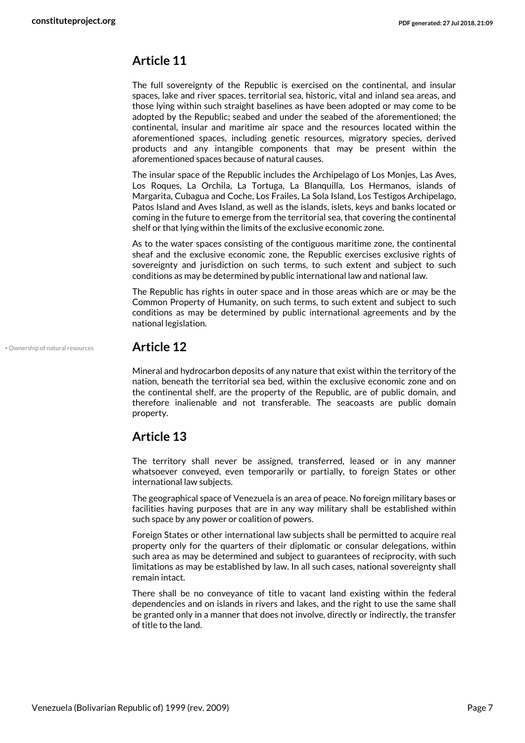The full sovereignty of the Republic is exercised on the continental, and insular spaces, lake and river spaces, territorial sea, historic, vital and inland sea areas, and those lying within such straight baselines as have been adopted or may come to be adopted by the Republic; seabed and under the seabed of the aforementioned; the continental, insular and maritime air space and the resources located within the aforementioned spaces, including genetic resources, migratory species, derived products and any intangible components that may be present within the aforementioned spaces because of natural causes.

The insular space of the Republic includes the Archipelago of Los Monjes, Las Aves, Los Roques, La Orchila, La Tortuga, La Blanquilla, Los Hermanos, islands of Margarita, Cubagua and Coche, Los Frailes, La Sola Island, Los Testigos Archipelago, Patos Island and Aves Island, as well as the islands, islets, keys and banks located or coming in the future to emerge from the territorial sea, that covering the continental shelf or that lying within the limits of the exclusive economic zone.

As to the water spaces consisting of the contiguous maritime zone, the continental sheaf and the exclusive economic zone, the Republic exercises exclusive rights of sovereignty and jurisdiction on such terms, to such extent and subject to such conditions as may be determined by public international law and national law.

The Republic has rights in outer space and in those areas which are or may be the Common Property of Humanity, on such terms, to such extent and subject to such conditions as may be determined by public international agreements and by the national legislation.

• Ownership of natural resources **Article 12**

Mineral and hydrocarbon deposits of any nature that exist within the territory of the nation, beneath the territorial sea bed, within the exclusive economic zone and on the continental shelf, are the property of the Republic, are of public domain, and therefore inalienable and not transferable. The seacoasts are public domain property.

### **Article 13**

The territory shall never be assigned, transferred, leased or in any manner whatsoever conveyed, even temporarily or partially, to foreign States or other international law subjects.

The geographical space of Venezuela is an area of peace. No foreign military bases or facilities having purposes that are in any way military shall be established within such space by any power or coalition of powers.

Foreign States or other international law subjects shall be permitted to acquire real property only for the quarters of their diplomatic or consular delegations, within such area as may be determined and subject to guarantees of reciprocity, with such limitations as may be established by law. In all such cases, national sovereignty shall remain intact.

There shall be no conveyance of title to vacant land existing within the federal dependencies and on islands in rivers and lakes, and the right to use the same shall be granted only in a manner that does not involve, directly or indirectly, the transfer of title to the land.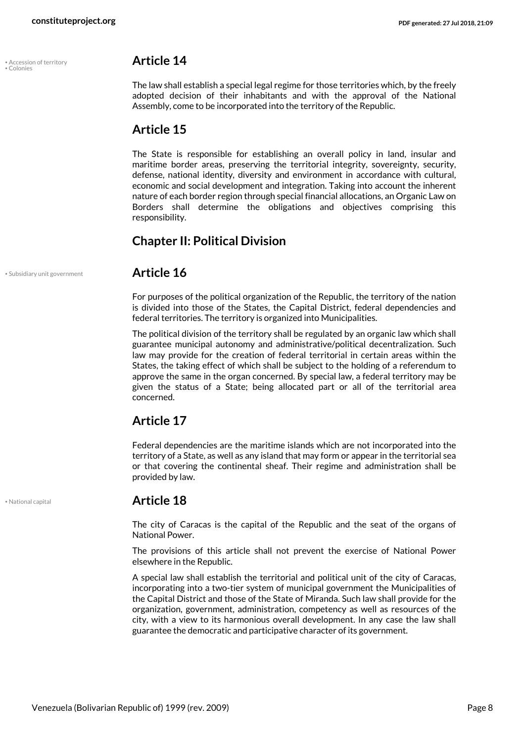The law shall establish a special legal regime for those territories which, by the freely adopted decision of their inhabitants and with the approval of the National Assembly, come to be incorporated into the territory of the Republic.

### **Article 15**

The State is responsible for establishing an overall policy in land, insular and maritime border areas, preserving the territorial integrity, sovereignty, security, defense, national identity, diversity and environment in accordance with cultural, economic and social development and integration. Taking into account the inherent nature of each border region through special financial allocations, an Organic Law on Borders shall determine the obligations and objectives comprising this responsibility.

### <span id="page-7-0"></span>**Chapter II: Political Division**

• Subsidiary unit government **Article 16**

For purposes of the political organization of the Republic, the territory of the nation is divided into those of the States, the Capital District, federal dependencies and federal territories. The territory is organized into Municipalities.

The political division of the territory shall be regulated by an organic law which shall guarantee municipal autonomy and administrative/political decentralization. Such law may provide for the creation of federal territorial in certain areas within the States, the taking effect of which shall be subject to the holding of a referendum to approve the same in the organ concerned. By special law, a federal territory may be given the status of a State; being allocated part or all of the territorial area concerned.

### **Article 17**

Federal dependencies are the maritime islands which are not incorporated into the territory of a State, as well as any island that may form or appear in the territorial sea or that covering the continental sheaf. Their regime and administration shall be provided by law.

### • National capital **Article 18**

The city of Caracas is the capital of the Republic and the seat of the organs of National Power.

The provisions of this article shall not prevent the exercise of National Power elsewhere in the Republic.

A special law shall establish the territorial and political unit of the city of Caracas, incorporating into a two-tier system of municipal government the Municipalities of the Capital District and those of the State of Miranda. Such law shall provide for the organization, government, administration, competency as well as resources of the city, with a view to its harmonious overall development. In any case the law shall guarantee the democratic and participative character of its government.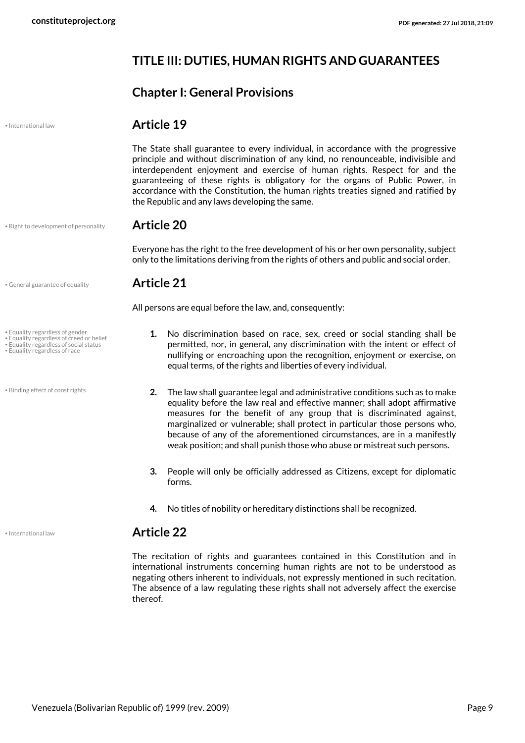### <span id="page-8-0"></span>**TITLE III: DUTIES, HUMAN RIGHTS AND GUARANTEES**

### <span id="page-8-1"></span>**Chapter I: General Provisions**

### • International law **Article 19**

The State shall guarantee to every individual, in accordance with the progressive principle and without discrimination of any kind, no renounceable, indivisible and interdependent enjoyment and exercise of human rights. Respect for and the guaranteeing of these rights is obligatory for the organs of Public Power, in accordance with the Constitution, the human rights treaties signed and ratified by the Republic and any laws developing the same.

### • Right to development of personality **Article 20**

Everyone has the right to the free development of his or her own personality, subject only to the limitations deriving from the rights of others and public and social order.

### • General guarantee of equality **Article 21**

All persons are equal before the law, and, consequently:

- **1.** No discrimination based on race, sex, creed or social standing shall be permitted, nor, in general, any discrimination with the intent or effect of nullifying or encroaching upon the recognition, enjoyment or exercise, on equal terms, of the rights and liberties of every individual.
	- **2.** The law shall guarantee legal and administrative conditions such as to make equality before the law real and effective manner; shall adopt affirmative measures for the benefit of any group that is discriminated against, marginalized or vulnerable; shall protect in particular those persons who, because of any of the aforementioned circumstances, are in a manifestly weak position; and shall punish those who abuse or mistreat such persons.
	- **3.** People will only be officially addressed as Citizens, except for diplomatic forms.
	- **4.** No titles of nobility or hereditary distinctions shall be recognized.

### • International law **Article 22**

The recitation of rights and guarantees contained in this Constitution and in international instruments concerning human rights are not to be understood as negating others inherent to individuals, not expressly mentioned in such recitation. The absence of a law regulating these rights shall not adversely affect the exercise thereof.

- 
- Equality regardless of gender Equality regardless of creed or belief Equality regardless of social status
- Equality regardless of race
- Binding effect of const rights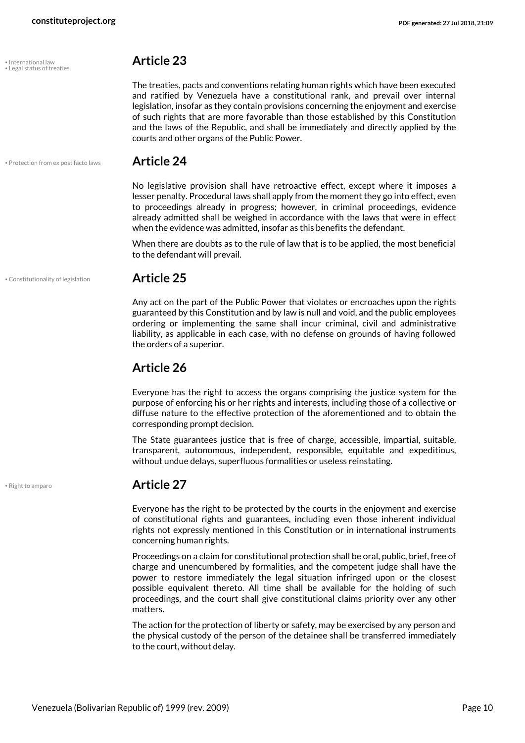The treaties, pacts and conventions relating human rights which have been executed and ratified by Venezuela have a constitutional rank, and prevail over internal legislation, insofar as they contain provisions concerning the enjoyment and exercise of such rights that are more favorable than those established by this Constitution and the laws of the Republic, and shall be immediately and directly applied by the courts and other organs of the Public Power.

• Protection from ex post facto laws **Article 24**

No legislative provision shall have retroactive effect, except where it imposes a lesser penalty. Procedural laws shall apply from the moment they go into effect, even to proceedings already in progress; however, in criminal proceedings, evidence already admitted shall be weighed in accordance with the laws that were in effect when the evidence was admitted, insofar as this benefits the defendant.

When there are doubts as to the rule of law that is to be applied, the most beneficial to the defendant will prevail.

• Constitutionality of legislation **Article 25**

Any act on the part of the Public Power that violates or encroaches upon the rights guaranteed by this Constitution and by law is null and void, and the public employees ordering or implementing the same shall incur criminal, civil and administrative liability, as applicable in each case, with no defense on grounds of having followed the orders of a superior.

### **Article 26**

Everyone has the right to access the organs comprising the justice system for the purpose of enforcing his or her rights and interests, including those of a collective or diffuse nature to the effective protection of the aforementioned and to obtain the corresponding prompt decision.

The State guarantees justice that is free of charge, accessible, impartial, suitable, transparent, autonomous, independent, responsible, equitable and expeditious, without undue delays, superfluous formalities or useless reinstating.

### • Right to amparo **Article 27**

Everyone has the right to be protected by the courts in the enjoyment and exercise of constitutional rights and guarantees, including even those inherent individual rights not expressly mentioned in this Constitution or in international instruments concerning human rights.

Proceedings on a claim for constitutional protection shall be oral, public, brief, free of charge and unencumbered by formalities, and the competent judge shall have the power to restore immediately the legal situation infringed upon or the closest possible equivalent thereto. All time shall be available for the holding of such proceedings, and the court shall give constitutional claims priority over any other matters.

The action for the protection of liberty or safety, may be exercised by any person and the physical custody of the person of the detainee shall be transferred immediately to the court, without delay.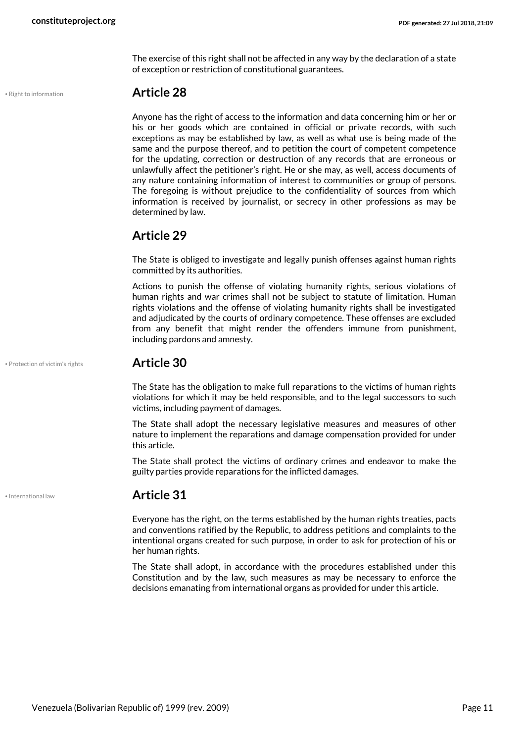The exercise of this right shall not be affected in any way by the declaration of a state of exception or restriction of constitutional guarantees.

### • Right to information **Article 28**

Anyone has the right of access to the information and data concerning him or her or his or her goods which are contained in official or private records, with such exceptions as may be established by law, as well as what use is being made of the same and the purpose thereof, and to petition the court of competent competence for the updating, correction or destruction of any records that are erroneous or unlawfully affect the petitioner's right. He or she may, as well, access documents of any nature containing information of interest to communities or group of persons. The foregoing is without prejudice to the confidentiality of sources from which information is received by journalist, or secrecy in other professions as may be determined by law.

### **Article 29**

The State is obliged to investigate and legally punish offenses against human rights committed by its authorities.

Actions to punish the offense of violating humanity rights, serious violations of human rights and war crimes shall not be subject to statute of limitation. Human rights violations and the offense of violating humanity rights shall be investigated and adjudicated by the courts of ordinary competence. These offenses are excluded from any benefit that might render the offenders immune from punishment, including pardons and amnesty.

### • Protection of victim's rights **Article 30**

The State has the obligation to make full reparations to the victims of human rights violations for which it may be held responsible, and to the legal successors to such victims, including payment of damages.

The State shall adopt the necessary legislative measures and measures of other nature to implement the reparations and damage compensation provided for under this article.

The State shall protect the victims of ordinary crimes and endeavor to make the guilty parties provide reparations for the inflicted damages.

### • International law **Article 31**

Everyone has the right, on the terms established by the human rights treaties, pacts and conventions ratified by the Republic, to address petitions and complaints to the intentional organs created for such purpose, in order to ask for protection of his or her human rights.

The State shall adopt, in accordance with the procedures established under this Constitution and by the law, such measures as may be necessary to enforce the decisions emanating from international organs as provided for under this article.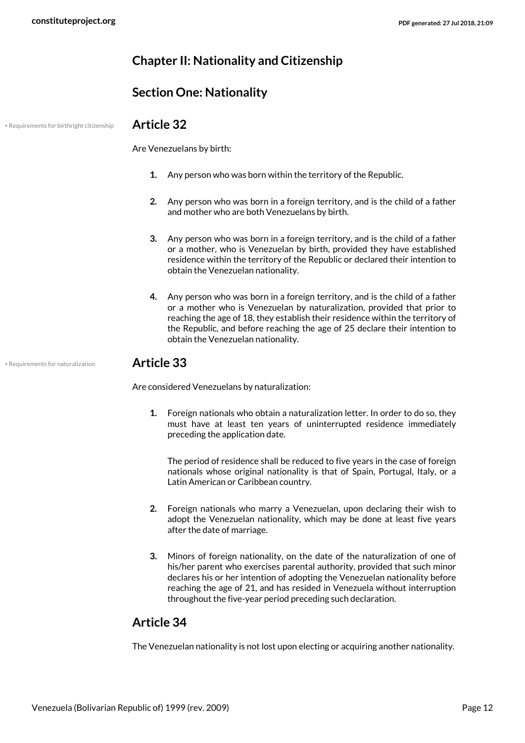### <span id="page-11-0"></span>**Chapter II: Nationality and Citizenship**

### <span id="page-11-1"></span>**Section One: Nationality**

• Requirements for birthright citizenship **Article 32**

Are Venezuelans by birth:

- **1.** Any person who was born within the territory of the Republic.
- **2.** Any person who was born in a foreign territory, and is the child of a father and mother who are both Venezuelans by birth.
- **3.** Any person who was born in a foreign territory, and is the child of a father or a mother, who is Venezuelan by birth, provided they have established residence within the territory of the Republic or declared their intention to obtain the Venezuelan nationality.
- **4.** Any person who was born in a foreign territory, and is the child of a father or a mother who is Venezuelan by naturalization, provided that prior to reaching the age of 18, they establish their residence within the territory of the Republic, and before reaching the age of 25 declare their intention to obtain the Venezuelan nationality.

### • Requirements for naturalization **Article 33**

Are considered Venezuelans by naturalization:

**1.** Foreign nationals who obtain a naturalization letter. In order to do so, they must have at least ten years of uninterrupted residence immediately preceding the application date.

The period of residence shall be reduced to five years in the case of foreign nationals whose original nationality is that of Spain, Portugal, Italy, or a Latin American or Caribbean country.

- **2.** Foreign nationals who marry a Venezuelan, upon declaring their wish to adopt the Venezuelan nationality, which may be done at least five years after the date of marriage.
- **3.** Minors of foreign nationality, on the date of the naturalization of one of his/her parent who exercises parental authority, provided that such minor declares his or her intention of adopting the Venezuelan nationality before reaching the age of 21, and has resided in Venezuela without interruption throughout the five-year period preceding such declaration.

### **Article 34**

The Venezuelan nationality is not lost upon electing or acquiring another nationality.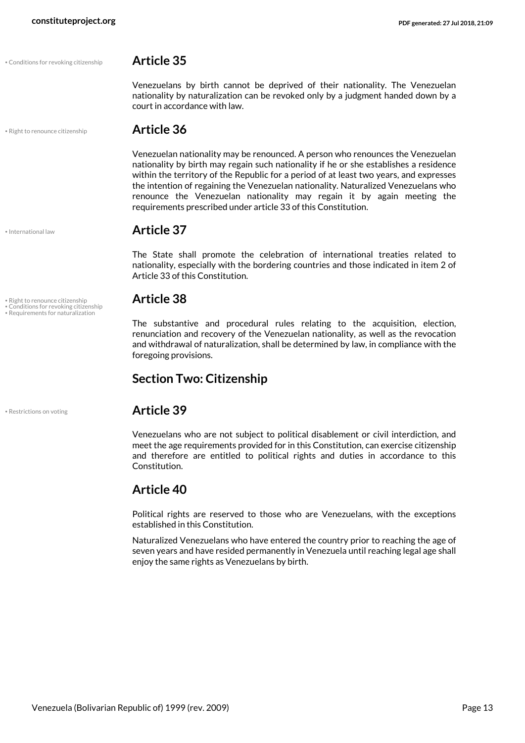• Conditions for revoking citizenship **Article 35**

Venezuelans by birth cannot be deprived of their nationality. The Venezuelan nationality by naturalization can be revoked only by a judgment handed down by a court in accordance with law.

• Right to renounce citizenship **Article 36**

Venezuelan nationality may be renounced. A person who renounces the Venezuelan nationality by birth may regain such nationality if he or she establishes a residence within the territory of the Republic for a period of at least two years, and expresses the intention of regaining the Venezuelan nationality. Naturalized Venezuelans who renounce the Venezuelan nationality may regain it by again meeting the requirements prescribed under article 33 of this Constitution.

### • International law **Article 37**

The State shall promote the celebration of international treaties related to nationality, especially with the bordering countries and those indicated in item 2 of Article 33 of this Constitution.

## • Right to renounce citizenship **Article 38** • Conditions for revoking citizenship • Requirements for naturalization

The substantive and procedural rules relating to the acquisition, election, renunciation and recovery of the Venezuelan nationality, as well as the revocation and withdrawal of naturalization, shall be determined by law, in compliance with the foregoing provisions.

### <span id="page-12-0"></span>**Section Two: Citizenship**

### • Restrictions on voting **Article 39**

Venezuelans who are not subject to political disablement or civil interdiction, and meet the age requirements provided for in this Constitution, can exercise citizenship and therefore are entitled to political rights and duties in accordance to this Constitution.

### **Article 40**

Political rights are reserved to those who are Venezuelans, with the exceptions established in this Constitution.

Naturalized Venezuelans who have entered the country prior to reaching the age of seven years and have resided permanently in Venezuela until reaching legal age shall enjoy the same rights as Venezuelans by birth.

Venezuela (Bolivarian Republic of) 1999 (rev. 2009) Page 13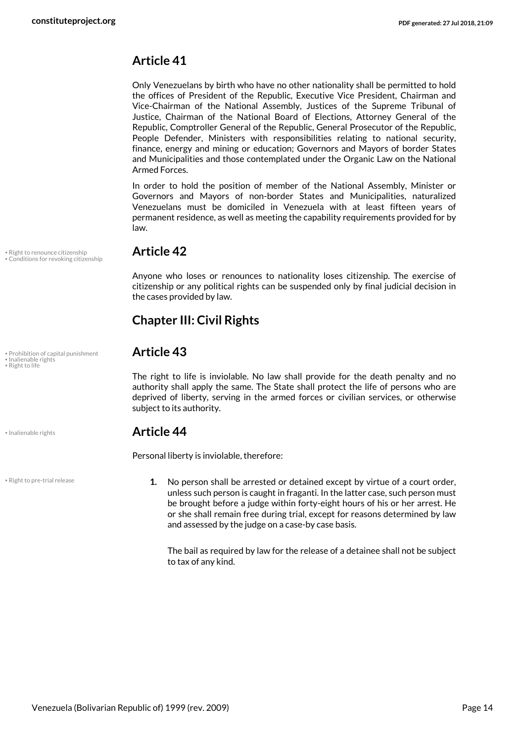Only Venezuelans by birth who have no other nationality shall be permitted to hold the offices of President of the Republic, Executive Vice President, Chairman and Vice-Chairman of the National Assembly, Justices of the Supreme Tribunal of Justice, Chairman of the National Board of Elections, Attorney General of the Republic, Comptroller General of the Republic, General Prosecutor of the Republic, People Defender, Ministers with responsibilities relating to national security, finance, energy and mining or education; Governors and Mayors of border States and Municipalities and those contemplated under the Organic Law on the National Armed Forces.

In order to hold the position of member of the National Assembly, Minister or Governors and Mayors of non-border States and Municipalities, naturalized Venezuelans must be domiciled in Venezuela with at least fifteen years of permanent residence, as well as meeting the capability requirements provided for by law.

Anyone who loses or renounces to nationality loses citizenship. The exercise of citizenship or any political rights can be suspended only by final judicial decision in the cases provided by law.

### <span id="page-13-0"></span>**Chapter III: Civil Rights**

The right to life is inviolable. No law shall provide for the death penalty and no authority shall apply the same. The State shall protect the life of persons who are deprived of liberty, serving in the armed forces or civilian services, or otherwise subject to its authority.

### • Inalienable rights **Article 44**

Personal liberty is inviolable, therefore:

**1.** No person shall be arrested or detained except by virtue of a court order, unless such person is caught in fraganti. In the latter case, such person must be brought before a judge within forty-eight hours of his or her arrest. He or she shall remain free during trial, except for reasons determined by law and assessed by the judge on a case-by case basis.

The bail as required by law for the release of a detainee shall not be subject to tax of any kind.

• Right to renounce citizenship **Article 42** • Conditions for revoking citizenship

• Prohibition of capital punishment **Article 43** • Inalienable rights

• Right to life

• Right to pre-trial release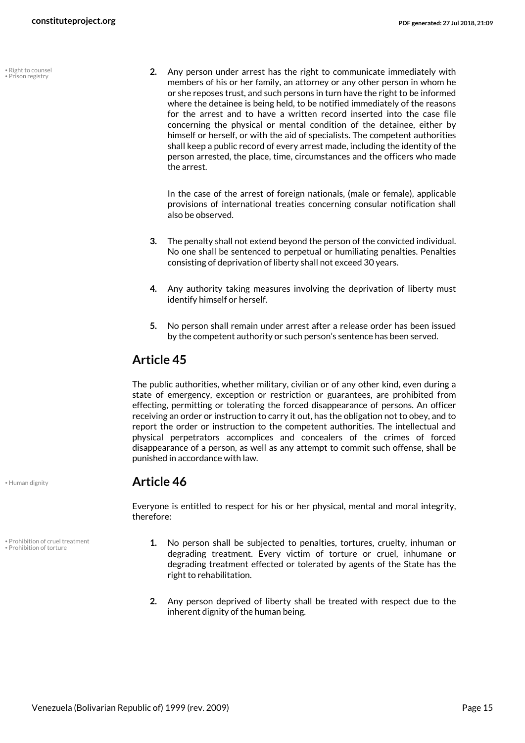• Right to counsel • Prison registry

**2.** Any person under arrest has the right to communicate immediately with members of his or her family, an attorney or any other person in whom he or she reposes trust, and such persons in turn have the right to be informed where the detainee is being held, to be notified immediately of the reasons for the arrest and to have a written record inserted into the case file concerning the physical or mental condition of the detainee, either by himself or herself, or with the aid of specialists. The competent authorities shall keep a public record of every arrest made, including the identity of the person arrested, the place, time, circumstances and the officers who made the arrest.

In the case of the arrest of foreign nationals, (male or female), applicable provisions of international treaties concerning consular notification shall also be observed.

- **3.** The penalty shall not extend beyond the person of the convicted individual. No one shall be sentenced to perpetual or humiliating penalties. Penalties consisting of deprivation of liberty shall not exceed 30 years.
- **4.** Any authority taking measures involving the deprivation of liberty must identify himself or herself.
- **5.** No person shall remain under arrest after a release order has been issued by the competent authority or such person's sentence has been served.

### **Article 45**

The public authorities, whether military, civilian or of any other kind, even during a state of emergency, exception or restriction or guarantees, are prohibited from effecting, permitting or tolerating the forced disappearance of persons. An officer receiving an order or instruction to carry it out, has the obligation not to obey, and to report the order or instruction to the competent authorities. The intellectual and physical perpetrators accomplices and concealers of the crimes of forced disappearance of a person, as well as any attempt to commit such offense, shall be punished in accordance with law.

### • Human dignity **Article 46**

Everyone is entitled to respect for his or her physical, mental and moral integrity, therefore:

- Prohibition of cruel treatment Prohibition of torture
- **1.** No person shall be subjected to penalties, tortures, cruelty, inhuman or degrading treatment. Every victim of torture or cruel, inhumane or degrading treatment effected or tolerated by agents of the State has the right to rehabilitation.
- **2.** Any person deprived of liberty shall be treated with respect due to the inherent dignity of the human being.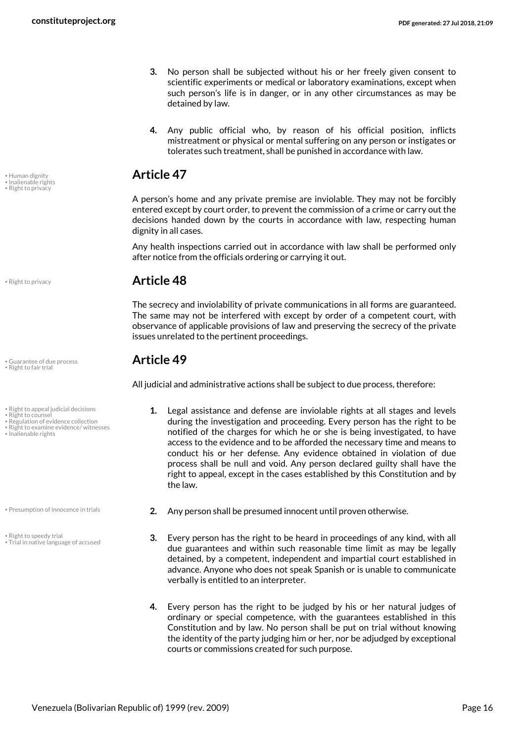- **3.** No person shall be subjected without his or her freely given consent to scientific experiments or medical or laboratory examinations, except when such person's life is in danger, or in any other circumstances as may be detained by law.
- **4.** Any public official who, by reason of his official position, inflicts mistreatment or physical or mental suffering on any person or instigates or tolerates such treatment, shall be punished in accordance with law.

### • Human dignity **Article 47**

A person's home and any private premise are inviolable. They may not be forcibly entered except by court order, to prevent the commission of a crime or carry out the decisions handed down by the courts in accordance with law, respecting human dignity in all cases.

Any health inspections carried out in accordance with law shall be performed only after notice from the officials ordering or carrying it out.

### • Right to privacy **Article 48**

The secrecy and inviolability of private communications in all forms are guaranteed. The same may not be interfered with except by order of a competent court, with observance of applicable provisions of law and preserving the secrecy of the private issues unrelated to the pertinent proceedings.

All judicial and administrative actions shall be subject to due process, therefore:

- **1.** Legal assistance and defense are inviolable rights at all stages and levels during the investigation and proceeding. Every person has the right to be notified of the charges for which he or she is being investigated, to have access to the evidence and to be afforded the necessary time and means to conduct his or her defense. Any evidence obtained in violation of due process shall be null and void. Any person declared guilty shall have the right to appeal, except in the cases established by this Constitution and by the law.
- Presumption of innocence in trials **2.** Any person shall be presumed innocent until proven otherwise.
	- **3.** Every person has the right to be heard in proceedings of any kind, with all due guarantees and within such reasonable time limit as may be legally detained, by a competent, independent and impartial court established in advance. Anyone who does not speak Spanish or is unable to communicate verbally is entitled to an interpreter.
	- **4.** Every person has the right to be judged by his or her natural judges of ordinary or special competence, with the guarantees established in this Constitution and by law. No person shall be put on trial without knowing the identity of the party judging him or her, nor be adjudged by exceptional courts or commissions created for such purpose.

• Guarantee of due process **Article 49** • Right to fair trial

• Right to privacy

- Right to appeal judicial decisions
- Right to counsel Regulation of evidence collection
- Right to examine evidence/ witnesses Inalienable rights
- 
- Right to speedy trial • Trial in native language of accused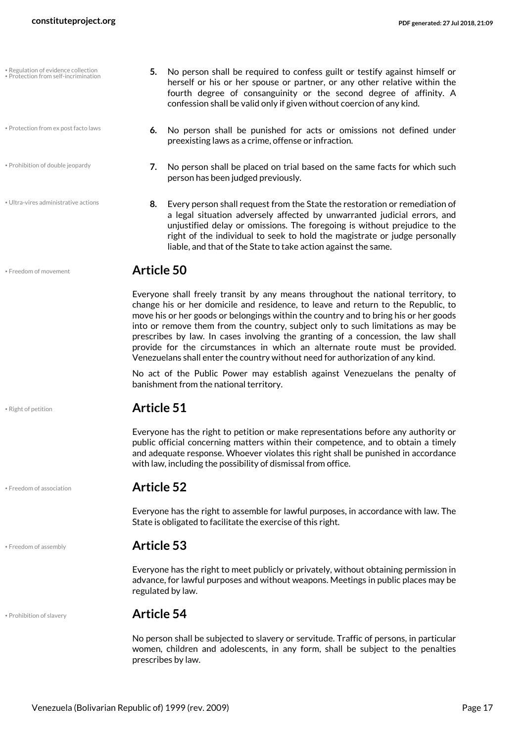• Regulation of evidence collection • Protection from self-incrimination

| • Protection in only self-lifer immedion | herself or his or her spouse or partner, or any other relative within the<br>fourth degree of consanguinity or the second degree of affinity. A<br>confession shall be valid only if given without coercion of any kind.                                                                                                                                                                                                                                                                                                                                                                                 |
|------------------------------------------|----------------------------------------------------------------------------------------------------------------------------------------------------------------------------------------------------------------------------------------------------------------------------------------------------------------------------------------------------------------------------------------------------------------------------------------------------------------------------------------------------------------------------------------------------------------------------------------------------------|
| · Protection from ex post facto laws     | No person shall be punished for acts or omissions not defined under<br>6.<br>preexisting laws as a crime, offense or infraction.                                                                                                                                                                                                                                                                                                                                                                                                                                                                         |
| · Prohibition of double jeopardy         | 7.<br>No person shall be placed on trial based on the same facts for which such<br>person has been judged previously.                                                                                                                                                                                                                                                                                                                                                                                                                                                                                    |
| · Ultra-vires administrative actions     | 8.<br>Every person shall request from the State the restoration or remediation of<br>a legal situation adversely affected by unwarranted judicial errors, and<br>unjustified delay or omissions. The foregoing is without prejudice to the<br>right of the individual to seek to hold the magistrate or judge personally<br>liable, and that of the State to take action against the same.                                                                                                                                                                                                               |
| · Freedom of movement                    | <b>Article 50</b>                                                                                                                                                                                                                                                                                                                                                                                                                                                                                                                                                                                        |
|                                          | Everyone shall freely transit by any means throughout the national territory, to<br>change his or her domicile and residence, to leave and return to the Republic, to<br>move his or her goods or belongings within the country and to bring his or her goods<br>into or remove them from the country, subject only to such limitations as may be<br>prescribes by law. In cases involving the granting of a concession, the law shall<br>provide for the circumstances in which an alternate route must be provided.<br>Venezuelans shall enter the country without need for authorization of any kind. |
|                                          | No act of the Public Power may establish against Venezuelans the penalty of<br>banishment from the national territory.                                                                                                                                                                                                                                                                                                                                                                                                                                                                                   |
| · Right of petition                      | <b>Article 51</b>                                                                                                                                                                                                                                                                                                                                                                                                                                                                                                                                                                                        |
|                                          | Everyone has the right to petition or make representations before any authority or<br>public official concerning matters within their competence, and to obtain a timely<br>and adequate response. Whoever violates this right shall be punished in accordance<br>with law, including the possibility of dismissal from office.                                                                                                                                                                                                                                                                          |
| · Freedom of association                 | <b>Article 52</b>                                                                                                                                                                                                                                                                                                                                                                                                                                                                                                                                                                                        |
|                                          | Everyone has the right to assemble for lawful purposes, in accordance with law. The<br>State is obligated to facilitate the exercise of this right.                                                                                                                                                                                                                                                                                                                                                                                                                                                      |
| • Freedom of assembly                    | <b>Article 53</b>                                                                                                                                                                                                                                                                                                                                                                                                                                                                                                                                                                                        |
|                                          | Everyone has the right to meet publicly or privately, without obtaining permission in<br>advance, for lawful purposes and without weapons. Meetings in public places may be<br>regulated by law.                                                                                                                                                                                                                                                                                                                                                                                                         |
| · Prohibition of slavery                 | <b>Article 54</b>                                                                                                                                                                                                                                                                                                                                                                                                                                                                                                                                                                                        |
|                                          | No person shall be subjected to slavery or servitude. Traffic of persons, in particular<br>women, children and adolescents, in any form, shall be subject to the penalties<br>prescribes by law.                                                                                                                                                                                                                                                                                                                                                                                                         |
|                                          |                                                                                                                                                                                                                                                                                                                                                                                                                                                                                                                                                                                                          |

**5.** No person shall be required to confess guilt or testify against himself or

Venezuela (Bolivarian Republic of) 1999 (rev. 2009) Page 17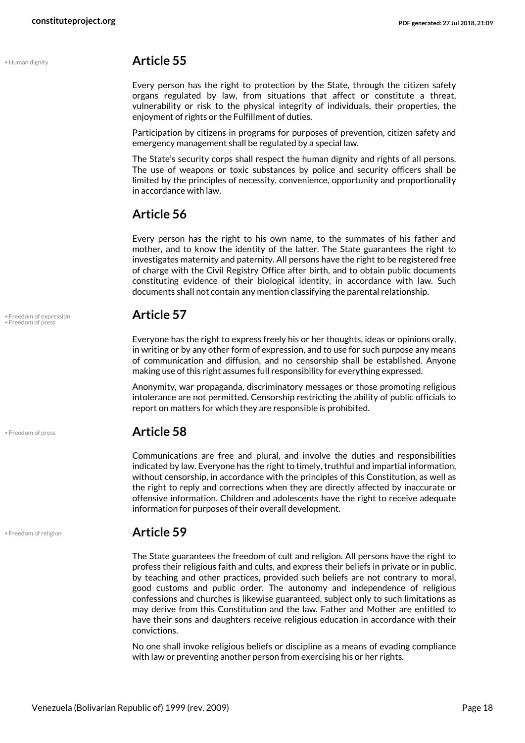### • Human dignity **Article 55**

Every person has the right to protection by the State, through the citizen safety organs regulated by law, from situations that affect or constitute a threat, vulnerability or risk to the physical integrity of individuals, their properties, the enjoyment of rights or the Fulfillment of duties.

Participation by citizens in programs for purposes of prevention, citizen safety and emergency management shall be regulated by a special law.

The State's security corps shall respect the human dignity and rights of all persons. The use of weapons or toxic substances by police and security officers shall be limited by the principles of necessity, convenience, opportunity and proportionality in accordance with law.

### **Article 56**

Every person has the right to his own name, to the summates of his father and mother, and to know the identity of the latter. The State guarantees the right to investigates maternity and paternity. All persons have the right to be registered free of charge with the Civil Registry Office after birth, and to obtain public documents constituting evidence of their biological identity, in accordance with law. Such documents shall not contain any mention classifying the parental relationship.

### • Freedom of expression **Article 57** • Freedom of press

Everyone has the right to express freely his or her thoughts, ideas or opinions orally, in writing or by any other form of expression, and to use for such purpose any means of communication and diffusion, and no censorship shall be established. Anyone making use of this right assumes full responsibility for everything expressed.

Anonymity, war propaganda, discriminatory messages or those promoting religious intolerance are not permitted. Censorship restricting the ability of public officials to report on matters for which they are responsible is prohibited.

### • Freedom of press **Article 58**

Communications are free and plural, and involve the duties and responsibilities indicated by law. Everyone has the right to timely, truthful and impartial information, without censorship, in accordance with the principles of this Constitution, as well as the right to reply and corrections when they are directly affected by inaccurate or offensive information. Children and adolescents have the right to receive adequate information for purposes of their overall development.

### • Freedom of religion **Article 59**

The State guarantees the freedom of cult and religion. All persons have the right to profess their religious faith and cults, and express their beliefs in private or in public, by teaching and other practices, provided such beliefs are not contrary to moral, good customs and public order. The autonomy and independence of religious confessions and churches is likewise guaranteed, subject only to such limitations as may derive from this Constitution and the law. Father and Mother are entitled to have their sons and daughters receive religious education in accordance with their convictions.

No one shall invoke religious beliefs or discipline as a means of evading compliance with law or preventing another person from exercising his or her rights.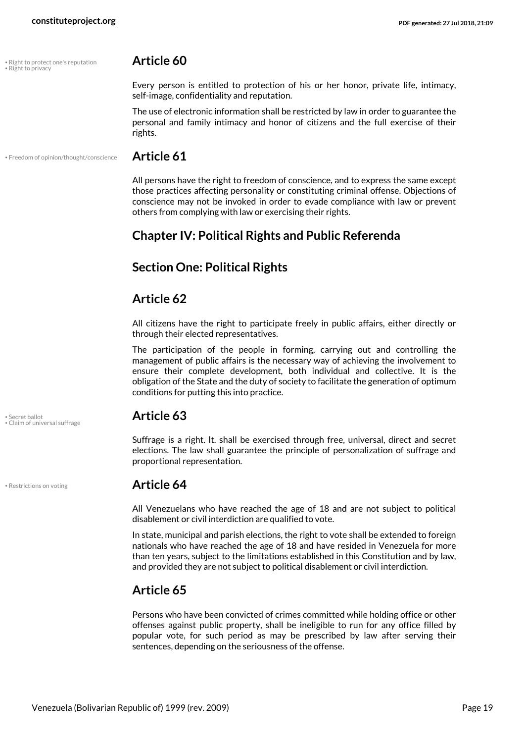• Right to protect one's reputation **Article 60** • Right to privacy

Every person is entitled to protection of his or her honor, private life, intimacy, self-image, confidentiality and reputation.

The use of electronic information shall be restricted by law in order to guarantee the personal and family intimacy and honor of citizens and the full exercise of their rights.

• Freedom of opinion/thought/conscience **Article 61**

All persons have the right to freedom of conscience, and to express the same except those practices affecting personality or constituting criminal offense. Objections of conscience may not be invoked in order to evade compliance with law or prevent others from complying with law or exercising their rights.

### <span id="page-18-0"></span>**Chapter IV: Political Rights and Public Referenda**

### <span id="page-18-1"></span>**Section One: Political Rights**

### **Article 62**

All citizens have the right to participate freely in public affairs, either directly or through their elected representatives.

The participation of the people in forming, carrying out and controlling the management of public affairs is the necessary way of achieving the involvement to ensure their complete development, both individual and collective. It is the obligation of the State and the duty of society to facilitate the generation of optimum conditions for putting this into practice.

Suffrage is a right. lt. shall be exercised through free, universal, direct and secret elections. The law shall guarantee the principle of personalization of suffrage and proportional representation.

### • Restrictions on voting **Article 64**

All Venezuelans who have reached the age of 18 and are not subject to political disablement or civil interdiction are qualified to vote.

In state, municipal and parish elections, the right to vote shall be extended to foreign nationals who have reached the age of 18 and have resided in Venezuela for more than ten years, subject to the limitations established in this Constitution and by law, and provided they are not subject to political disablement or civil interdiction.

### **Article 65**

Persons who have been convicted of crimes committed while holding office or other offenses against public property, shall be ineligible to run for any office filled by popular vote, for such period as may be prescribed by law after serving their sentences, depending on the seriousness of the offense.

• Secret ballot **Article 63** • Claim of universal suffrage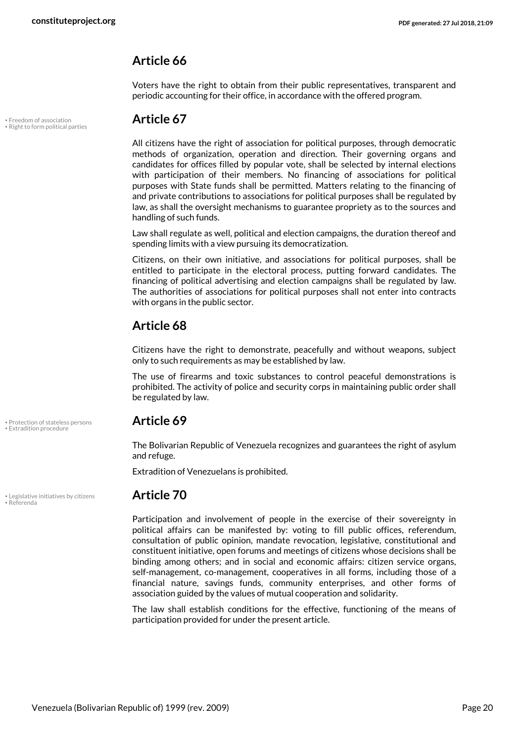Voters have the right to obtain from their public representatives, transparent and periodic accounting for their office, in accordance with the offered program.

### • Freedom of association **Article 67** • Right to form political parties

All citizens have the right of association for political purposes, through democratic methods of organization, operation and direction. Their governing organs and candidates for offices filled by popular vote, shall be selected by internal elections with participation of their members. No financing of associations for political purposes with State funds shall be permitted. Matters relating to the financing of and private contributions to associations for political purposes shall be regulated by law, as shall the oversight mechanisms to guarantee propriety as to the sources and handling of such funds.

Law shall regulate as well, political and election campaigns, the duration thereof and spending limits with a view pursuing its democratization.

Citizens, on their own initiative, and associations for political purposes, shall be entitled to participate in the electoral process, putting forward candidates. The financing of political advertising and election campaigns shall be regulated by law. The authorities of associations for political purposes shall not enter into contracts with organs in the public sector.

### **Article 68**

Citizens have the right to demonstrate, peacefully and without weapons, subject only to such requirements as may be established by law.

The use of firearms and toxic substances to control peaceful demonstrations is prohibited. The activity of police and security corps in maintaining public order shall be regulated by law.

The Bolivarian Republic of Venezuela recognizes and guarantees the right of asylum and refuge.

Extradition of Venezuelans is prohibited.

Participation and involvement of people in the exercise of their sovereignty in political affairs can be manifested by: voting to fill public offices, referendum, consultation of public opinion, mandate revocation, legislative, constitutional and constituent initiative, open forums and meetings of citizens whose decisions shall be binding among others; and in social and economic affairs: citizen service organs, self-management, co-management, cooperatives in all forms, including those of a financial nature, savings funds, community enterprises, and other forms of association guided by the values of mutual cooperation and solidarity.

The law shall establish conditions for the effective, functioning of the means of participation provided for under the present article.

• Protection of stateless persons **Article 69** • Extradition procedure

• Legislative initiatives by citizens **Article 70** • Referenda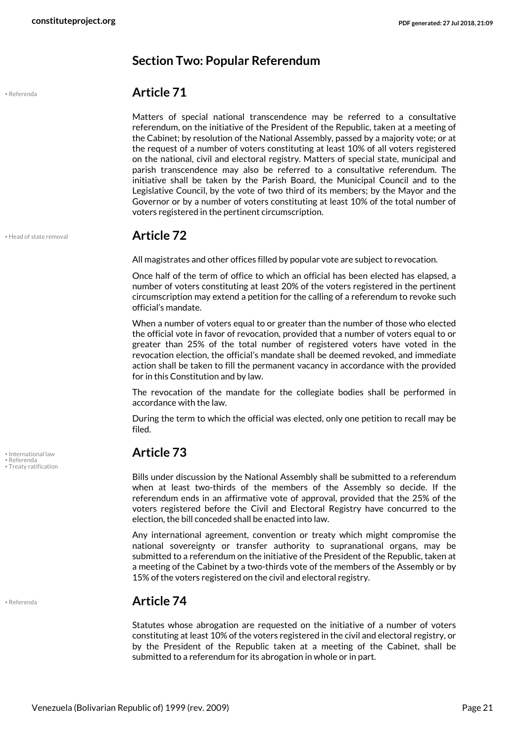### <span id="page-20-0"></span>**Section Two: Popular Referendum**

### • Referenda **Article 71**

Matters of special national transcendence may be referred to a consultative referendum, on the initiative of the President of the Republic, taken at a meeting of the Cabinet; by resolution of the National Assembly, passed by a majority vote; or at the request of a number of voters constituting at least 10% of all voters registered on the national, civil and electoral registry. Matters of special state, municipal and parish transcendence may also be referred to a consultative referendum. The initiative shall be taken by the Parish Board, the Municipal Council and to the Legislative Council, by the vote of two third of its members; by the Mayor and the Governor or by a number of voters constituting at least 10% of the total number of voters registered in the pertinent circumscription.

### • Head of state removal **Article 72**

All magistrates and other offices filled by popular vote are subject to revocation.

Once half of the term of office to which an official has been elected has elapsed, a number of voters constituting at least 20% of the voters registered in the pertinent circumscription may extend a petition for the calling of a referendum to revoke such official's mandate.

When a number of voters equal to or greater than the number of those who elected the official vote in favor of revocation, provided that a number of voters equal to or greater than 25% of the total number of registered voters have voted in the revocation election, the official's mandate shall be deemed revoked, and immediate action shall be taken to fill the permanent vacancy in accordance with the provided for in this Constitution and by law.

The revocation of the mandate for the collegiate bodies shall be performed in accordance with the law.

During the term to which the official was elected, only one petition to recall may be filed.

Bills under discussion by the National Assembly shall be submitted to a referendum when at least two-thirds of the members of the Assembly so decide. If the referendum ends in an affirmative vote of approval, provided that the 25% of the voters registered before the Civil and Electoral Registry have concurred to the election, the bill conceded shall be enacted into law.

Any international agreement, convention or treaty which might compromise the national sovereignty or transfer authority to supranational organs, may be submitted to a referendum on the initiative of the President of the Republic, taken at a meeting of the Cabinet by a two-thirds vote of the members of the Assembly or by 15% of the voters registered on the civil and electoral registry.

### • Referenda **Article 74**

Statutes whose abrogation are requested on the initiative of a number of voters constituting at least 10% of the voters registered in the civil and electoral registry, or by the President of the Republic taken at a meeting of the Cabinet, shall be submitted to a referendum for its abrogation in whole or in part.

• International law **Article 73** • Referenda

• Treaty ratification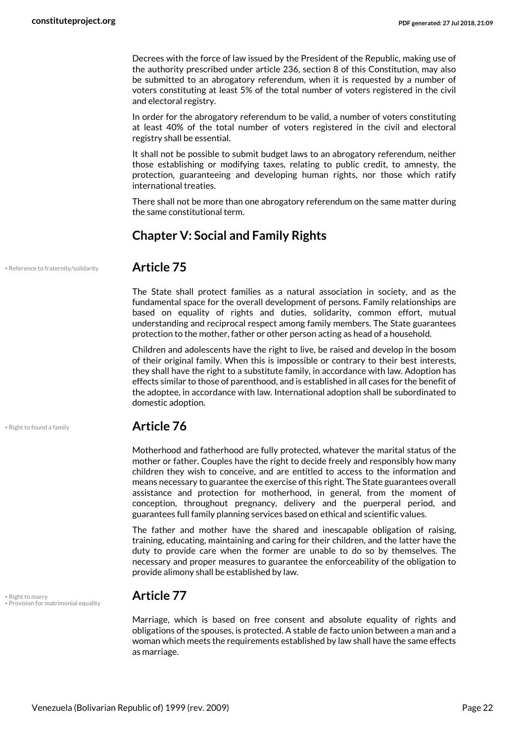Decrees with the force of law issued by the President of the Republic, making use of the authority prescribed under article 236, section 8 of this Constitution, may also be submitted to an abrogatory referendum, when it is requested by a number of voters constituting at least 5% of the total number of voters registered in the civil and electoral registry.

In order for the abrogatory referendum to be valid, a number of voters constituting at least 40% of the total number of voters registered in the civil and electoral registry shall be essential.

It shall not be possible to submit budget laws to an abrogatory referendum, neither those establishing or modifying taxes, relating to public credit, to amnesty, the protection, guaranteeing and developing human rights, nor those which ratify international treaties.

There shall not be more than one abrogatory referendum on the same matter during the same constitutional term.

### <span id="page-21-0"></span>**Chapter V: Social and Family Rights**

### • Reference to fraternity/solidarity **Article 75**

The State shall protect families as a natural association in society, and as the fundamental space for the overall development of persons. Family relationships are based on equality of rights and duties, solidarity, common effort, mutual understanding and reciprocal respect among family members. The State guarantees protection to the mother, father or other person acting as head of a household.

Children and adolescents have the right to live, be raised and develop in the bosom of their original family. When this is impossible or contrary to their best interests, they shall have the right to a substitute family, in accordance with law. Adoption has effects similar to those of parenthood, and is established in all cases for the benefit of the adoptee, in accordance with law. International adoption shall be subordinated to domestic adoption.

### • Right to found a family **Article 76**

Motherhood and fatherhood are fully protected, whatever the marital status of the mother or father. Couples have the right to decide freely and responsibly how many children they wish to conceive, and are entitled to access to the information and means necessary to guarantee the exercise of this right. The State guarantees overall assistance and protection for motherhood, in general, from the moment of conception, throughout pregnancy, delivery and the puerperal period, and guarantees full family planning services based on ethical and scientific values.

The father and mother have the shared and inescapable obligation of raising, training, educating, maintaining and caring for their children, and the latter have the duty to provide care when the former are unable to do so by themselves. The necessary and proper measures to guarantee the enforceability of the obligation to provide alimony shall be established by law.

• Right to marry<br>• Provision for matrimonial equality<br>• Provision for matrimonial equality

Marriage, which is based on free consent and absolute equality of rights and obligations of the spouses, is protected. A stable de facto union between a man and a woman which meets the requirements established by law shall have the same effects as marriage.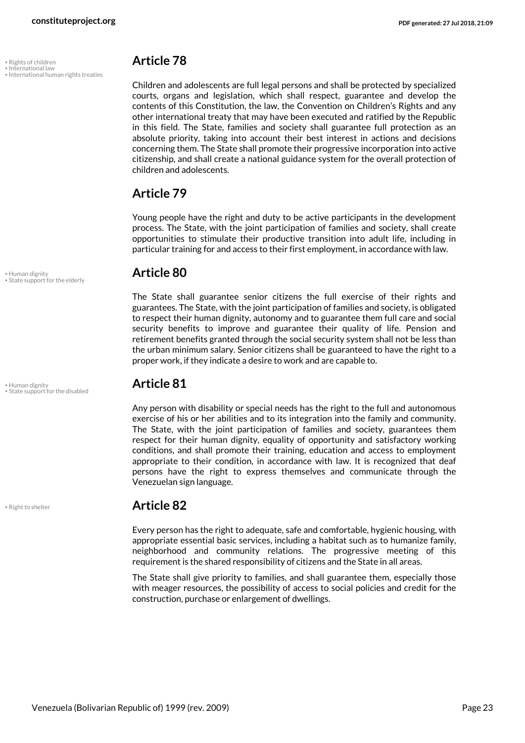# • Rights of children **Article 78**<br>• International law<br>• International human rights treaties

Children and adolescents are full legal persons and shall be protected by specialized courts, organs and legislation, which shall respect, guarantee and develop the contents of this Constitution, the law, the Convention on Children's Rights and any other international treaty that may have been executed and ratified by the Republic in this field. The State, families and society shall guarantee full protection as an absolute priority, taking into account their best interest in actions and decisions concerning them. The State shall promote their progressive incorporation into active citizenship, and shall create a national guidance system for the overall protection of children and adolescents.

### **Article 79**

Young people have the right and duty to be active participants in the development process. The State, with the joint participation of families and society, shall create opportunities to stimulate their productive transition into adult life, including in particular training for and access to their first employment, in accordance with law.

The State shall guarantee senior citizens the full exercise of their rights and guarantees. The State, with the joint participation of families and society, is obligated to respect their human dignity, autonomy and to guarantee them full care and social security benefits to improve and guarantee their quality of life. Pension and retirement benefits granted through the social security system shall not be less than the urban minimum salary. Senior citizens shall be guaranteed to have the right to a proper work, if they indicate a desire to work and are capable to.

Any person with disability or special needs has the right to the full and autonomous exercise of his or her abilities and to its integration into the family and community. The State, with the joint participation of families and society, guarantees them respect for their human dignity, equality of opportunity and satisfactory working conditions, and shall promote their training, education and access to employment appropriate to their condition, in accordance with law. It is recognized that deaf persons have the right to express themselves and communicate through the Venezuelan sign language.

### • Right to shelter **Article 82**

Every person has the right to adequate, safe and comfortable, hygienic housing, with appropriate essential basic services, including a habitat such as to humanize family, neighborhood and community relations. The progressive meeting of this requirement is the shared responsibility of citizens and the State in all areas.

The State shall give priority to families, and shall guarantee them, especially those with meager resources, the possibility of access to social policies and credit for the construction, purchase or enlargement of dwellings.

• Human dignity **Article 80** • State support for the elderly

• Human dignity **Article 81** • State support for the disabled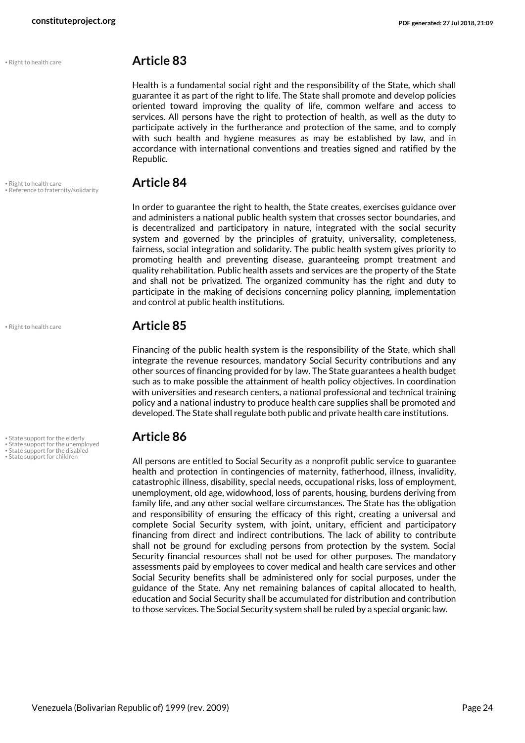### • Right to health care **Article 83**

Health is a fundamental social right and the responsibility of the State, which shall guarantee it as part of the right to life. The State shall promote and develop policies oriented toward improving the quality of life, common welfare and access to services. All persons have the right to protection of health, as well as the duty to participate actively in the furtherance and protection of the same, and to comply with such health and hygiene measures as may be established by law, and in accordance with international conventions and treaties signed and ratified by the Republic.

### • Right to health care **Article 84** • Reference to fraternity/solidarity

In order to guarantee the right to health, the State creates, exercises guidance over and administers a national public health system that crosses sector boundaries, and is decentralized and participatory in nature, integrated with the social security system and governed by the principles of gratuity, universality, completeness, fairness, social integration and solidarity. The public health system gives priority to promoting health and preventing disease, guaranteeing prompt treatment and quality rehabilitation. Public health assets and services are the property of the State and shall not be privatized. The organized community has the right and duty to participate in the making of decisions concerning policy planning, implementation and control at public health institutions.

### • Right to health care **Article 85**

Financing of the public health system is the responsibility of the State, which shall integrate the revenue resources, mandatory Social Security contributions and any other sources of financing provided for by law. The State guarantees a health budget such as to make possible the attainment of health policy objectives. In coordination with universities and research centers, a national professional and technical training policy and a national industry to produce health care supplies shall be promoted and developed. The State shall regulate both public and private health care institutions.

• State support for children **All persons are entitled to Social Security as a nonprofit public service to guarantee** health and protection in contingencies of maternity, fatherhood, illness, invalidity, catastrophic illness, disability, special needs, occupational risks, loss of employment, unemployment, old age, widowhood, loss of parents, housing, burdens deriving from family life, and any other social welfare circumstances. The State has the obligation and responsibility of ensuring the efficacy of this right, creating a universal and complete Social Security system, with joint, unitary, efficient and participatory financing from direct and indirect contributions. The lack of ability to contribute shall not be ground for excluding persons from protection by the system. Social Security financial resources shall not be used for other purposes. The mandatory assessments paid by employees to cover medical and health care services and other Social Security benefits shall be administered only for social purposes, under the guidance of the State. Any net remaining balances of capital allocated to health, education and Social Security shall be accumulated for distribution and contribution to those services. The Social Security system shall be ruled by a special organic law.

- State support for the elderly **Article 86** State support for the unemployed State support for the disabled
- 
- 
-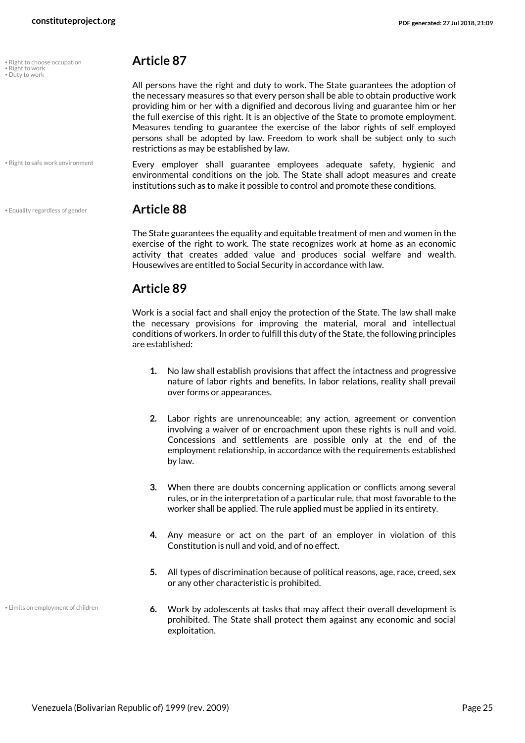• Duty to work

All persons have the right and duty to work. The State guarantees the adoption of the necessary measures so that every person shall be able to obtain productive work providing him or her with a dignified and decorous living and guarantee him or her the full exercise of this right. It is an objective of the State to promote employment. Measures tending to guarantee the exercise of the labor rights of self employed persons shall be adopted by law. Freedom to work shall be subject only to such restrictions as may be established by law.

Every employer shall guarantee employees adequate safety, hygienic and environmental conditions on the job. The State shall adopt measures and create institutions such as to make it possible to control and promote these conditions.

• Right to safe work environment

### • Equality regardless of gender **Article 88**

The State guarantees the equality and equitable treatment of men and women in the exercise of the right to work. The state recognizes work at home as an economic activity that creates added value and produces social welfare and wealth. Housewives are entitled to Social Security in accordance with law.

### **Article 89**

Work is a social fact and shall enjoy the protection of the State. The law shall make the necessary provisions for improving the material, moral and intellectual conditions of workers. In order to fulfill this duty of the State, the following principles are established:

- **1.** No law shall establish provisions that affect the intactness and progressive nature of labor rights and benefits. In labor relations, reality shall prevail over forms or appearances.
- **2.** Labor rights are unrenounceable; any action, agreement or convention involving a waiver of or encroachment upon these rights is null and void. Concessions and settlements are possible only at the end of the employment relationship, in accordance with the requirements established by law.
- **3.** When there are doubts concerning application or conflicts among several rules, or in the interpretation of a particular rule, that most favorable to the worker shall be applied. The rule applied must be applied in its entirety.
- **4.** Any measure or act on the part of an employer in violation of this Constitution is null and void, and of no effect.
- **5.** All types of discrimination because of political reasons, age, race, creed, sex or any other characteristic is prohibited.
- **6.** Work by adolescents at tasks that may affect their overall development is prohibited. The State shall protect them against any economic and social exploitation.

• Limits on employment of children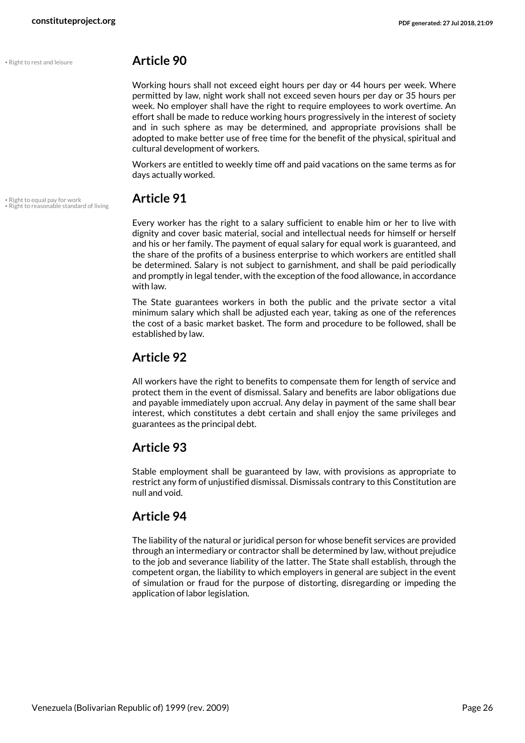### • Right to rest and leisure **Article 90**

Working hours shall not exceed eight hours per day or 44 hours per week. Where permitted by law, night work shall not exceed seven hours per day or 35 hours per week. No employer shall have the right to require employees to work overtime. An effort shall be made to reduce working hours progressively in the interest of society and in such sphere as may be determined, and appropriate provisions shall be adopted to make better use of free time for the benefit of the physical, spiritual and cultural development of workers.

Workers are entitled to weekly time off and paid vacations on the same terms as for days actually worked.

### $\bullet$  Right to equal pay for work **Article 91**

Every worker has the right to a salary sufficient to enable him or her to live with dignity and cover basic material, social and intellectual needs for himself or herself and his or her family. The payment of equal salary for equal work is guaranteed, and the share of the profits of a business enterprise to which workers are entitled shall be determined. Salary is not subject to garnishment, and shall be paid periodically and promptly in legal tender, with the exception of the food allowance, in accordance with law.

The State guarantees workers in both the public and the private sector a vital minimum salary which shall be adjusted each year, taking as one of the references the cost of a basic market basket. The form and procedure to be followed, shall be established by law.

### **Article 92**

All workers have the right to benefits to compensate them for length of service and protect them in the event of dismissal. Salary and benefits are labor obligations due and payable immediately upon accrual. Any delay in payment of the same shall bear interest, which constitutes a debt certain and shall enjoy the same privileges and guarantees as the principal debt.

### **Article 93**

Stable employment shall be guaranteed by law, with provisions as appropriate to restrict any form of unjustified dismissal. Dismissals contrary to this Constitution are null and void.

### **Article 94**

The liability of the natural or juridical person for whose benefit services are provided through an intermediary or contractor shall be determined by law, without prejudice to the job and severance liability of the latter. The State shall establish, through the competent organ, the liability to which employers in general are subject in the event of simulation or fraud for the purpose of distorting, disregarding or impeding the application of labor legislation.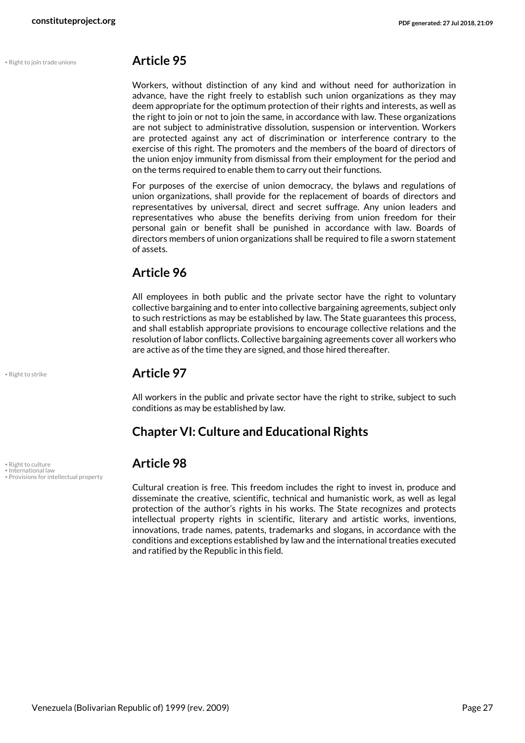### • Right to join trade unions **Article 95**

Workers, without distinction of any kind and without need for authorization in advance, have the right freely to establish such union organizations as they may deem appropriate for the optimum protection of their rights and interests, as well as the right to join or not to join the same, in accordance with law. These organizations are not subject to administrative dissolution, suspension or intervention. Workers are protected against any act of discrimination or interference contrary to the exercise of this right. The promoters and the members of the board of directors of the union enjoy immunity from dismissal from their employment for the period and on the terms required to enable them to carry out their functions.

For purposes of the exercise of union democracy, the bylaws and regulations of union organizations, shall provide for the replacement of boards of directors and representatives by universal, direct and secret suffrage. Any union leaders and representatives who abuse the benefits deriving from union freedom for their personal gain or benefit shall be punished in accordance with law. Boards of directors members of union organizations shall be required to file a sworn statement of assets.

### **Article 96**

All employees in both public and the private sector have the right to voluntary collective bargaining and to enter into collective bargaining agreements, subject only to such restrictions as may be established by law. The State guarantees this process, and shall establish appropriate provisions to encourage collective relations and the resolution of labor conflicts. Collective bargaining agreements cover all workers who are active as of the time they are signed, and those hired thereafter.

• Provisions for intellectual property

### • Right to strike **Article 97**

All workers in the public and private sector have the right to strike, subject to such conditions as may be established by law.

### <span id="page-26-0"></span>**Chapter VI: Culture and Educational Rights**

### • Right to culture **Article 98** • International law

Cultural creation is free. This freedom includes the right to invest in, produce and disseminate the creative, scientific, technical and humanistic work, as well as legal protection of the author's rights in his works. The State recognizes and protects intellectual property rights in scientific, literary and artistic works, inventions, innovations, trade names, patents, trademarks and slogans, in accordance with the conditions and exceptions established by law and the international treaties executed and ratified by the Republic in this field.

Venezuela (Bolivarian Republic of) 1999 (rev. 2009) Page 27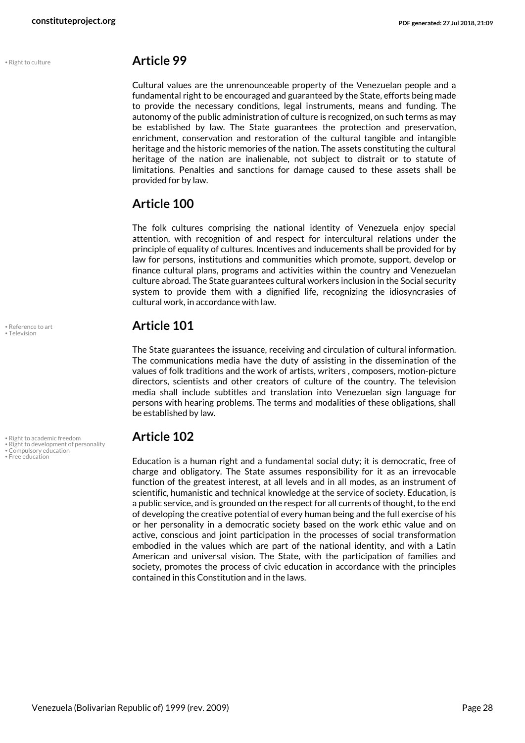### • Right to culture **Article 99**

Cultural values are the unrenounceable property of the Venezuelan people and a fundamental right to be encouraged and guaranteed by the State, efforts being made to provide the necessary conditions, legal instruments, means and funding. The autonomy of the public administration of culture is recognized, on such terms as may be established by law. The State guarantees the protection and preservation, enrichment, conservation and restoration of the cultural tangible and intangible heritage and the historic memories of the nation. The assets constituting the cultural heritage of the nation are inalienable, not subject to distrait or to statute of limitations. Penalties and sanctions for damage caused to these assets shall be provided for by law.

### **Article 100**

The folk cultures comprising the national identity of Venezuela enjoy special attention, with recognition of and respect for intercultural relations under the principle of equality of cultures. Incentives and inducements shall be provided for by law for persons, institutions and communities which promote, support, develop or finance cultural plans, programs and activities within the country and Venezuelan culture abroad. The State guarantees cultural workers inclusion in the Social security system to provide them with a dignified life, recognizing the idiosyncrasies of cultural work, in accordance with law.

### • Reference to art **Article 101** • Television

The State guarantees the issuance, receiving and circulation of cultural information. The communications media have the duty of assisting in the dissemination of the values of folk traditions and the work of artists, writers , composers, motion-picture directors, scientists and other creators of culture of the country. The television media shall include subtitles and translation into Venezuelan sign language for persons with hearing problems. The terms and modalities of these obligations, shall be established by law.

Education is a human right and a fundamental social duty; it is democratic, free of charge and obligatory. The State assumes responsibility for it as an irrevocable function of the greatest interest, at all levels and in all modes, as an instrument of scientific, humanistic and technical knowledge at the service of society. Education, is a public service, and is grounded on the respect for all currents of thought, to the end of developing the creative potential of every human being and the full exercise of his or her personality in a democratic society based on the work ethic value and on active, conscious and joint participation in the processes of social transformation embodied in the values which are part of the national identity, and with a Latin American and universal vision. The State, with the participation of families and society, promotes the process of civic education in accordance with the principles contained in this Constitution and in the laws.

- Right to academic freedom **Article 102** Right to development of personality
- 
- Compulsory education<br>• Free education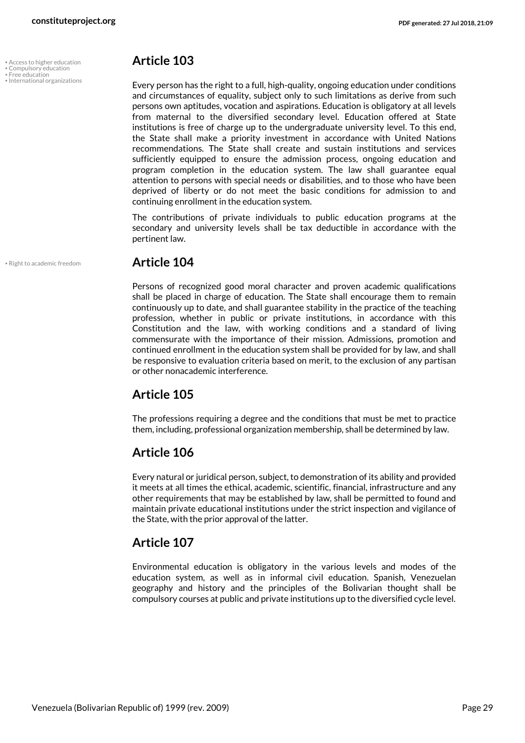- Access to higher education **Article 103**
- Compulsory education<br>• Free education<br>• International organizations

Every person has the right to a full, high-quality, ongoing education under conditions and circumstances of equality, subject only to such limitations as derive from such persons own aptitudes, vocation and aspirations. Education is obligatory at all levels from maternal to the diversified secondary level. Education offered at State institutions is free of charge up to the undergraduate university level. To this end, the State shall make a priority investment in accordance with United Nations recommendations. The State shall create and sustain institutions and services sufficiently equipped to ensure the admission process, ongoing education and program completion in the education system. The law shall guarantee equal attention to persons with special needs or disabilities, and to those who have been deprived of liberty or do not meet the basic conditions for admission to and continuing enrollment in the education system.

The contributions of private individuals to public education programs at the secondary and university levels shall be tax deductible in accordance with the pertinent law.

### • Right to academic freedom **Article 104**

Persons of recognized good moral character and proven academic qualifications shall be placed in charge of education. The State shall encourage them to remain continuously up to date, and shall guarantee stability in the practice of the teaching profession, whether in public or private institutions, in accordance with this Constitution and the law, with working conditions and a standard of living commensurate with the importance of their mission. Admissions, promotion and continued enrollment in the education system shall be provided for by law, and shall be responsive to evaluation criteria based on merit, to the exclusion of any partisan or other nonacademic interference.

### **Article 105**

The professions requiring a degree and the conditions that must be met to practice them, including, professional organization membership, shall be determined by law.

### **Article 106**

Every natural or juridical person, subject, to demonstration of its ability and provided it meets at all times the ethical, academic, scientific, financial, infrastructure and any other requirements that may be established by law, shall be permitted to found and maintain private educational institutions under the strict inspection and vigilance of the State, with the prior approval of the latter.

### **Article 107**

Environmental education is obligatory in the various levels and modes of the education system, as well as in informal civil education. Spanish, Venezuelan geography and history and the principles of the Bolivarian thought shall be compulsory courses at public and private institutions up to the diversified cycle level.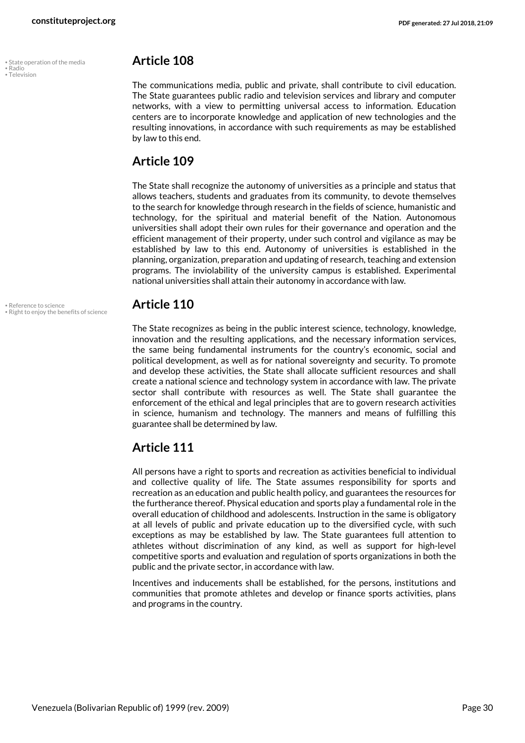• Radio<br>• Television

### • State operation of the media **Article 108**

The communications media, public and private, shall contribute to civil education. The State guarantees public radio and television services and library and computer networks, with a view to permitting universal access to information. Education centers are to incorporate knowledge and application of new technologies and the resulting innovations, in accordance with such requirements as may be established

### **Article 109**

by law to this end.

The State shall recognize the autonomy of universities as a principle and status that allows teachers, students and graduates from its community, to devote themselves to the search for knowledge through research in the fields of science, humanistic and technology, for the spiritual and material benefit of the Nation. Autonomous universities shall adopt their own rules for their governance and operation and the efficient management of their property, under such control and vigilance as may be established by law to this end. Autonomy of universities is established in the planning, organization, preparation and updating of research, teaching and extension programs. The inviolability of the university campus is established. Experimental national universities shall attain their autonomy in accordance with law.

The State recognizes as being in the public interest science, technology, knowledge, innovation and the resulting applications, and the necessary information services, the same being fundamental instruments for the country's economic, social and political development, as well as for national sovereignty and security. To promote and develop these activities, the State shall allocate sufficient resources and shall create a national science and technology system in accordance with law. The private sector shall contribute with resources as well. The State shall guarantee the enforcement of the ethical and legal principles that are to govern research activities in science, humanism and technology. The manners and means of fulfilling this guarantee shall be determined by law.

### **Article 111**

All persons have a right to sports and recreation as activities beneficial to individual and collective quality of life. The State assumes responsibility for sports and recreation as an education and public health policy, and guarantees the resources for the furtherance thereof. Physical education and sports play a fundamental role in the overall education of childhood and adolescents. Instruction in the same is obligatory at all levels of public and private education up to the diversified cycle, with such exceptions as may be established by law. The State guarantees full attention to athletes without discrimination of any kind, as well as support for high-level competitive sports and evaluation and regulation of sports organizations in both the public and the private sector, in accordance with law.

Incentives and inducements shall be established, for the persons, institutions and communities that promote athletes and develop or finance sports activities, plans and programs in the country.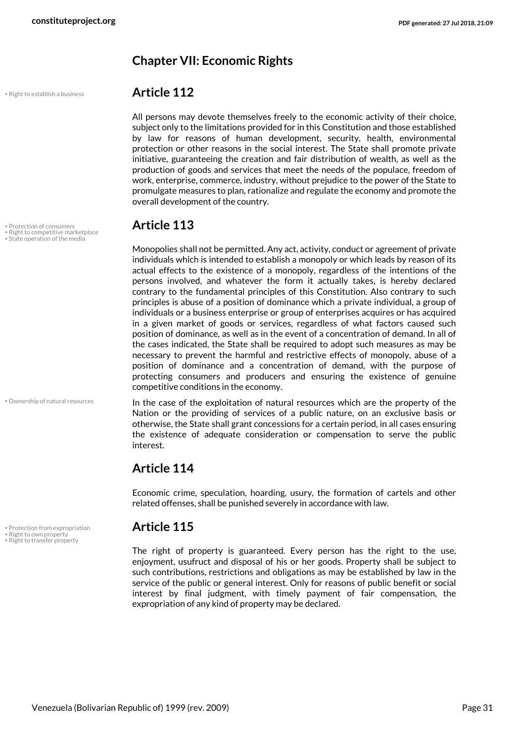### <span id="page-30-0"></span>**Chapter VII: Economic Rights**

• Right to establish a business **Article 112**

• State operation of the media

• Ownership of natural resources

• Protection from expropriation **Article 115** 

• Right to own property<br>• Right to transfer property

All persons may devote themselves freely to the economic activity of their choice, subject only to the limitations provided for in this Constitution and those established by law for reasons of human development, security, health, environmental protection or other reasons in the social interest. The State shall promote private initiative, guaranteeing the creation and fair distribution of wealth, as well as the production of goods and services that meet the needs of the populace, freedom of work, enterprise, commerce, industry, without prejudice to the power of the State to promulgate measures to plan, rationalize and regulate the economy and promote the overall development of the country.

### • Protection of consumers **Article 113** • Right to competitive marketplace

Monopolies shall not be permitted. Any act, activity, conduct or agreement of private individuals which is intended to establish a monopoly or which leads by reason of its actual effects to the existence of a monopoly, regardless of the intentions of the persons involved, and whatever the form it actually takes, is hereby declared contrary to the fundamental principles of this Constitution. Also contrary to such principles is abuse of a position of dominance which a private individual, a group of individuals or a business enterprise or group of enterprises acquires or has acquired in a given market of goods or services, regardless of what factors caused such position of dominance, as well as in the event of a concentration of demand. In all of the cases indicated, the State shall be required to adopt such measures as may be necessary to prevent the harmful and restrictive effects of monopoly, abuse of a position of dominance and a concentration of demand, with the purpose of protecting consumers and producers and ensuring the existence of genuine competitive conditions in the economy.

In the case of the exploitation of natural resources which are the property of the Nation or the providing of services of a public nature, on an exclusive basis or otherwise, the State shall grant concessions for a certain period, in all cases ensuring the existence of adequate consideration or compensation to serve the public interest.

### **Article 114**

Economic crime, speculation, hoarding, usury, the formation of cartels and other related offenses, shall be punished severely in accordance with law.

The right of property is guaranteed. Every person has the right to the use, enjoyment, usufruct and disposal of his or her goods. Property shall be subject to such contributions, restrictions and obligations as may be established by law in the service of the public or general interest. Only for reasons of public benefit or social interest by final judgment, with timely payment of fair compensation, the expropriation of any kind of property may be declared.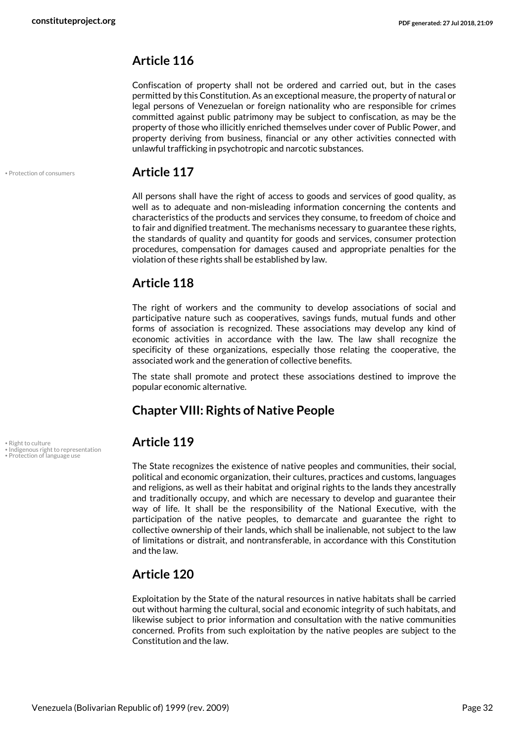Confiscation of property shall not be ordered and carried out, but in the cases permitted by this Constitution. As an exceptional measure, the property of natural or legal persons of Venezuelan or foreign nationality who are responsible for crimes committed against public patrimony may be subject to confiscation, as may be the property of those who illicitly enriched themselves under cover of Public Power, and property deriving from business, financial or any other activities connected with unlawful trafficking in psychotropic and narcotic substances.

### • Protection of consumers **Article 117**

All persons shall have the right of access to goods and services of good quality, as well as to adequate and non-misleading information concerning the contents and characteristics of the products and services they consume, to freedom of choice and to fair and dignified treatment. The mechanisms necessary to guarantee these rights, the standards of quality and quantity for goods and services, consumer protection procedures, compensation for damages caused and appropriate penalties for the violation of these rights shall be established by law.

### **Article 118**

The right of workers and the community to develop associations of social and participative nature such as cooperatives, savings funds, mutual funds and other forms of association is recognized. These associations may develop any kind of economic activities in accordance with the law. The law shall recognize the specificity of these organizations, especially those relating the cooperative, the associated work and the generation of collective benefits.

The state shall promote and protect these associations destined to improve the popular economic alternative.

### <span id="page-31-0"></span>**Chapter VIII: Rights of Native People**

The State recognizes the existence of native peoples and communities, their social, political and economic organization, their cultures, practices and customs, languages and religions, as well as their habitat and original rights to the lands they ancestrally and traditionally occupy, and which are necessary to develop and guarantee their way of life. It shall be the responsibility of the National Executive, with the participation of the native peoples, to demarcate and guarantee the right to collective ownership of their lands, which shall be inalienable, not subject to the law of limitations or distrait, and nontransferable, in accordance with this Constitution and the law.

### **Article 120**

Exploitation by the State of the natural resources in native habitats shall be carried out without harming the cultural, social and economic integrity of such habitats, and likewise subject to prior information and consultation with the native communities concerned. Profits from such exploitation by the native peoples are subject to the Constitution and the law.

• Right to culture **Article 119** • Indigenous right to representation • Protection of language use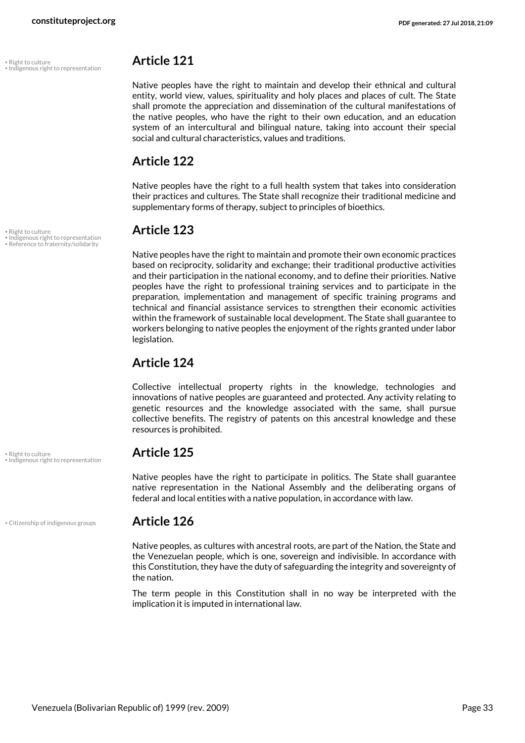Native peoples have the right to maintain and develop their ethnical and cultural entity, world view, values, spirituality and holy places and places of cult. The State shall promote the appreciation and dissemination of the cultural manifestations of the native peoples, who have the right to their own education, and an education system of an intercultural and bilingual nature, taking into account their special social and cultural characteristics, values and traditions.

### **Article 122**

Native peoples have the right to a full health system that takes into consideration their practices and cultures. The State shall recognize their traditional medicine and supplementary forms of therapy, subject to principles of bioethics.

# • Right to culture **Article 123** • Indigenous right to representation • Reference to fraternity/solidarity

Native peoples have the right to maintain and promote their own economic practices based on reciprocity, solidarity and exchange; their traditional productive activities and their participation in the national economy, and to define their priorities. Native peoples have the right to professional training services and to participate in the preparation, implementation and management of specific training programs and technical and financial assistance services to strengthen their economic activities within the framework of sustainable local development. The State shall guarantee to workers belonging to native peoples the enjoyment of the rights granted under labor legislation.

### **Article 124**

Collective intellectual property rights in the knowledge, technologies and innovations of native peoples are guaranteed and protected. Any activity relating to genetic resources and the knowledge associated with the same, shall pursue collective benefits. The registry of patents on this ancestral knowledge and these resources is prohibited.

### • Right to culture **Article 125** • Indigenous right to representation

Native peoples have the right to participate in politics. The State shall guarantee native representation in the National Assembly and the deliberating organs of federal and local entities with a native population, in accordance with law.

### • Citizenship of indigenous groups **Article 126**

Native peoples, as cultures with ancestral roots, are part of the Nation, the State and the Venezuelan people, which is one, sovereign and indivisible. In accordance with this Constitution, they have the duty of safeguarding the integrity and sovereignty of the nation.

The term people in this Constitution shall in no way be interpreted with the implication it is imputed in international law.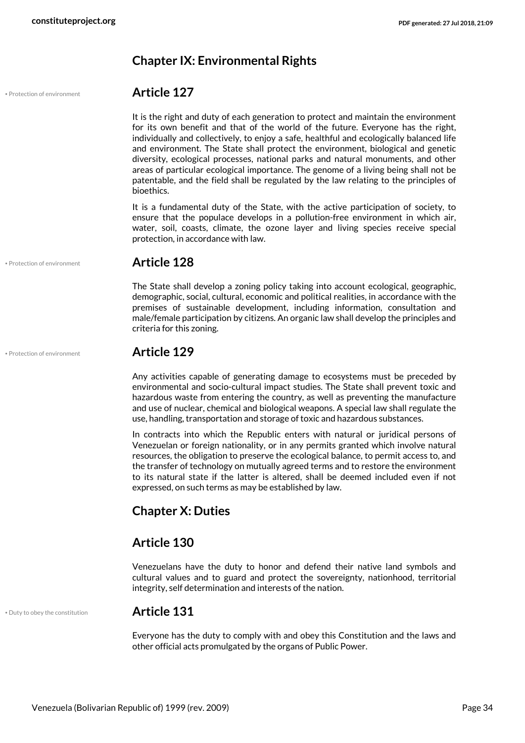### <span id="page-33-0"></span>**Chapter IX: Environmental Rights**

### • Protection of environment **Article 127**

It is the right and duty of each generation to protect and maintain the environment for its own benefit and that of the world of the future. Everyone has the right, individually and collectively, to enjoy a safe, healthful and ecologically balanced life and environment. The State shall protect the environment, biological and genetic diversity, ecological processes, national parks and natural monuments, and other areas of particular ecological importance. The genome of a living being shall not be patentable, and the field shall be regulated by the law relating to the principles of bioethics.

It is a fundamental duty of the State, with the active participation of society, to ensure that the populace develops in a pollution-free environment in which air, water, soil, coasts, climate, the ozone layer and living species receive special protection, in accordance with law.

### • Protection of environment **Article 128**

The State shall develop a zoning policy taking into account ecological, geographic, demographic, social, cultural, economic and political realities, in accordance with the premises of sustainable development, including information, consultation and male/female participation by citizens. An organic law shall develop the principles and criteria for this zoning.

### • Protection of environment **Article 129**

Any activities capable of generating damage to ecosystems must be preceded by environmental and socio-cultural impact studies. The State shall prevent toxic and hazardous waste from entering the country, as well as preventing the manufacture and use of nuclear, chemical and biological weapons. A special law shall regulate the use, handling, transportation and storage of toxic and hazardous substances.

In contracts into which the Republic enters with natural or juridical persons of Venezuelan or foreign nationality, or in any permits granted which involve natural resources, the obligation to preserve the ecological balance, to permit access to, and the transfer of technology on mutually agreed terms and to restore the environment to its natural state if the latter is altered, shall be deemed included even if not expressed, on such terms as may be established by law.

### <span id="page-33-1"></span>**Chapter X: Duties**

### **Article 130**

Venezuelans have the duty to honor and defend their native land symbols and cultural values and to guard and protect the sovereignty, nationhood, territorial integrity, self determination and interests of the nation.

• Duty to obey the constitution **Article 131**

Everyone has the duty to comply with and obey this Constitution and the laws and other official acts promulgated by the organs of Public Power.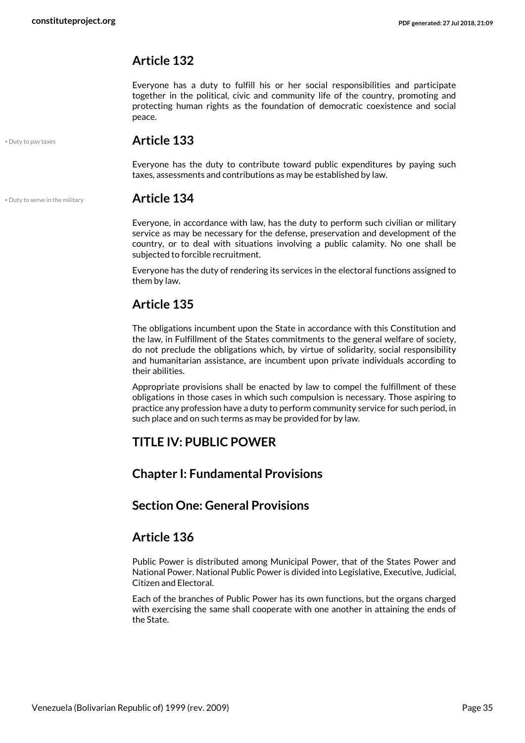Everyone has a duty to fulfill his or her social responsibilities and participate together in the political, civic and community life of the country, promoting and protecting human rights as the foundation of democratic coexistence and social peace.

### • Duty to pay taxes **Article 133**

Everyone has the duty to contribute toward public expenditures by paying such taxes, assessments and contributions as may be established by law.

### • Duty to serve in the military **Article 134**

Everyone, in accordance with law, has the duty to perform such civilian or military service as may be necessary for the defense, preservation and development of the country, or to deal with situations involving a public calamity. No one shall be subjected to forcible recruitment.

Everyone has the duty of rendering its services in the electoral functions assigned to them by law.

### **Article 135**

The obligations incumbent upon the State in accordance with this Constitution and the law, in Fulfillment of the States commitments to the general welfare of society, do not preclude the obligations which, by virtue of solidarity, social responsibility and humanitarian assistance, are incumbent upon private individuals according to their abilities.

Appropriate provisions shall be enacted by law to compel the fulfillment of these obligations in those cases in which such compulsion is necessary. Those aspiring to practice any profession have a duty to perform community service for such period, in such place and on such terms as may be provided for by law.

### <span id="page-34-0"></span>**TITLE IV: PUBLIC POWER**

### <span id="page-34-1"></span>**Chapter I: Fundamental Provisions**

### <span id="page-34-2"></span>**Section One: General Provisions**

### **Article 136**

Public Power is distributed among Municipal Power, that of the States Power and National Power. National Public Power is divided into Legislative, Executive, Judicial, Citizen and Electoral.

Each of the branches of Public Power has its own functions, but the organs charged with exercising the same shall cooperate with one another in attaining the ends of the State.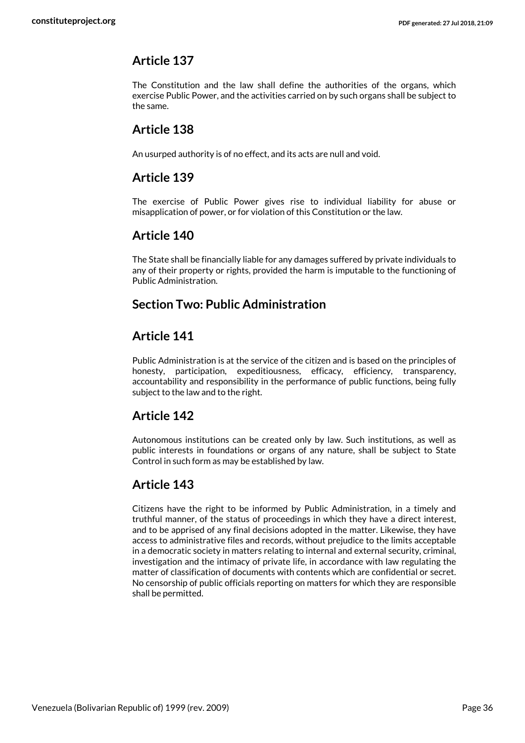The Constitution and the law shall define the authorities of the organs, which exercise Public Power, and the activities carried on by such organs shall be subject to the same.

### **Article 138**

An usurped authority is of no effect, and its acts are null and void.

### **Article 139**

The exercise of Public Power gives rise to individual liability for abuse or misapplication of power, or for violation of this Constitution or the law.

### **Article 140**

The State shall be financially liable for any damages suffered by private individuals to any of their property or rights, provided the harm is imputable to the functioning of Public Administration.

### <span id="page-35-0"></span>**Section Two: Public Administration**

### **Article 141**

Public Administration is at the service of the citizen and is based on the principles of honesty, participation, expeditiousness, efficacy, efficiency, transparency, accountability and responsibility in the performance of public functions, being fully subject to the law and to the right.

### **Article 142**

Autonomous institutions can be created only by law. Such institutions, as well as public interests in foundations or organs of any nature, shall be subject to State Control in such form as may be established by law.

### **Article 143**

Citizens have the right to be informed by Public Administration, in a timely and truthful manner, of the status of proceedings in which they have a direct interest, and to be apprised of any final decisions adopted in the matter. Likewise, they have access to administrative files and records, without prejudice to the limits acceptable in a democratic society in matters relating to internal and external security, criminal, investigation and the intimacy of private life, in accordance with law regulating the matter of classification of documents with contents which are confidential or secret. No censorship of public officials reporting on matters for which they are responsible shall be permitted.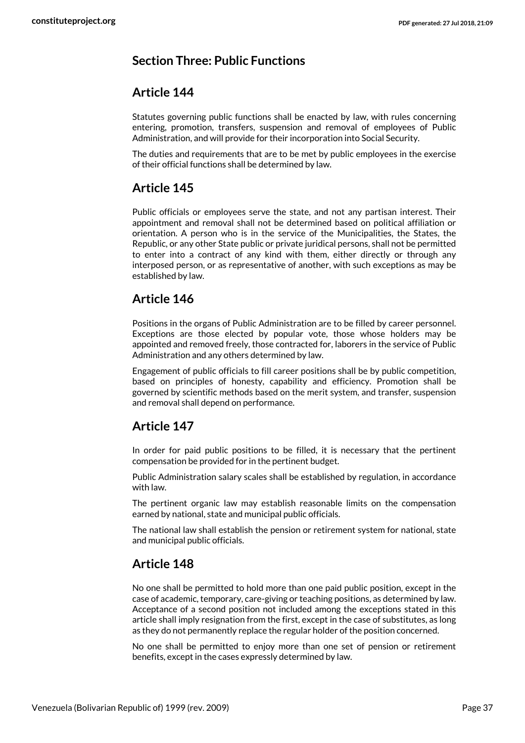#### **Section Three: Public Functions**

#### **Article 144**

Statutes governing public functions shall be enacted by law, with rules concerning entering, promotion, transfers, suspension and removal of employees of Public Administration, and will provide for their incorporation into Social Security.

The duties and requirements that are to be met by public employees in the exercise of their official functions shall be determined by law.

#### **Article 145**

Public officials or employees serve the state, and not any partisan interest. Their appointment and removal shall not be determined based on political affiliation or orientation. A person who is in the service of the Municipalities, the States, the Republic, or any other State public or private juridical persons, shall not be permitted to enter into a contract of any kind with them, either directly or through any interposed person, or as representative of another, with such exceptions as may be established by law.

## **Article 146**

Positions in the organs of Public Administration are to be filled by career personnel. Exceptions are those elected by popular vote, those whose holders may be appointed and removed freely, those contracted for, laborers in the service of Public Administration and any others determined by law.

Engagement of public officials to fill career positions shall be by public competition, based on principles of honesty, capability and efficiency. Promotion shall be governed by scientific methods based on the merit system, and transfer, suspension and removal shall depend on performance.

### **Article 147**

In order for paid public positions to be filled, it is necessary that the pertinent compensation be provided for in the pertinent budget.

Public Administration salary scales shall be established by regulation, in accordance with law.

The pertinent organic law may establish reasonable limits on the compensation earned by national, state and municipal public officials.

The national law shall establish the pension or retirement system for national, state and municipal public officials.

### **Article 148**

No one shall be permitted to hold more than one paid public position, except in the case of academic, temporary, care-giving or teaching positions, as determined by law. Acceptance of a second position not included among the exceptions stated in this article shall imply resignation from the first, except in the case of substitutes, as long as they do not permanently replace the regular holder of the position concerned.

No one shall be permitted to enjoy more than one set of pension or retirement benefits, except in the cases expressly determined by law.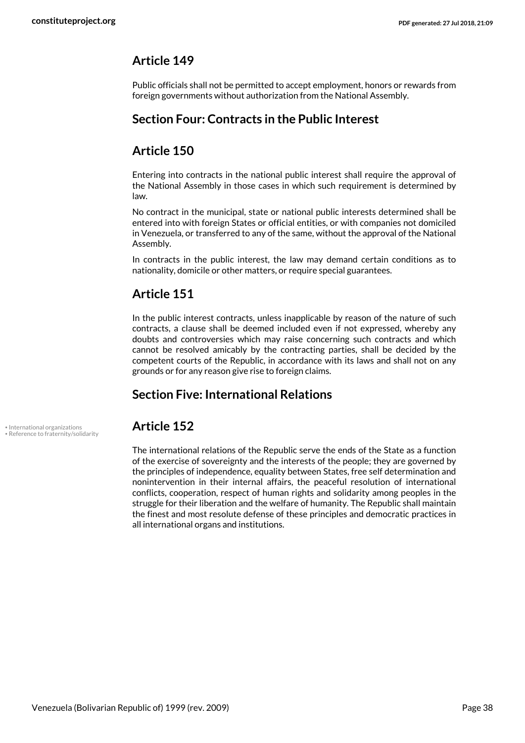Public officials shall not be permitted to accept employment, honors or rewards from foreign governments without authorization from the National Assembly.

#### **Section Four: Contracts in the Public Interest**

## **Article 150**

Entering into contracts in the national public interest shall require the approval of the National Assembly in those cases in which such requirement is determined by law.

No contract in the municipal, state or national public interests determined shall be entered into with foreign States or official entities, or with companies not domiciled in Venezuela, or transferred to any of the same, without the approval of the National Assembly.

In contracts in the public interest, the law may demand certain conditions as to nationality, domicile or other matters, or require special guarantees.

## **Article 151**

In the public interest contracts, unless inapplicable by reason of the nature of such contracts, a clause shall be deemed included even if not expressed, whereby any doubts and controversies which may raise concerning such contracts and which cannot be resolved amicably by the contracting parties, shall be decided by the competent courts of the Republic, in accordance with its laws and shall not on any grounds or for any reason give rise to foreign claims.

## **Section Five: International Relations**

The international relations of the Republic serve the ends of the State as a function of the exercise of sovereignty and the interests of the people; they are governed by the principles of independence, equality between States, free self determination and nonintervention in their internal affairs, the peaceful resolution of international conflicts, cooperation, respect of human rights and solidarity among peoples in the struggle for their liberation and the welfare of humanity. The Republic shall maintain the finest and most resolute defense of these principles and democratic practices in all international organs and institutions.

• International organizations **Article 152** • Reference to fraternity/solidarity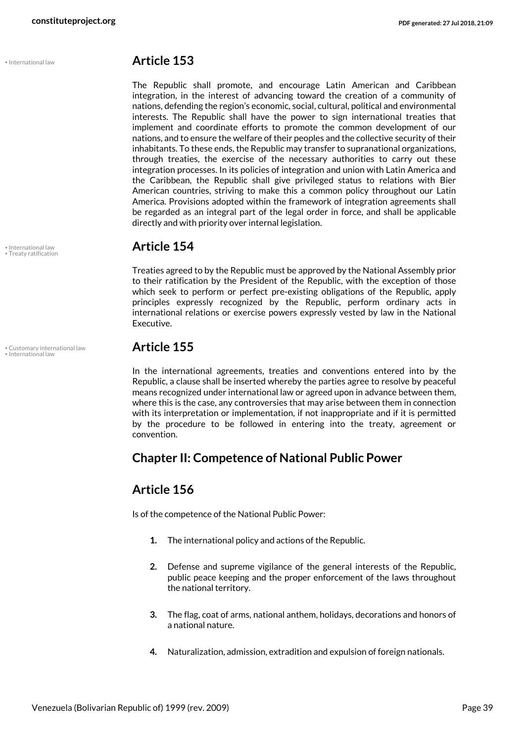# • International law **Article 154** • Treaty ratification

• Customary international law **Article 155** • International law

## • International law **Article 153**

The Republic shall promote, and encourage Latin American and Caribbean integration, in the interest of advancing toward the creation of a community of nations, defending the region's economic, social, cultural, political and environmental interests. The Republic shall have the power to sign international treaties that implement and coordinate efforts to promote the common development of our nations, and to ensure the welfare of their peoples and the collective security of their inhabitants. To these ends, the Republic may transfer to supranational organizations, through treaties, the exercise of the necessary authorities to carry out these integration processes. In its policies of integration and union with Latin America and the Caribbean, the Republic shall give privileged status to relations with Bier American countries, striving to make this a common policy throughout our Latin America. Provisions adopted within the framework of integration agreements shall be regarded as an integral part of the legal order in force, and shall be applicable directly and with priority over internal legislation.

Treaties agreed to by the Republic must be approved by the National Assembly prior to their ratification by the President of the Republic, with the exception of those which seek to perform or perfect pre-existing obligations of the Republic, apply principles expressly recognized by the Republic, perform ordinary acts in international relations or exercise powers expressly vested by law in the National Executive.

In the international agreements, treaties and conventions entered into by the Republic, a clause shall be inserted whereby the parties agree to resolve by peaceful means recognized under international law or agreed upon in advance between them, where this is the case, any controversies that may arise between them in connection with its interpretation or implementation, if not inappropriate and if it is permitted by the procedure to be followed in entering into the treaty, agreement or convention.

## **Chapter II: Competence of National Public Power**

## **Article 156**

Is of the competence of the National Public Power:

- **1.** The international policy and actions of the Republic.
- **2.** Defense and supreme vigilance of the general interests of the Republic, public peace keeping and the proper enforcement of the laws throughout the national territory.
- **3.** The flag, coat of arms, national anthem, holidays, decorations and honors of a national nature.
- **4.** Naturalization, admission, extradition and expulsion of foreign nationals.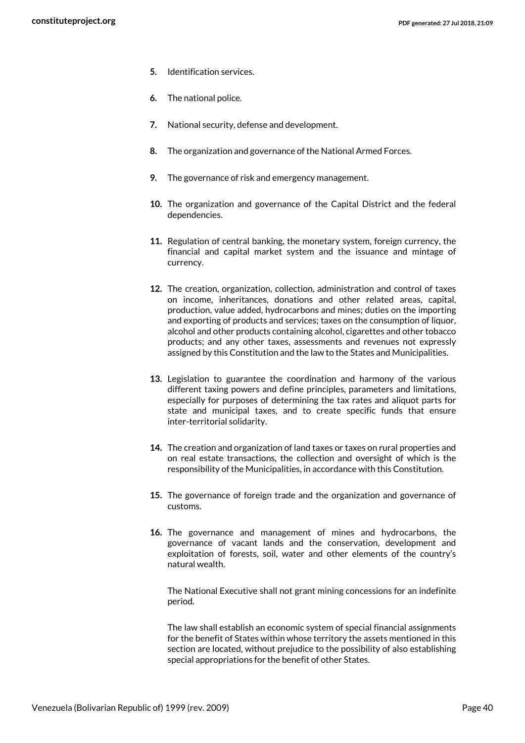- **5.** Identification services.
- **6.** The national police.
- **7.** National security, defense and development.
- **8.** The organization and governance of the National Armed Forces.
- **9.** The governance of risk and emergency management.
- **10.** The organization and governance of the Capital District and the federal dependencies.
- **11.** Regulation of central banking, the monetary system, foreign currency, the financial and capital market system and the issuance and mintage of currency.
- **12.** The creation, organization, collection, administration and control of taxes on income, inheritances, donations and other related areas, capital, production, value added, hydrocarbons and mines; duties on the importing and exporting of products and services; taxes on the consumption of liquor, alcohol and other products containing alcohol, cigarettes and other tobacco products; and any other taxes, assessments and revenues not expressly assigned by this Constitution and the law to the States and Municipalities.
- **13.** Legislation to guarantee the coordination and harmony of the various different taxing powers and define principles, parameters and limitations, especially for purposes of determining the tax rates and aliquot parts for state and municipal taxes, and to create specific funds that ensure inter-territorial solidarity.
- **14.** The creation and organization of land taxes or taxes on rural properties and on real estate transactions, the collection and oversight of which is the responsibility of the Municipalities, in accordance with this Constitution.
- **15.** The governance of foreign trade and the organization and governance of customs.
- **16.** The governance and management of mines and hydrocarbons, the governance of vacant lands and the conservation, development and exploitation of forests, soil, water and other elements of the country's natural wealth.

The National Executive shall not grant mining concessions for an indefinite period.

The law shall establish an economic system of special financial assignments for the benefit of States within whose territory the assets mentioned in this section are located, without prejudice to the possibility of also establishing special appropriations for the benefit of other States.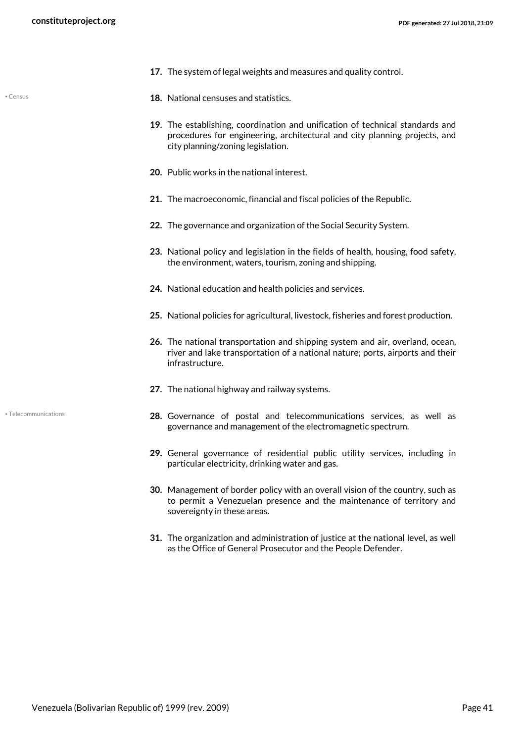**17.** The system of legal weights and measures and quality control.

• Census **18.** National censuses and statistics.

- **19.** The establishing, coordination and unification of technical standards and procedures for engineering, architectural and city planning projects, and city planning/zoning legislation.
- **20.** Public works in the national interest.
- **21.** The macroeconomic, financial and fiscal policies of the Republic.
- **22.** The governance and organization of the Social Security System.
- **23.** National policy and legislation in the fields of health, housing, food safety, the environment, waters, tourism, zoning and shipping.
- **24.** National education and health policies and services.
- **25.** National policies for agricultural, livestock, fisheries and forest production.
- **26.** The national transportation and shipping system and air, overland, ocean, river and lake transportation of a national nature; ports, airports and their infrastructure.
- **27.** The national highway and railway systems.
- **28.** Governance of postal and telecommunications services, as well as governance and management of the electromagnetic spectrum.
- **29.** General governance of residential public utility services, including in particular electricity, drinking water and gas.
- **30.** Management of border policy with an overall vision of the country, such as to permit a Venezuelan presence and the maintenance of territory and sovereignty in these areas.
- **31.** The organization and administration of justice at the national level, as well as the Office of General Prosecutor and the People Defender.

• Telecommunications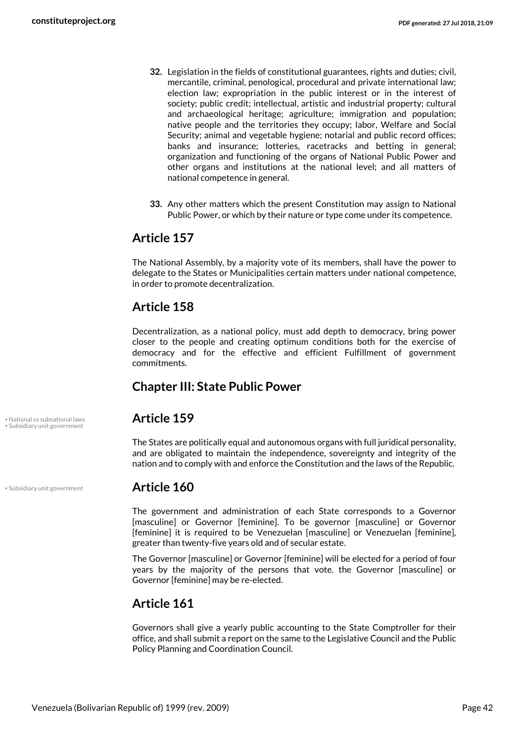- **32.** Legislation in the fields of constitutional guarantees, rights and duties; civil, mercantile, criminal, penological, procedural and private international law; election law; expropriation in the public interest or in the interest of society; public credit; intellectual, artistic and industrial property; cultural and archaeological heritage; agriculture; immigration and population; native people and the territories they occupy; labor, Welfare and Social Security; animal and vegetable hygiene; notarial and public record offices; banks and insurance; lotteries, racetracks and betting in general; organization and functioning of the organs of National Public Power and other organs and institutions at the national level; and all matters of national competence in general.
- **33.** Any other matters which the present Constitution may assign to National Public Power, or which by their nature or type come under its competence.

The National Assembly, by a majority vote of its members, shall have the power to delegate to the States or Municipalities certain matters under national competence, in order to promote decentralization.

#### **Article 158**

Decentralization, as a national policy, must add depth to democracy, bring power closer to the people and creating optimum conditions both for the exercise of democracy and for the effective and efficient Fulfillment of government commitments.

#### **Chapter III: State Public Power**

The States are politically equal and autonomous organs with full juridical personality, and are obligated to maintain the independence, sovereignty and integrity of the nation and to comply with and enforce the Constitution and the laws of the Republic.

#### • Subsidiary unit government **Article 160**

The government and administration of each State corresponds to a Governor [masculine] or Governor [feminine]. To be governor [masculine] or Governor [feminine] it is required to be Venezuelan [masculine] or Venezuelan [feminine], greater than twenty-five years old and of secular estate.

The Governor [masculine] or Governor [feminine] will be elected for a period of four years by the majority of the persons that vote. the Governor [masculine] or Governor [feminine] may be re-elected.

### **Article 161**

Governors shall give a yearly public accounting to the State Comptroller for their office, and shall submit a report on the same to the Legislative Council and the Public Policy Planning and Coordination Council.

• National vs subnational laws **Article 159** • Subsidiary unit government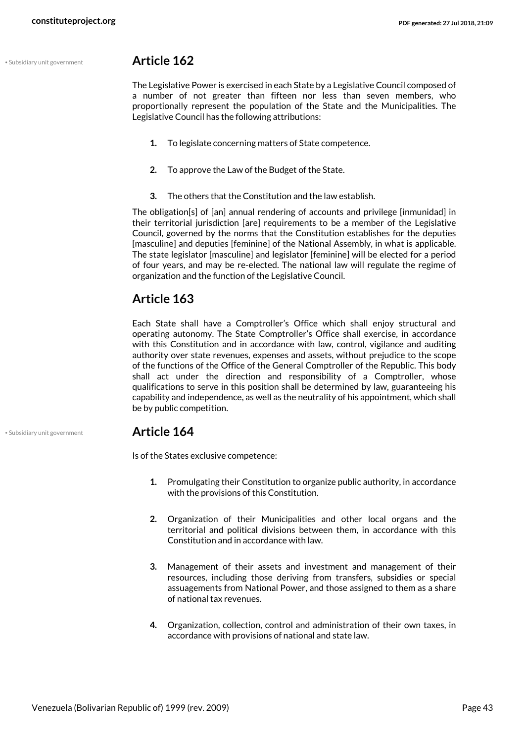#### • Subsidiary unit government **Article 162**

The Legislative Power is exercised in each State by a Legislative Council composed of a number of not greater than fifteen nor less than seven members, who proportionally represent the population of the State and the Municipalities. The Legislative Council has the following attributions:

- **1.** To legislate concerning matters of State competence.
- **2.** To approve the Law of the Budget of the State.
- **3.** The others that the Constitution and the law establish.

The obligation[s] of [an] annual rendering of accounts and privilege [inmunidad] in their territorial jurisdiction [are] requirements to be a member of the Legislative Council, governed by the norms that the Constitution establishes for the deputies [masculine] and deputies [feminine] of the National Assembly, in what is applicable. The state legislator [masculine] and legislator [feminine] will be elected for a period of four years, and may be re-elected. The national law will regulate the regime of organization and the function of the Legislative Council.

## **Article 163**

Each State shall have a Comptroller's Office which shall enjoy structural and operating autonomy. The State Comptroller's Office shall exercise, in accordance with this Constitution and in accordance with law, control, vigilance and auditing authority over state revenues, expenses and assets, without prejudice to the scope of the functions of the Office of the General Comptroller of the Republic. This body shall act under the direction and responsibility of a Comptroller, whose qualifications to serve in this position shall be determined by law, guaranteeing his capability and independence, as well as the neutrality of his appointment, which shall be by public competition.

### • Subsidiary unit government **Article 164**

Is of the States exclusive competence:

- **1.** Promulgating their Constitution to organize public authority, in accordance with the provisions of this Constitution.
- **2.** Organization of their Municipalities and other local organs and the territorial and political divisions between them, in accordance with this Constitution and in accordance with law.
- **3.** Management of their assets and investment and management of their resources, including those deriving from transfers, subsidies or special assuagements from National Power, and those assigned to them as a share of national tax revenues.
- **4.** Organization, collection, control and administration of their own taxes, in accordance with provisions of national and state law.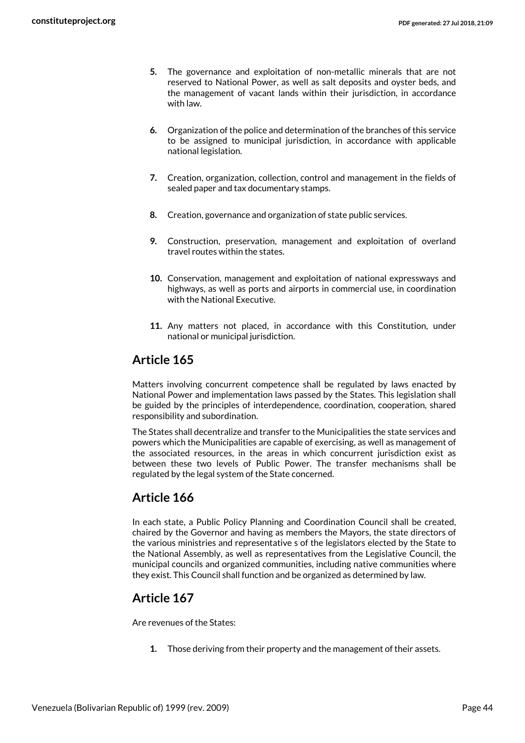- **5.** The governance and exploitation of non-metallic minerals that are not reserved to National Power, as well as salt deposits and oyster beds, and the management of vacant lands within their jurisdiction, in accordance with law.
- **6.** Organization of the police and determination of the branches of this service to be assigned to municipal jurisdiction, in accordance with applicable national legislation.
- **7.** Creation, organization, collection, control and management in the fields of sealed paper and tax documentary stamps.
- **8.** Creation, governance and organization of state public services.
- **9.** Construction, preservation, management and exploitation of overland travel routes within the states.
- **10.** Conservation, management and exploitation of national expressways and highways, as well as ports and airports in commercial use, in coordination with the National Executive.
- **11.** Any matters not placed, in accordance with this Constitution, under national or municipal jurisdiction.

Matters involving concurrent competence shall be regulated by laws enacted by National Power and implementation laws passed by the States. This legislation shall be guided by the principles of interdependence, coordination, cooperation, shared responsibility and subordination.

The States shall decentralize and transfer to the Municipalities the state services and powers which the Municipalities are capable of exercising, as well as management of the associated resources, in the areas in which concurrent jurisdiction exist as between these two levels of Public Power. The transfer mechanisms shall be regulated by the legal system of the State concerned.

### **Article 166**

In each state, a Public Policy Planning and Coordination Council shall be created, chaired by the Governor and having as members the Mayors, the state directors of the various ministries and representative s of the legislators elected by the State to the National Assembly, as well as representatives from the Legislative Council, the municipal councils and organized communities, including native communities where they exist. This Council shall function and be organized as determined by law.

### **Article 167**

Are revenues of the States:

**1.** Those deriving from their property and the management of their assets.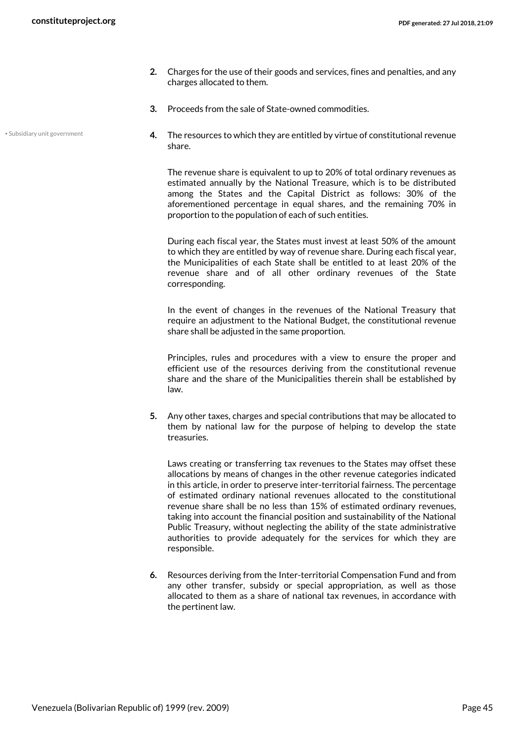- **2.** Charges for the use of their goods and services, fines and penalties, and any charges allocated to them.
- **3.** Proceeds from the sale of State-owned commodities.
- **4.** The resources to which they are entitled by virtue of constitutional revenue share.

The revenue share is equivalent to up to 20% of total ordinary revenues as estimated annually by the National Treasure, which is to be distributed among the States and the Capital District as follows: 30% of the aforementioned percentage in equal shares, and the remaining 70% in proportion to the population of each of such entities.

During each fiscal year, the States must invest at least 50% of the amount to which they are entitled by way of revenue share. During each fiscal year, the Municipalities of each State shall be entitled to at least 20% of the revenue share and of all other ordinary revenues of the State corresponding.

In the event of changes in the revenues of the National Treasury that require an adjustment to the National Budget, the constitutional revenue share shall be adjusted in the same proportion.

Principles, rules and procedures with a view to ensure the proper and efficient use of the resources deriving from the constitutional revenue share and the share of the Municipalities therein shall be established by law.

**5.** Any other taxes, charges and special contributions that may be allocated to them by national law for the purpose of helping to develop the state treasuries.

Laws creating or transferring tax revenues to the States may offset these allocations by means of changes in the other revenue categories indicated in this article, in order to preserve inter-territorial fairness. The percentage of estimated ordinary national revenues allocated to the constitutional revenue share shall be no less than 15% of estimated ordinary revenues, taking into account the financial position and sustainability of the National Public Treasury, without neglecting the ability of the state administrative authorities to provide adequately for the services for which they are responsible.

**6.** Resources deriving from the Inter-territorial Compensation Fund and from any other transfer, subsidy or special appropriation, as well as those allocated to them as a share of national tax revenues, in accordance with the pertinent law.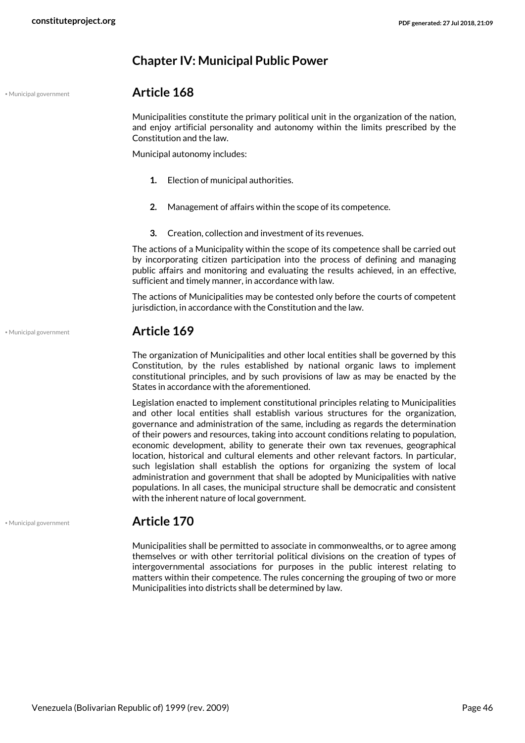### **Chapter IV: Municipal Public Power**

#### • Municipal government **Article 168**

Municipalities constitute the primary political unit in the organization of the nation, and enjoy artificial personality and autonomy within the limits prescribed by the Constitution and the law.

Municipal autonomy includes:

- **1.** Election of municipal authorities.
- **2.** Management of affairs within the scope of its competence.
- **3.** Creation, collection and investment of its revenues.

The actions of a Municipality within the scope of its competence shall be carried out by incorporating citizen participation into the process of defining and managing public affairs and monitoring and evaluating the results achieved, in an effective, sufficient and timely manner, in accordance with law.

The actions of Municipalities may be contested only before the courts of competent jurisdiction, in accordance with the Constitution and the law.

### • Municipal government **Article 169**

The organization of Municipalities and other local entities shall be governed by this Constitution, by the rules established by national organic laws to implement constitutional principles, and by such provisions of law as may be enacted by the States in accordance with the aforementioned.

Legislation enacted to implement constitutional principles relating to Municipalities and other local entities shall establish various structures for the organization, governance and administration of the same, including as regards the determination of their powers and resources, taking into account conditions relating to population, economic development, ability to generate their own tax revenues, geographical location, historical and cultural elements and other relevant factors. In particular, such legislation shall establish the options for organizing the system of local administration and government that shall be adopted by Municipalities with native populations. In all cases, the municipal structure shall be democratic and consistent with the inherent nature of local government.

### • Municipal government **Article 170**

Municipalities shall be permitted to associate in commonwealths, or to agree among themselves or with other territorial political divisions on the creation of types of intergovernmental associations for purposes in the public interest relating to matters within their competence. The rules concerning the grouping of two or more Municipalities into districts shall be determined by law.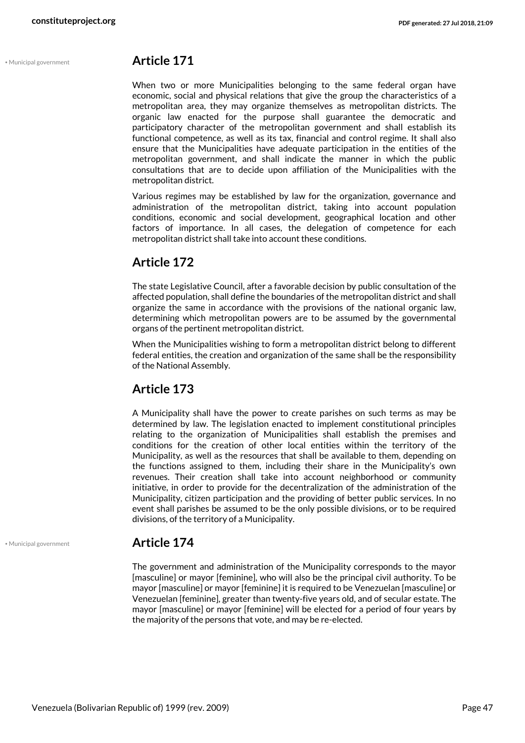#### • Municipal government **Article 171**

When two or more Municipalities belonging to the same federal organ have economic, social and physical relations that give the group the characteristics of a metropolitan area, they may organize themselves as metropolitan districts. The organic law enacted for the purpose shall guarantee the democratic and participatory character of the metropolitan government and shall establish its functional competence, as well as its tax, financial and control regime. It shall also ensure that the Municipalities have adequate participation in the entities of the metropolitan government, and shall indicate the manner in which the public consultations that are to decide upon affiliation of the Municipalities with the metropolitan district.

Various regimes may be established by law for the organization, governance and administration of the metropolitan district, taking into account population conditions, economic and social development, geographical location and other factors of importance. In all cases, the delegation of competence for each metropolitan district shall take into account these conditions.

#### **Article 172**

The state Legislative Council, after a favorable decision by public consultation of the affected population, shall define the boundaries of the metropolitan district and shall organize the same in accordance with the provisions of the national organic law, determining which metropolitan powers are to be assumed by the governmental organs of the pertinent metropolitan district.

When the Municipalities wishing to form a metropolitan district belong to different federal entities, the creation and organization of the same shall be the responsibility of the National Assembly.

#### **Article 173**

A Municipality shall have the power to create parishes on such terms as may be determined by law. The legislation enacted to implement constitutional principles relating to the organization of Municipalities shall establish the premises and conditions for the creation of other local entities within the territory of the Municipality, as well as the resources that shall be available to them, depending on the functions assigned to them, including their share in the Municipality's own revenues. Their creation shall take into account neighborhood or community initiative, in order to provide for the decentralization of the administration of the Municipality, citizen participation and the providing of better public services. In no event shall parishes be assumed to be the only possible divisions, or to be required divisions, of the territory of a Municipality.

#### • Municipal government **Article 174**

The government and administration of the Municipality corresponds to the mayor [masculine] or mayor [feminine], who will also be the principal civil authority. To be mayor [masculine] or mayor [feminine] it is required to be Venezuelan [masculine] or Venezuelan [feminine], greater than twenty-five years old, and of secular estate. The mayor [masculine] or mayor [feminine] will be elected for a period of four years by the majority of the persons that vote, and may be re-elected.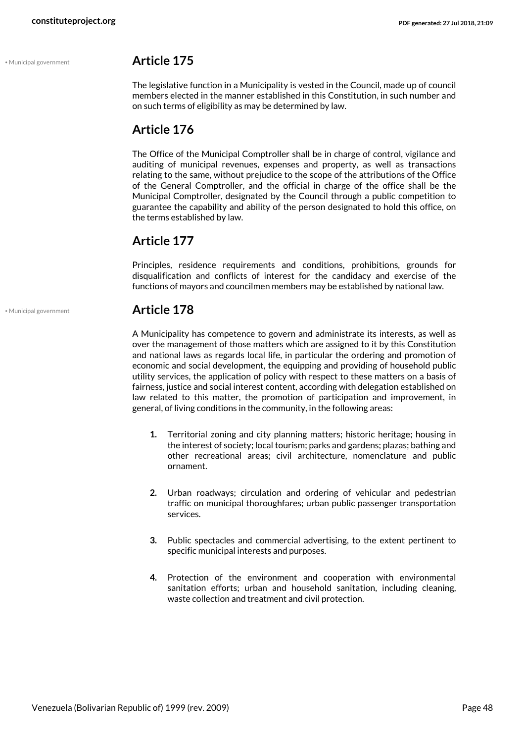## • Municipal government **Article 175**

The legislative function in a Municipality is vested in the Council, made up of council members elected in the manner established in this Constitution, in such number and on such terms of eligibility as may be determined by law.

## **Article 176**

The Office of the Municipal Comptroller shall be in charge of control, vigilance and auditing of municipal revenues, expenses and property, as well as transactions relating to the same, without prejudice to the scope of the attributions of the Office of the General Comptroller, and the official in charge of the office shall be the Municipal Comptroller, designated by the Council through a public competition to guarantee the capability and ability of the person designated to hold this office, on the terms established by law.

## **Article 177**

Principles, residence requirements and conditions, prohibitions, grounds for disqualification and conflicts of interest for the candidacy and exercise of the functions of mayors and councilmen members may be established by national law.

#### • Municipal government **Article 178**

A Municipality has competence to govern and administrate its interests, as well as over the management of those matters which are assigned to it by this Constitution and national laws as regards local life, in particular the ordering and promotion of economic and social development, the equipping and providing of household public utility services, the application of policy with respect to these matters on a basis of fairness, justice and social interest content, according with delegation established on law related to this matter, the promotion of participation and improvement, in general, of living conditions in the community, in the following areas:

- **1.** Territorial zoning and city planning matters; historic heritage; housing in the interest of society; local tourism; parks and gardens; plazas; bathing and other recreational areas; civil architecture, nomenclature and public ornament.
- **2.** Urban roadways; circulation and ordering of vehicular and pedestrian traffic on municipal thoroughfares; urban public passenger transportation services.
- **3.** Public spectacles and commercial advertising, to the extent pertinent to specific municipal interests and purposes.
- **4.** Protection of the environment and cooperation with environmental sanitation efforts; urban and household sanitation, including cleaning, waste collection and treatment and civil protection.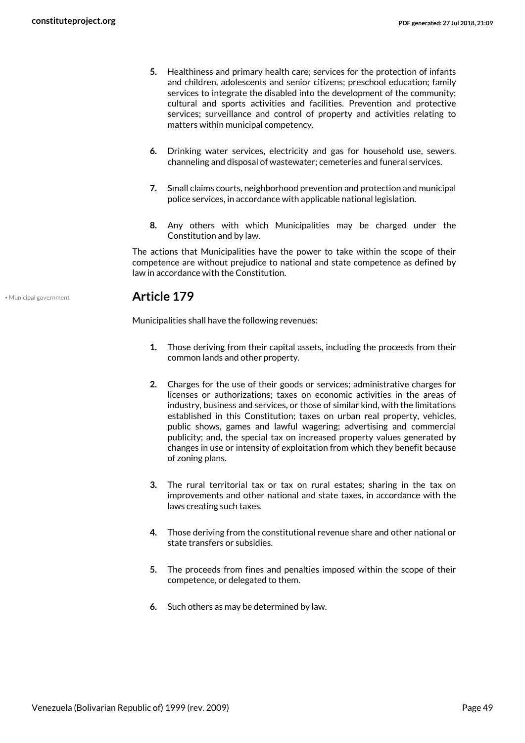- **5.** Healthiness and primary health care; services for the protection of infants and children, adolescents and senior citizens; preschool education; family services to integrate the disabled into the development of the community; cultural and sports activities and facilities. Prevention and protective services; surveillance and control of property and activities relating to matters within municipal competency.
- **6.** Drinking water services, electricity and gas for household use, sewers. channeling and disposal of wastewater; cemeteries and funeral services.
- **7.** Small claims courts, neighborhood prevention and protection and municipal police services, in accordance with applicable national legislation.
- **8.** Any others with which Municipalities may be charged under the Constitution and by law.

The actions that Municipalities have the power to take within the scope of their competence are without prejudice to national and state competence as defined by law in accordance with the Constitution.

#### • Municipal government **Article 179**

Municipalities shall have the following revenues:

- **1.** Those deriving from their capital assets, including the proceeds from their common lands and other property.
- **2.** Charges for the use of their goods or services; administrative charges for licenses or authorizations; taxes on economic activities in the areas of industry, business and services, or those of similar kind, with the limitations established in this Constitution; taxes on urban real property, vehicles, public shows, games and lawful wagering; advertising and commercial publicity; and, the special tax on increased property values generated by changes in use or intensity of exploitation from which they benefit because of zoning plans.
- **3.** The rural territorial tax or tax on rural estates; sharing in the tax on improvements and other national and state taxes, in accordance with the laws creating such taxes.
- **4.** Those deriving from the constitutional revenue share and other national or state transfers or subsidies.
- **5.** The proceeds from fines and penalties imposed within the scope of their competence, or delegated to them.
- **6.** Such others as may be determined by law.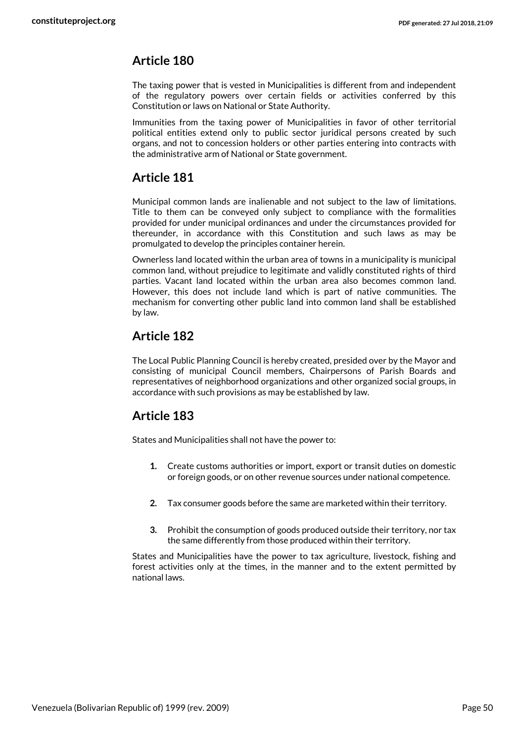The taxing power that is vested in Municipalities is different from and independent of the regulatory powers over certain fields or activities conferred by this Constitution or laws on National or State Authority.

Immunities from the taxing power of Municipalities in favor of other territorial political entities extend only to public sector juridical persons created by such organs, and not to concession holders or other parties entering into contracts with the administrative arm of National or State government.

#### **Article 181**

Municipal common lands are inalienable and not subject to the law of limitations. Title to them can be conveyed only subject to compliance with the formalities provided for under municipal ordinances and under the circumstances provided for thereunder, in accordance with this Constitution and such laws as may be promulgated to develop the principles container herein.

Ownerless land located within the urban area of towns in a municipality is municipal common land, without prejudice to legitimate and validly constituted rights of third parties. Vacant land located within the urban area also becomes common land. However, this does not include land which is part of native communities. The mechanism for converting other public land into common land shall be established by law.

## **Article 182**

The Local Public Planning Council is hereby created, presided over by the Mayor and consisting of municipal Council members, Chairpersons of Parish Boards and representatives of neighborhood organizations and other organized social groups, in accordance with such provisions as may be established by law.

### **Article 183**

States and Municipalities shall not have the power to:

- **1.** Create customs authorities or import, export or transit duties on domestic or foreign goods, or on other revenue sources under national competence.
- **2.** Tax consumer goods before the same are marketed within their territory.
- **3.** Prohibit the consumption of goods produced outside their territory, nor tax the same differently from those produced within their territory.

States and Municipalities have the power to tax agriculture, livestock, fishing and forest activities only at the times, in the manner and to the extent permitted by national laws.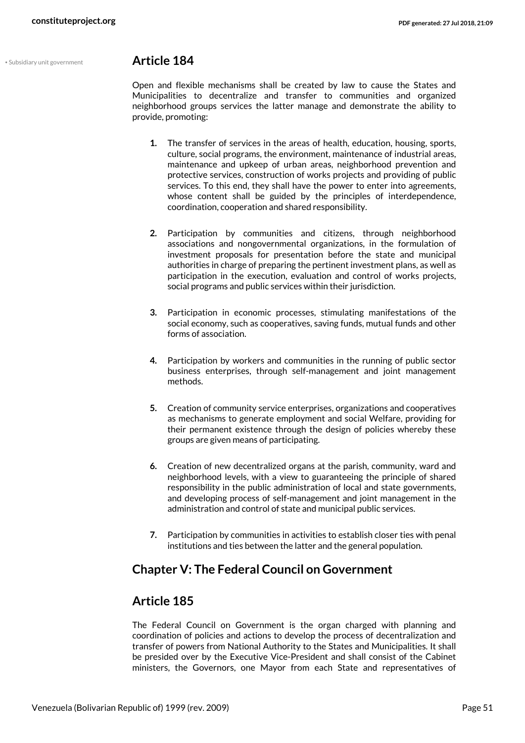#### • Subsidiary unit government **Article 184**

Open and flexible mechanisms shall be created by law to cause the States and Municipalities to decentralize and transfer to communities and organized neighborhood groups services the latter manage and demonstrate the ability to provide, promoting:

- **1.** The transfer of services in the areas of health, education, housing, sports, culture, social programs, the environment, maintenance of industrial areas, maintenance and upkeep of urban areas, neighborhood prevention and protective services, construction of works projects and providing of public services. To this end, they shall have the power to enter into agreements, whose content shall be guided by the principles of interdependence, coordination, cooperation and shared responsibility.
- **2.** Participation by communities and citizens, through neighborhood associations and nongovernmental organizations, in the formulation of investment proposals for presentation before the state and municipal authorities in charge of preparing the pertinent investment plans, as well as participation in the execution, evaluation and control of works projects, social programs and public services within their jurisdiction.
- **3.** Participation in economic processes, stimulating manifestations of the social economy, such as cooperatives, saving funds, mutual funds and other forms of association.
- **4.** Participation by workers and communities in the running of public sector business enterprises, through self-management and joint management methods.
- **5.** Creation of community service enterprises, organizations and cooperatives as mechanisms to generate employment and social Welfare, providing for their permanent existence through the design of policies whereby these groups are given means of participating.
- **6.** Creation of new decentralized organs at the parish, community, ward and neighborhood levels, with a view to guaranteeing the principle of shared responsibility in the public administration of local and state governments, and developing process of self-management and joint management in the administration and control of state and municipal public services.
- **7.** Participation by communities in activities to establish closer ties with penal institutions and ties between the latter and the general population.

### **Chapter V: The Federal Council on Government**

### **Article 185**

The Federal Council on Government is the organ charged with planning and coordination of policies and actions to develop the process of decentralization and transfer of powers from National Authority to the States and Municipalities. It shall be presided over by the Executive Vice-President and shall consist of the Cabinet ministers, the Governors, one Mayor from each State and representatives of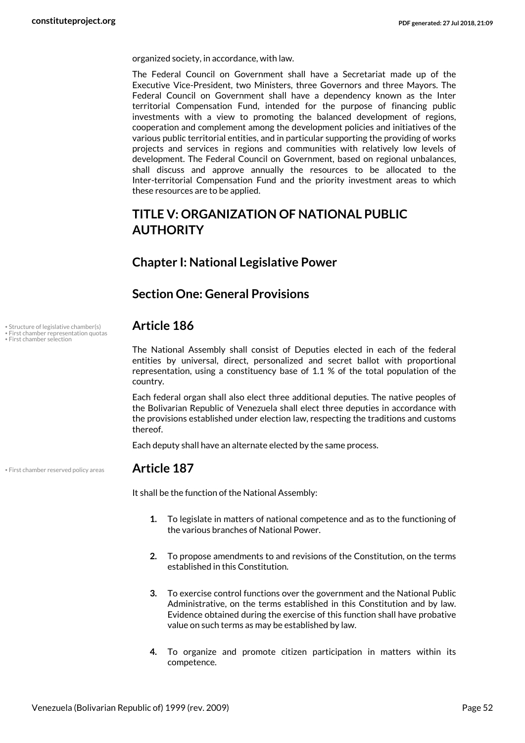organized society, in accordance, with law.

The Federal Council on Government shall have a Secretariat made up of the Executive Vice-President, two Ministers, three Governors and three Mayors. The Federal Council on Government shall have a dependency known as the Inter territorial Compensation Fund, intended for the purpose of financing public investments with a view to promoting the balanced development of regions, cooperation and complement among the development policies and initiatives of the various public territorial entities, and in particular supporting the providing of works projects and services in regions and communities with relatively low levels of development. The Federal Council on Government, based on regional unbalances, shall discuss and approve annually the resources to be allocated to the Inter-territorial Compensation Fund and the priority investment areas to which these resources are to be applied.

## **TITLE V: ORGANIZATION OF NATIONAL PUBLIC AUTHORITY**

#### **Chapter I: National Legislative Power**

#### **Section One: General Provisions**

• Structure of legislative chamber(s) **Article 186** • First chamber representation quotas • First chamber selection

The National Assembly shall consist of Deputies elected in each of the federal entities by universal, direct, personalized and secret ballot with proportional representation, using a constituency base of 1.1 % of the total population of the country.

Each federal organ shall also elect three additional deputies. The native peoples of the Bolivarian Republic of Venezuela shall elect three deputies in accordance with the provisions established under election law, respecting the traditions and customs thereof.

Each deputy shall have an alternate elected by the same process.

#### • First chamber reserved policy areas **Article 187**

It shall be the function of the National Assembly:

- **1.** To legislate in matters of national competence and as to the functioning of the various branches of National Power.
- **2.** To propose amendments to and revisions of the Constitution, on the terms established in this Constitution.
- **3.** To exercise control functions over the government and the National Public Administrative, on the terms established in this Constitution and by law. Evidence obtained during the exercise of this function shall have probative value on such terms as may be established by law.
- **4.** To organize and promote citizen participation in matters within its competence.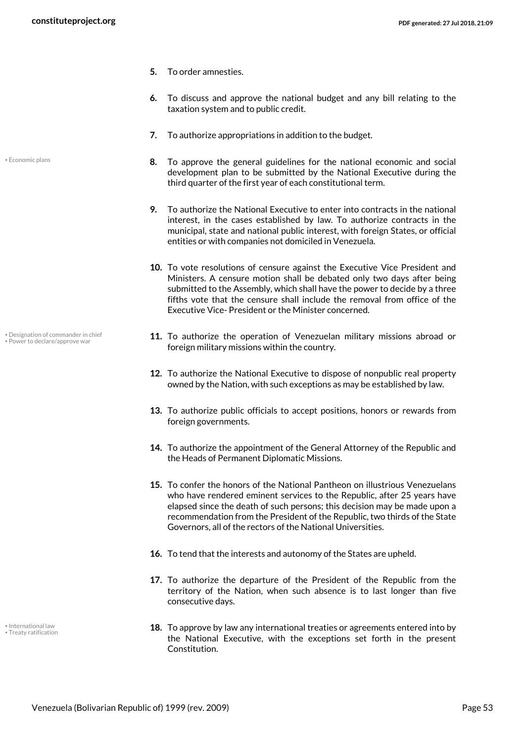- **5.** To order amnesties.
- **6.** To discuss and approve the national budget and any bill relating to the taxation system and to public credit.
- **7.** To authorize appropriations in addition to the budget.
- **8.** To approve the general guidelines for the national economic and social development plan to be submitted by the National Executive during the third quarter of the first year of each constitutional term.
- **9.** To authorize the National Executive to enter into contracts in the national interest, in the cases established by law. To authorize contracts in the municipal, state and national public interest, with foreign States, or official entities or with companies not domiciled in Venezuela.
- **10.** To vote resolutions of censure against the Executive Vice President and Ministers. A censure motion shall be debated only two days after being submitted to the Assembly, which shall have the power to decide by a three fifths vote that the censure shall include the removal from office of the Executive Vice- President or the Minister concerned.
- **11.** To authorize the operation of Venezuelan military missions abroad or foreign military missions within the country.
- **12.** To authorize the National Executive to dispose of nonpublic real property owned by the Nation, with such exceptions as may be established by law.
- **13.** To authorize public officials to accept positions, honors or rewards from foreign governments.
- **14.** To authorize the appointment of the General Attorney of the Republic and the Heads of Permanent Diplomatic Missions.
- **15.** To confer the honors of the National Pantheon on illustrious Venezuelans who have rendered eminent services to the Republic, after 25 years have elapsed since the death of such persons; this decision may be made upon a recommendation from the President of the Republic, two thirds of the State Governors, all of the rectors of the National Universities.
- **16.** To tend that the interests and autonomy of the States are upheld.
- **17.** To authorize the departure of the President of the Republic from the territory of the Nation, when such absence is to last longer than five consecutive days.
- **18.** To approve by law any international treaties or agreements entered into by the National Executive, with the exceptions set forth in the present Constitution.

• Economic plans

• Designation of commander in chief • Power to declare/approve wa

• International law • Treaty ratification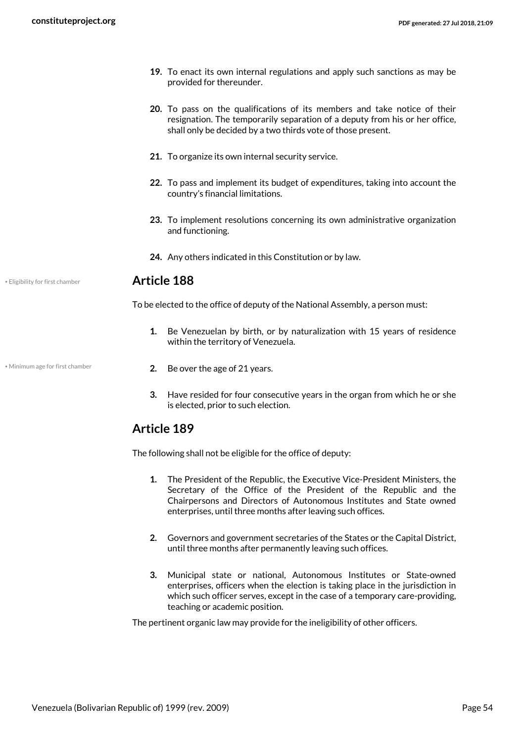- **19.** To enact its own internal regulations and apply such sanctions as may be provided for thereunder.
- **20.** To pass on the qualifications of its members and take notice of their resignation. The temporarily separation of a deputy from his or her office, shall only be decided by a two thirds vote of those present.
- **21.** To organize its own internal security service.
- **22.** To pass and implement its budget of expenditures, taking into account the country's financial limitations.
- **23.** To implement resolutions concerning its own administrative organization and functioning.
- **24.** Any others indicated in this Constitution or by law.

#### • Eligibility for first chamber **Article 188**

To be elected to the office of deputy of the National Assembly, a person must:

- **1.** Be Venezuelan by birth, or by naturalization with 15 years of residence within the territory of Venezuela.
- Minimum age for first chamber **2.** Be over the age of 21 years.
	- **3.** Have resided for four consecutive years in the organ from which he or she is elected, prior to such election.

### **Article 189**

The following shall not be eligible for the office of deputy:

- **1.** The President of the Republic, the Executive Vice-President Ministers, the Secretary of the Office of the President of the Republic and the Chairpersons and Directors of Autonomous Institutes and State owned enterprises, until three months after leaving such offices.
- **2.** Governors and government secretaries of the States or the Capital District, until three months after permanently leaving such offices.
- **3.** Municipal state or national, Autonomous Institutes or State-owned enterprises, officers when the election is taking place in the jurisdiction in which such officer serves, except in the case of a temporary care-providing, teaching or academic position.

The pertinent organic law may provide for the ineligibility of other officers.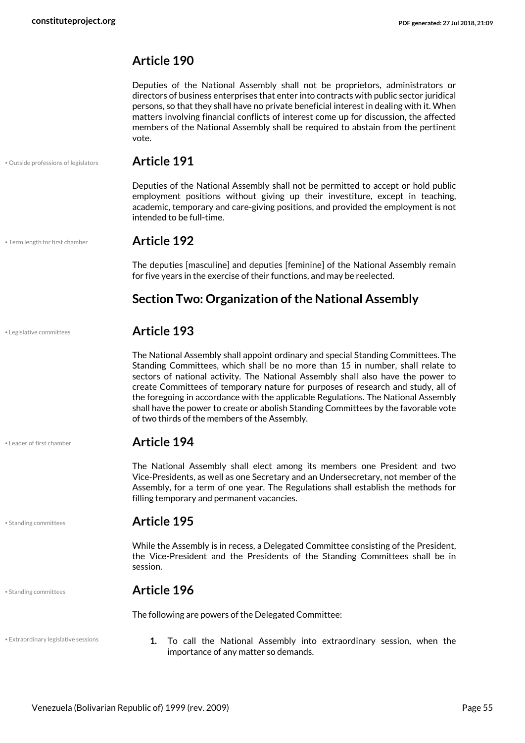Deputies of the National Assembly shall not be proprietors, administrators or directors of business enterprises that enter into contracts with public sector juridical persons, so that they shall have no private beneficial interest in dealing with it. When matters involving financial conflicts of interest come up for discussion, the affected members of the National Assembly shall be required to abstain from the pertinent vote.

• Outside professions of legislators **Article 191**

Deputies of the National Assembly shall not be permitted to accept or hold public employment positions without giving up their investiture, except in teaching, academic, temporary and care-giving positions, and provided the employment is not intended to be full-time.

• Term length for first chamber **Article 192**

The deputies [masculine] and deputies [feminine] of the National Assembly remain for five years in the exercise of their functions, and may be reelected.

The National Assembly shall appoint ordinary and special Standing Committees. The Standing Committees, which shall be no more than 15 in number, shall relate to sectors of national activity. The National Assembly shall also have the power to create Committees of temporary nature for purposes of research and study, all of the foregoing in accordance with the applicable Regulations. The National Assembly shall have the power to create or abolish Standing Committees by the favorable vote

#### **Section Two: Organization of the National Assembly**

• Legislative committees **Article 193**

#### • Leader of first chamber **Article 194**

The National Assembly shall elect among its members one President and two Vice-Presidents, as well as one Secretary and an Undersecretary, not member of the Assembly, for a term of one year. The Regulations shall establish the methods for filling temporary and permanent vacancies.

#### • Standing committees **Article 195**

While the Assembly is in recess, a Delegated Committee consisting of the President, the Vice-President and the Presidents of the Standing Committees shall be in session.

#### • Standing committees **Article 196**

The following are powers of the Delegated Committee:

of two thirds of the members of the Assembly.

• Extraordinary legislative sessions

**1.** To call the National Assembly into extraordinary session, when the importance of any matter so demands.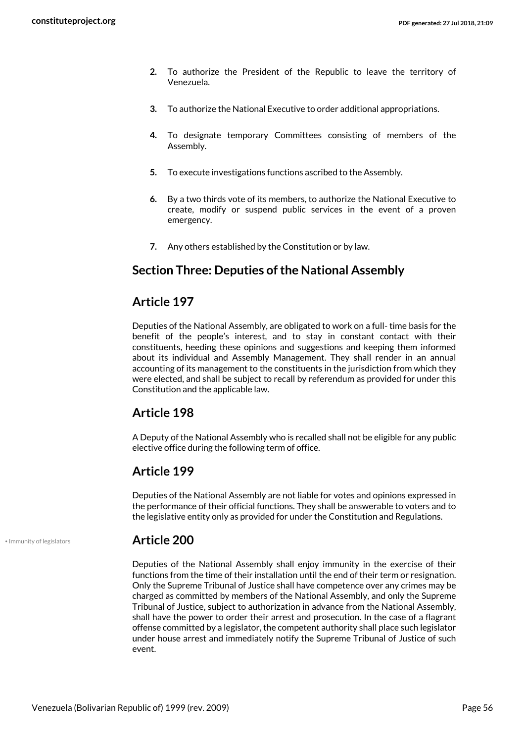- **2.** To authorize the President of the Republic to leave the territory of Venezuela.
- **3.** To authorize the National Executive to order additional appropriations.
- **4.** To designate temporary Committees consisting of members of the Assembly.
- **5.** To execute investigations functions ascribed to the Assembly.
- **6.** By a two thirds vote of its members, to authorize the National Executive to create, modify or suspend public services in the event of a proven emergency.
- **7.** Any others established by the Constitution or by law.

## **Section Three: Deputies of the National Assembly**

### **Article 197**

Deputies of the National Assembly, are obligated to work on a full- time basis for the benefit of the people's interest, and to stay in constant contact with their constituents, heeding these opinions and suggestions and keeping them informed about its individual and Assembly Management. They shall render in an annual accounting of its management to the constituents in the jurisdiction from which they were elected, and shall be subject to recall by referendum as provided for under this Constitution and the applicable law.

### **Article 198**

A Deputy of the National Assembly who is recalled shall not be eligible for any public elective office during the following term of office.

### **Article 199**

Deputies of the National Assembly are not liable for votes and opinions expressed in the performance of their official functions. They shall be answerable to voters and to the legislative entity only as provided for under the Constitution and Regulations.

#### • Immunity of legislators **Article 200**

Deputies of the National Assembly shall enjoy immunity in the exercise of their functions from the time of their installation until the end of their term or resignation. Only the Supreme Tribunal of Justice shall have competence over any crimes may be charged as committed by members of the National Assembly, and only the Supreme Tribunal of Justice, subject to authorization in advance from the National Assembly, shall have the power to order their arrest and prosecution. In the case of a flagrant offense committed by a legislator, the competent authority shall place such legislator under house arrest and immediately notify the Supreme Tribunal of Justice of such event.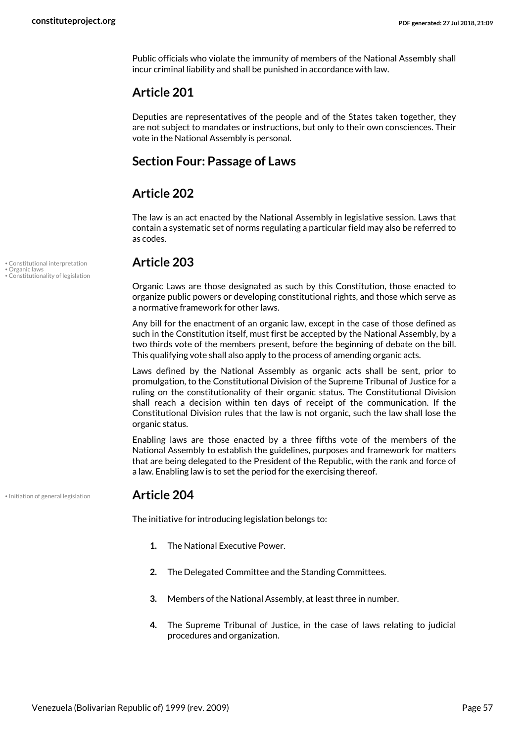Public officials who violate the immunity of members of the National Assembly shall incur criminal liability and shall be punished in accordance with law.

## **Article 201**

Deputies are representatives of the people and of the States taken together, they are not subject to mandates or instructions, but only to their own consciences. Their vote in the National Assembly is personal.

### **Section Four: Passage of Laws**

## **Article 202**

The law is an act enacted by the National Assembly in legislative session. Laws that contain a systematic set of norms regulating a particular field may also be referred to as codes.

# • Constitutional interpretation **Article 203** • Organic laws

Organic Laws are those designated as such by this Constitution, those enacted to organize public powers or developing constitutional rights, and those which serve as a normative framework for other laws.

Any bill for the enactment of an organic law, except in the case of those defined as such in the Constitution itself, must first be accepted by the National Assembly, by a two thirds vote of the members present, before the beginning of debate on the bill. This qualifying vote shall also apply to the process of amending organic acts.

Laws defined by the National Assembly as organic acts shall be sent, prior to promulgation, to the Constitutional Division of the Supreme Tribunal of Justice for a ruling on the constitutionality of their organic status. The Constitutional Division shall reach a decision within ten days of receipt of the communication. If the Constitutional Division rules that the law is not organic, such the law shall lose the organic status.

Enabling laws are those enacted by a three fifths vote of the members of the National Assembly to establish the guidelines, purposes and framework for matters that are being delegated to the President of the Republic, with the rank and force of a law. Enabling law is to set the period for the exercising thereof.

• Initiation of general legislation **Article 204**

• Constitutionality of legislation

The initiative for introducing legislation belongs to:

- **1.** The National Executive Power.
- **2.** The Delegated Committee and the Standing Committees.
- **3.** Members of the National Assembly, at least three in number.
- **4.** The Supreme Tribunal of Justice, in the case of laws relating to judicial procedures and organization.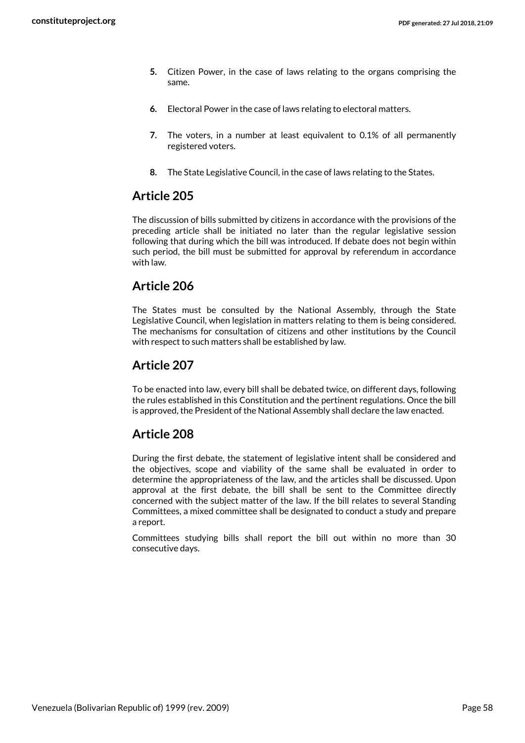- **5.** Citizen Power, in the case of laws relating to the organs comprising the same.
- **6.** Electoral Power in the case of laws relating to electoral matters.
- **7.** The voters, in a number at least equivalent to 0.1% of all permanently registered voters.
- **8.** The State Legislative Council, in the case of laws relating to the States.

The discussion of bills submitted by citizens in accordance with the provisions of the preceding article shall be initiated no later than the regular legislative session following that during which the bill was introduced. If debate does not begin within such period, the bill must be submitted for approval by referendum in accordance with law.

## **Article 206**

The States must be consulted by the National Assembly, through the State Legislative Council, when legislation in matters relating to them is being considered. The mechanisms for consultation of citizens and other institutions by the Council with respect to such matters shall be established by law.

#### **Article 207**

To be enacted into law, every bill shall be debated twice, on different days, following the rules established in this Constitution and the pertinent regulations. Once the bill is approved, the President of the National Assembly shall declare the law enacted.

### **Article 208**

During the first debate, the statement of legislative intent shall be considered and the objectives, scope and viability of the same shall be evaluated in order to determine the appropriateness of the law, and the articles shall be discussed. Upon approval at the first debate, the bill shall be sent to the Committee directly concerned with the subject matter of the law. If the bill relates to several Standing Committees, a mixed committee shall be designated to conduct a study and prepare a report.

Committees studying bills shall report the bill out within no more than 30 consecutive days.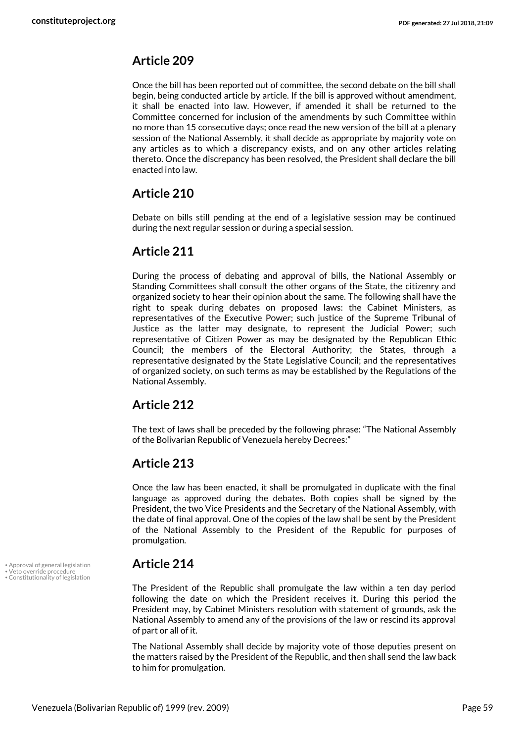Once the bill has been reported out of committee, the second debate on the bill shall begin, being conducted article by article. If the bill is approved without amendment, it shall be enacted into law. However, if amended it shall be returned to the Committee concerned for inclusion of the amendments by such Committee within no more than 15 consecutive days; once read the new version of the bill at a plenary session of the National Assembly, it shall decide as appropriate by majority vote on any articles as to which a discrepancy exists, and on any other articles relating thereto. Once the discrepancy has been resolved, the President shall declare the bill enacted into law.

## **Article 210**

Debate on bills still pending at the end of a legislative session may be continued during the next regular session or during a special session.

## **Article 211**

During the process of debating and approval of bills, the National Assembly or Standing Committees shall consult the other organs of the State, the citizenry and organized society to hear their opinion about the same. The following shall have the right to speak during debates on proposed laws: the Cabinet Ministers, as representatives of the Executive Power; such justice of the Supreme Tribunal of Justice as the latter may designate, to represent the Judicial Power; such representative of Citizen Power as may be designated by the Republican Ethic Council; the members of the Electoral Authority; the States, through a representative designated by the State Legislative Council; and the representatives of organized society, on such terms as may be established by the Regulations of the National Assembly.

### **Article 212**

The text of laws shall be preceded by the following phrase: "The National Assembly of the Bolivarian Republic of Venezuela hereby Decrees:"

### **Article 213**

Once the law has been enacted, it shall be promulgated in duplicate with the final language as approved during the debates. Both copies shall be signed by the President, the two Vice Presidents and the Secretary of the National Assembly, with the date of final approval. One of the copies of the law shall be sent by the President of the National Assembly to the President of the Republic for purposes of promulgation.

The President of the Republic shall promulgate the law within a ten day period following the date on which the President receives it. During this period the President may, by Cabinet Ministers resolution with statement of grounds, ask the National Assembly to amend any of the provisions of the law or rescind its approval of part or all of it.

The National Assembly shall decide by majority vote of those deputies present on the matters raised by the President of the Republic, and then shall send the law back to him for promulgation.

• Approval of general legislation **Article 214** • Veto override procedure • Constitutionality of legislation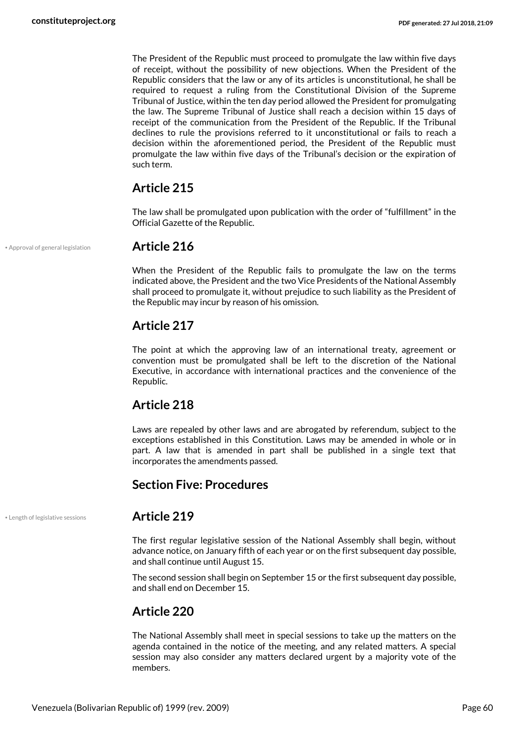The President of the Republic must proceed to promulgate the law within five days of receipt, without the possibility of new objections. When the President of the Republic considers that the law or any of its articles is unconstitutional, he shall be required to request a ruling from the Constitutional Division of the Supreme Tribunal of Justice, within the ten day period allowed the President for promulgating the law. The Supreme Tribunal of Justice shall reach a decision within 15 days of receipt of the communication from the President of the Republic. If the Tribunal declines to rule the provisions referred to it unconstitutional or fails to reach a decision within the aforementioned period, the President of the Republic must promulgate the law within five days of the Tribunal's decision or the expiration of such term.

#### **Article 215**

The law shall be promulgated upon publication with the order of "fulfillment" in the Official Gazette of the Republic.

• Approval of general legislation **Article 216**

When the President of the Republic fails to promulgate the law on the terms indicated above, the President and the two Vice Presidents of the National Assembly shall proceed to promulgate it, without prejudice to such liability as the President of the Republic may incur by reason of his omission.

#### **Article 217**

The point at which the approving law of an international treaty, agreement or convention must be promulgated shall be left to the discretion of the National Executive, in accordance with international practices and the convenience of the Republic.

#### **Article 218**

Laws are repealed by other laws and are abrogated by referendum, subject to the exceptions established in this Constitution. Laws may be amended in whole or in part. A law that is amended in part shall be published in a single text that incorporates the amendments passed.

#### **Section Five: Procedures**

#### • Length of legislative sessions **Article 219**

The first regular legislative session of the National Assembly shall begin, without advance notice, on January fifth of each year or on the first subsequent day possible, and shall continue until August 15.

The second session shall begin on September 15 or the first subsequent day possible, and shall end on December 15.

### **Article 220**

The National Assembly shall meet in special sessions to take up the matters on the agenda contained in the notice of the meeting, and any related matters. A special session may also consider any matters declared urgent by a majority vote of the members.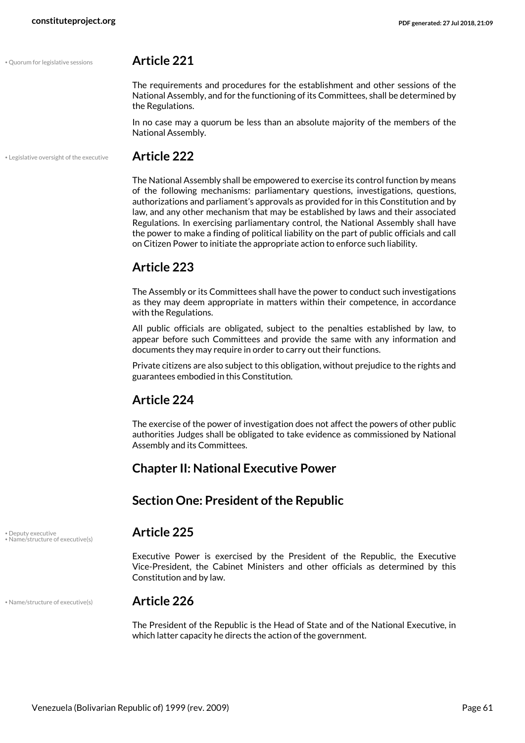• Quorum for legislative sessions **Article 221**

The requirements and procedures for the establishment and other sessions of the National Assembly, and for the functioning of its Committees, shall be determined by the Regulations.

In no case may a quorum be less than an absolute majority of the members of the National Assembly.

• Legislative oversight of the executive **Article 222**

The National Assembly shall be empowered to exercise its control function by means of the following mechanisms: parliamentary questions, investigations, questions, authorizations and parliament's approvals as provided for in this Constitution and by law, and any other mechanism that may be established by laws and their associated Regulations. In exercising parliamentary control, the National Assembly shall have the power to make a finding of political liability on the part of public officials and call on Citizen Power to initiate the appropriate action to enforce such liability.

## **Article 223**

The Assembly or its Committees shall have the power to conduct such investigations as they may deem appropriate in matters within their competence, in accordance with the Regulations.

All public officials are obligated, subject to the penalties established by law, to appear before such Committees and provide the same with any information and documents they may require in order to carry out their functions.

Private citizens are also subject to this obligation, without prejudice to the rights and guarantees embodied in this Constitution.

## **Article 224**

The exercise of the power of investigation does not affect the powers of other public authorities Judges shall be obligated to take evidence as commissioned by National Assembly and its Committees.

### **Chapter II: National Executive Power**

### **Section One: President of the Republic**

• Deputy executive **Article 225** • Name/structure of executive(s)

Executive Power is exercised by the President of the Republic, the Executive Vice-President, the Cabinet Ministers and other officials as determined by this Constitution and by law.

#### • Name/structure of executive(s) **Article 226**

The President of the Republic is the Head of State and of the National Executive, in which latter capacity he directs the action of the government.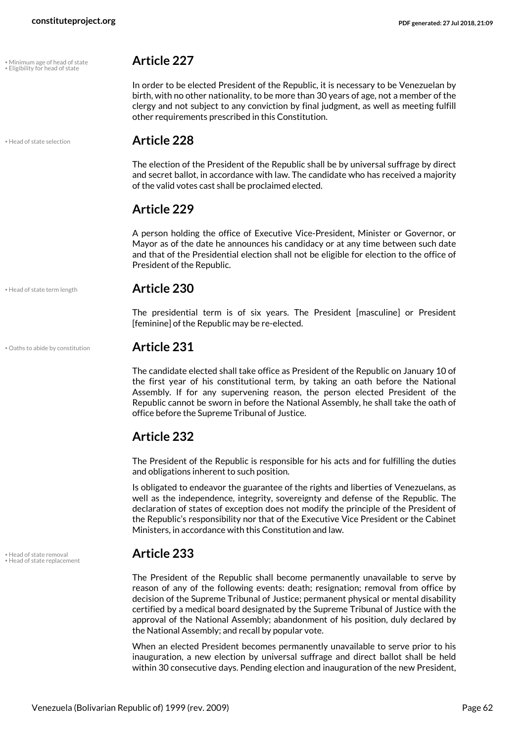• Minimum age of head of state **Article 227** • Eligibility for head of state

In order to be elected President of the Republic, it is necessary to be Venezuelan by birth, with no other nationality, to be more than 30 years of age, not a member of the clergy and not subject to any conviction by final judgment, as well as meeting fulfill other requirements prescribed in this Constitution.

#### • Head of state selection **Article 228**

The election of the President of the Republic shall be by universal suffrage by direct and secret ballot, in accordance with law. The candidate who has received a majority of the valid votes cast shall be proclaimed elected.

#### **Article 229**

A person holding the office of Executive Vice-President, Minister or Governor, or Mayor as of the date he announces his candidacy or at any time between such date and that of the Presidential election shall not be eligible for election to the office of President of the Republic.

#### • Head of state term length **Article 230**

The presidential term is of six years. The President [masculine] or President [feminine] of the Republic may be re-elected.

#### • Oaths to abide by constitution **Article 231**

The candidate elected shall take office as President of the Republic on January 10 of the first year of his constitutional term, by taking an oath before the National Assembly. If for any supervening reason, the person elected President of the Republic cannot be sworn in before the National Assembly, he shall take the oath of office before the Supreme Tribunal of Justice.

#### **Article 232**

The President of the Republic is responsible for his acts and for fulfilling the duties and obligations inherent to such position.

Is obligated to endeavor the guarantee of the rights and liberties of Venezuelans, as well as the independence, integrity, sovereignty and defense of the Republic. The declaration of states of exception does not modify the principle of the President of the Republic's responsibility nor that of the Executive Vice President or the Cabinet Ministers, in accordance with this Constitution and law.

The President of the Republic shall become permanently unavailable to serve by reason of any of the following events: death; resignation; removal from office by decision of the Supreme Tribunal of Justice; permanent physical or mental disability certified by a medical board designated by the Supreme Tribunal of Justice with the approval of the National Assembly; abandonment of his position, duly declared by the National Assembly; and recall by popular vote.

When an elected President becomes permanently unavailable to serve prior to his inauguration, a new election by universal suffrage and direct ballot shall be held within 30 consecutive days. Pending election and inauguration of the new President,

• Head of state removal **Article 233** • Head of state replacement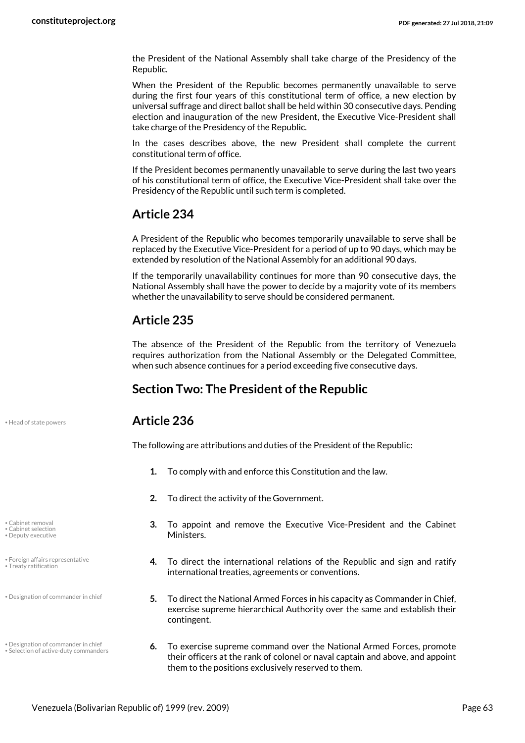the President of the National Assembly shall take charge of the Presidency of the Republic.

When the President of the Republic becomes permanently unavailable to serve during the first four years of this constitutional term of office, a new election by universal suffrage and direct ballot shall be held within 30 consecutive days. Pending election and inauguration of the new President, the Executive Vice-President shall take charge of the Presidency of the Republic.

In the cases describes above, the new President shall complete the current constitutional term of office.

If the President becomes permanently unavailable to serve during the last two years of his constitutional term of office, the Executive Vice-President shall take over the Presidency of the Republic until such term is completed.

#### **Article 234**

A President of the Republic who becomes temporarily unavailable to serve shall be replaced by the Executive Vice-President for a period of up to 90 days, which may be extended by resolution of the National Assembly for an additional 90 days.

If the temporarily unavailability continues for more than 90 consecutive days, the National Assembly shall have the power to decide by a majority vote of its members whether the unavailability to serve should be considered permanent.

## **Article 235**

The absence of the President of the Republic from the territory of Venezuela requires authorization from the National Assembly or the Delegated Committee, when such absence continues for a period exceeding five consecutive days.

## **Section Two: The President of the Republic**

#### • Head of state powers **Article 236**

The following are attributions and duties of the President of the Republic:

- **1.** To comply with and enforce this Constitution and the law.
- **2.** To direct the activity of the Government.
- **3.** To appoint and remove the Executive Vice-President and the Cabinet Ministers.
- **4.** To direct the international relations of the Republic and sign and ratify international treaties, agreements or conventions.
- **5.** To direct the National Armed Forces in his capacity as Commander in Chief, exercise supreme hierarchical Authority over the same and establish their contingent.
- **6.** To exercise supreme command over the National Armed Forces, promote their officers at the rank of colonel or naval captain and above, and appoint them to the positions exclusively reserved to them.

• Cabinet removal

- Cabinet selection • Deputy executive
- 
- Foreign affairs representative • Treaty ratification
- Designation of commander in chief
- Designation of commander in chief • Selection of active-duty commanders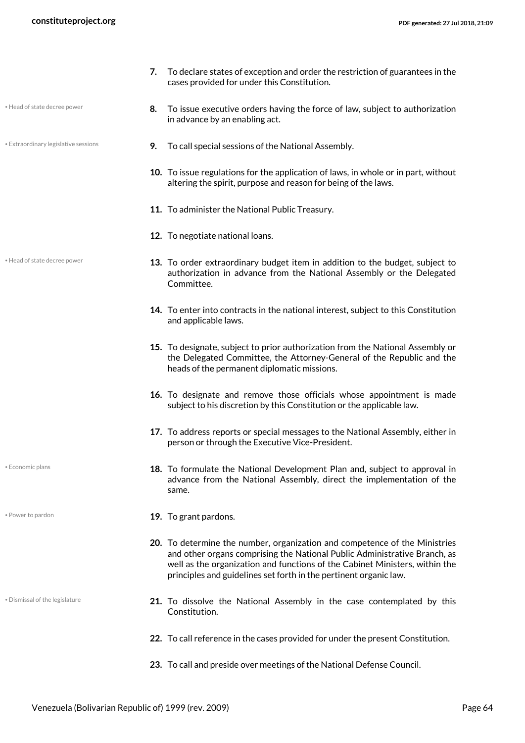- **7.** To declare states of exception and order the restriction of guarantees in the cases provided for under this Constitution. **8.** To issue executive orders having the force of law, subject to authorization in advance by an enabling act. • Head of state decree power **Extraordinary legislative sessions 9.** To call special sessions of the National Assembly. **10.** To issue regulations for the application of laws, in whole or in part, without altering the spirit, purpose and reason for being of the laws. **11.** To administer the National Public Treasury. **12.** To negotiate national loans. **13.** To order extraordinary budget item in addition to the budget, subject to authorization in advance from the National Assembly or the Delegated Committee. • Head of state decree power **14.** To enter into contracts in the national interest, subject to this Constitution and applicable laws. **15.** To designate, subject to prior authorization from the National Assembly or the Delegated Committee, the Attorney-General of the Republic and the heads of the permanent diplomatic missions. **16.** To designate and remove those officials whose appointment is made subject to his discretion by this Constitution or the applicable law. **17.** To address reports or special messages to the National Assembly, either in person or through the Executive Vice-President. **18.** To formulate the National Development Plan and, subject to approval in advance from the National Assembly, direct the implementation of the same. • Economic plans • Power to pardon **19. To grant pardons. 20.** To determine the number, organization and competence of the Ministries and other organs comprising the National Public Administrative Branch, as well as the organization and functions of the Cabinet Ministers, within the principles and guidelines set forth in the pertinent organic law. **21.** To dissolve the National Assembly in the case contemplated by this Constitution. • Dismissal of the legislature **22.** To call reference in the cases provided for under the present Constitution.
	- **23.** To call and preside over meetings of the National Defense Council.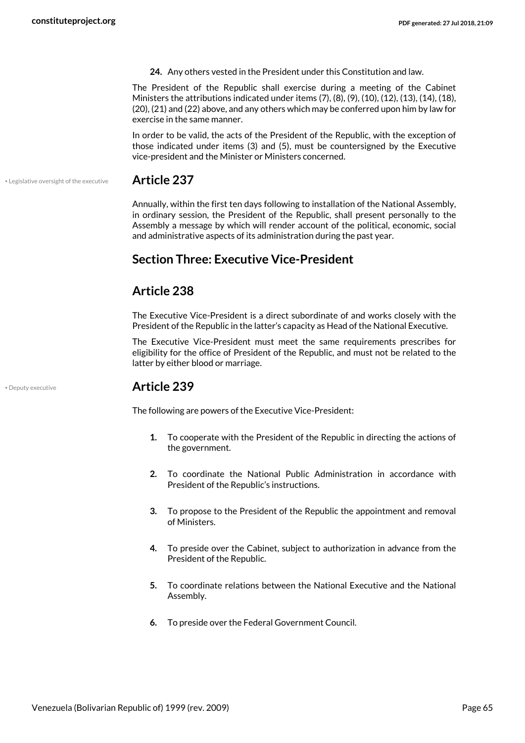**24.** Any others vested in the President under this Constitution and law.

The President of the Republic shall exercise during a meeting of the Cabinet Ministers the attributions indicated under items (7), (8), (9), (10), (12), (13), (14), (18), (20), (21) and (22) above, and any others which may be conferred upon him by law for exercise in the same manner.

In order to be valid, the acts of the President of the Republic, with the exception of those indicated under items (3) and (5), must be countersigned by the Executive vice-president and the Minister or Ministers concerned.

• Legislative oversight of the executive **Article 237**

Annually, within the first ten days following to installation of the National Assembly, in ordinary session, the President of the Republic, shall present personally to the Assembly a message by which will render account of the political, economic, social and administrative aspects of its administration during the past year.

#### **Section Three: Executive Vice-President**

#### **Article 238**

The Executive Vice-President is a direct subordinate of and works closely with the President of the Republic in the latter's capacity as Head of the National Executive.

The Executive Vice-President must meet the same requirements prescribes for eligibility for the office of President of the Republic, and must not be related to the latter by either blood or marriage.

#### • Deputy executive **Article 239**

The following are powers of the Executive Vice-President:

- **1.** To cooperate with the President of the Republic in directing the actions of the government.
- **2.** To coordinate the National Public Administration in accordance with President of the Republic's instructions.
- **3.** To propose to the President of the Republic the appointment and removal of Ministers.
- **4.** To preside over the Cabinet, subject to authorization in advance from the President of the Republic.
- **5.** To coordinate relations between the National Executive and the National Assembly.
- **6.** To preside over the Federal Government Council.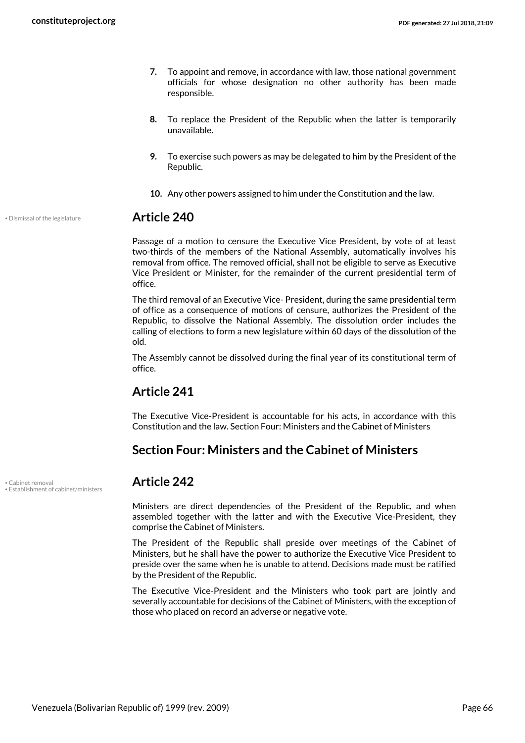- **7.** To appoint and remove, in accordance with law, those national government officials for whose designation no other authority has been made responsible.
- **8.** To replace the President of the Republic when the latter is temporarily unavailable.
- **9.** To exercise such powers as may be delegated to him by the President of the Republic.
- **10.** Any other powers assigned to him under the Constitution and the law.

#### • Dismissal of the legislature **Article 240**

Passage of a motion to censure the Executive Vice President, by vote of at least two-thirds of the members of the National Assembly, automatically involves his removal from office. The removed official, shall not be eligible to serve as Executive Vice President or Minister, for the remainder of the current presidential term of office.

The third removal of an Executive Vice- President, during the same presidential term of office as a consequence of motions of censure, authorizes the President of the Republic, to dissolve the National Assembly. The dissolution order includes the calling of elections to form a new legislature within 60 days of the dissolution of the old.

The Assembly cannot be dissolved during the final year of its constitutional term of office.

### **Article 241**

The Executive Vice-President is accountable for his acts, in accordance with this Constitution and the law. Section Four: Ministers and the Cabinet of Ministers

### **Section Four: Ministers and the Cabinet of Ministers**

# • Cabinet removal **Article 242** • Establishment of cabinet/ministers

Ministers are direct dependencies of the President of the Republic, and when assembled together with the latter and with the Executive Vice-President, they comprise the Cabinet of Ministers.

The President of the Republic shall preside over meetings of the Cabinet of Ministers, but he shall have the power to authorize the Executive Vice President to preside over the same when he is unable to attend. Decisions made must be ratified by the President of the Republic.

The Executive Vice-President and the Ministers who took part are jointly and severally accountable for decisions of the Cabinet of Ministers, with the exception of those who placed on record an adverse or negative vote.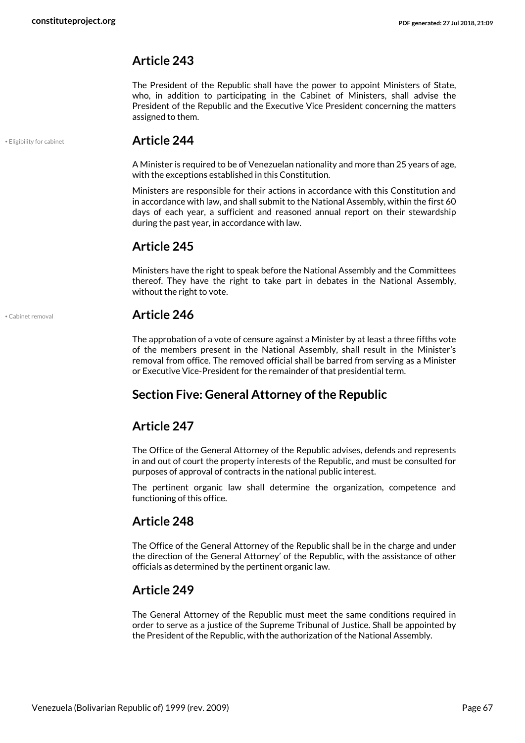The President of the Republic shall have the power to appoint Ministers of State, who, in addition to participating in the Cabinet of Ministers, shall advise the President of the Republic and the Executive Vice President concerning the matters assigned to them.

#### • Eligibility for cabinet **Article 244**

A Minister is required to be of Venezuelan nationality and more than 25 years of age, with the exceptions established in this Constitution.

Ministers are responsible for their actions in accordance with this Constitution and in accordance with law, and shall submit to the National Assembly, within the first 60 days of each year, a sufficient and reasoned annual report on their stewardship during the past year, in accordance with law.

## **Article 245**

Ministers have the right to speak before the National Assembly and the Committees thereof. They have the right to take part in debates in the National Assembly, without the right to vote.

#### • Cabinet removal **Article 246**

The approbation of a vote of censure against a Minister by at least a three fifths vote of the members present in the National Assembly, shall result in the Minister's removal from office. The removed official shall be barred from serving as a Minister or Executive Vice-President for the remainder of that presidential term.

## **Section Five: General Attorney of the Republic**

### **Article 247**

The Office of the General Attorney of the Republic advises, defends and represents in and out of court the property interests of the Republic, and must be consulted for purposes of approval of contracts in the national public interest.

The pertinent organic law shall determine the organization, competence and functioning of this office.

### **Article 248**

The Office of the General Attorney of the Republic shall be in the charge and under the direction of the General Attorney' of the Republic, with the assistance of other officials as determined by the pertinent organic law.

### **Article 249**

The General Attorney of the Republic must meet the same conditions required in order to serve as a justice of the Supreme Tribunal of Justice. Shall be appointed by the President of the Republic, with the authorization of the National Assembly.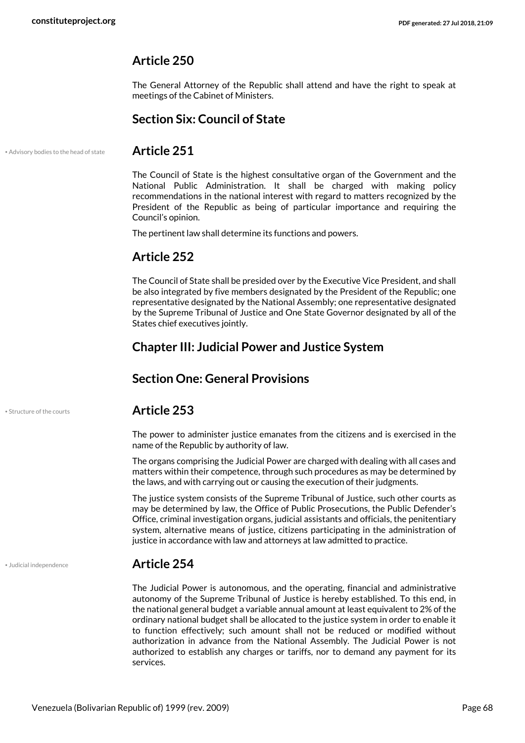The General Attorney of the Republic shall attend and have the right to speak at meetings of the Cabinet of Ministers.

#### **Section Six: Council of State**

• Advisory bodies to the head of state **Article 251** 

The Council of State is the highest consultative organ of the Government and the National Public Administration. It shall be charged with making policy recommendations in the national interest with regard to matters recognized by the President of the Republic as being of particular importance and requiring the Council's opinion.

The pertinent law shall determine its functions and powers.

## **Article 252**

The Council of State shall be presided over by the Executive Vice President, and shall be also integrated by five members designated by the President of the Republic; one representative designated by the National Assembly; one representative designated by the Supreme Tribunal of Justice and One State Governor designated by all of the States chief executives jointly.

### **Chapter III: Judicial Power and Justice System**

#### **Section One: General Provisions**

### • Structure of the courts **Article 253**

The power to administer justice emanates from the citizens and is exercised in the name of the Republic by authority of law.

The organs comprising the Judicial Power are charged with dealing with all cases and matters within their competence, through such procedures as may be determined by the laws, and with carrying out or causing the execution of their judgments.

The justice system consists of the Supreme Tribunal of Justice, such other courts as may be determined by law, the Office of Public Prosecutions, the Public Defender's Office, criminal investigation organs, judicial assistants and officials, the penitentiary system, alternative means of justice, citizens participating in the administration of justice in accordance with law and attorneys at law admitted to practice.

• Judicial independence **Article 254**

The Judicial Power is autonomous, and the operating, financial and administrative autonomy of the Supreme Tribunal of Justice is hereby established. To this end, in the national general budget a variable annual amount at least equivalent to 2% of the ordinary national budget shall be allocated to the justice system in order to enable it to function effectively; such amount shall not be reduced or modified without authorization in advance from the National Assembly. The Judicial Power is not authorized to establish any charges or tariffs, nor to demand any payment for its services.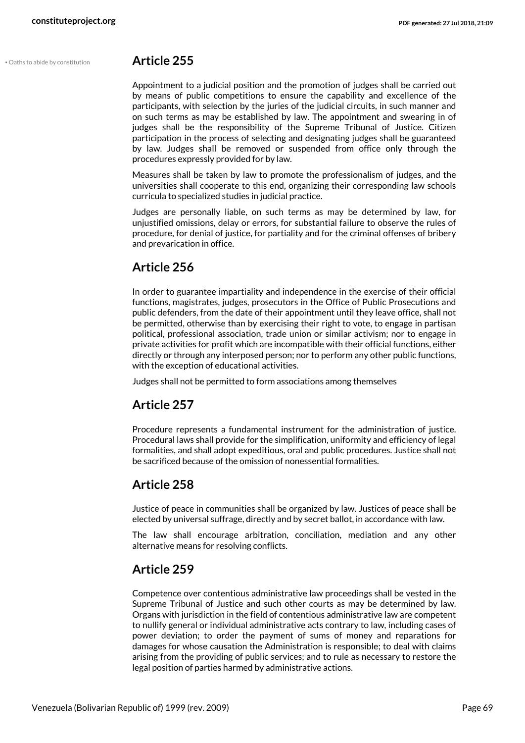#### • Oaths to abide by constitution **Article 255**

Appointment to a judicial position and the promotion of judges shall be carried out by means of public competitions to ensure the capability and excellence of the participants, with selection by the juries of the judicial circuits, in such manner and on such terms as may be established by law. The appointment and swearing in of judges shall be the responsibility of the Supreme Tribunal of Justice. Citizen participation in the process of selecting and designating judges shall be guaranteed by law. Judges shall be removed or suspended from office only through the procedures expressly provided for by law.

Measures shall be taken by law to promote the professionalism of judges, and the universities shall cooperate to this end, organizing their corresponding law schools curricula to specialized studies in judicial practice.

Judges are personally liable, on such terms as may be determined by law, for unjustified omissions, delay or errors, for substantial failure to observe the rules of procedure, for denial of justice, for partiality and for the criminal offenses of bribery and prevarication in office.

### **Article 256**

In order to guarantee impartiality and independence in the exercise of their official functions, magistrates, judges, prosecutors in the Office of Public Prosecutions and public defenders, from the date of their appointment until they leave office, shall not be permitted, otherwise than by exercising their right to vote, to engage in partisan political, professional association, trade union or similar activism; nor to engage in private activities for profit which are incompatible with their official functions, either directly or through any interposed person; nor to perform any other public functions, with the exception of educational activities.

Judges shall not be permitted to form associations among themselves

### **Article 257**

Procedure represents a fundamental instrument for the administration of justice. Procedural laws shall provide for the simplification, uniformity and efficiency of legal formalities, and shall adopt expeditious, oral and public procedures. Justice shall not be sacrificed because of the omission of nonessential formalities.

### **Article 258**

Justice of peace in communities shall be organized by law. Justices of peace shall be elected by universal suffrage, directly and by secret ballot, in accordance with law.

The law shall encourage arbitration, conciliation, mediation and any other alternative means for resolving conflicts.

### **Article 259**

Competence over contentious administrative law proceedings shall be vested in the Supreme Tribunal of Justice and such other courts as may be determined by law. Organs with jurisdiction in the field of contentious administrative law are competent to nullify general or individual administrative acts contrary to law, including cases of power deviation; to order the payment of sums of money and reparations for damages for whose causation the Administration is responsible; to deal with claims arising from the providing of public services; and to rule as necessary to restore the legal position of parties harmed by administrative actions.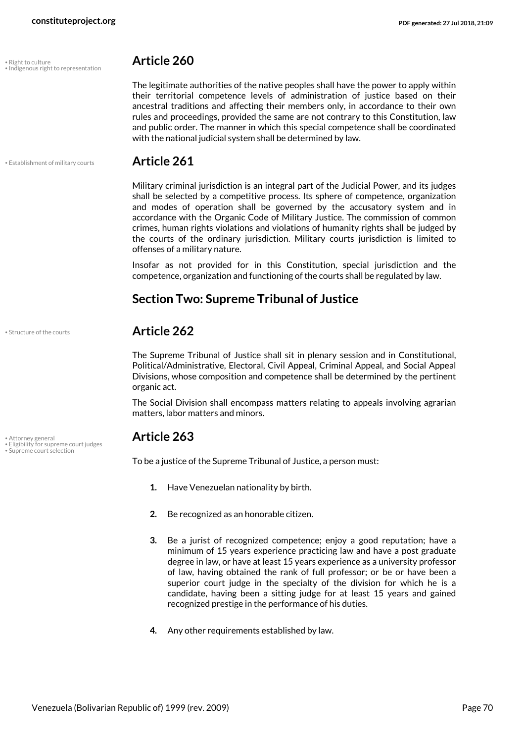The legitimate authorities of the native peoples shall have the power to apply within their territorial competence levels of administration of justice based on their ancestral traditions and affecting their members only, in accordance to their own rules and proceedings, provided the same are not contrary to this Constitution, law and public order. The manner in which this special competence shall be coordinated with the national judicial system shall be determined by law.

• Establishment of military courts **Article 261**

Military criminal jurisdiction is an integral part of the Judicial Power, and its judges shall be selected by a competitive process. Its sphere of competence, organization and modes of operation shall be governed by the accusatory system and in accordance with the Organic Code of Military Justice. The commission of common crimes, human rights violations and violations of humanity rights shall be judged by the courts of the ordinary jurisdiction. Military courts jurisdiction is limited to offenses of a military nature.

Insofar as not provided for in this Constitution, special jurisdiction and the competence, organization and functioning of the courts shall be regulated by law.

### **Section Two: Supreme Tribunal of Justice**

• Supreme court selection

#### • Structure of the courts **Article 262**

The Supreme Tribunal of Justice shall sit in plenary session and in Constitutional, Political/Administrative, Electoral, Civil Appeal, Criminal Appeal, and Social Appeal Divisions, whose composition and competence shall be determined by the pertinent organic act.

The Social Division shall encompass matters relating to appeals involving agrarian matters, labor matters and minors.

# • Attorney general **Article 263** • Eligibility for supreme court judges

To be a justice of the Supreme Tribunal of Justice, a person must:

- **1.** Have Venezuelan nationality by birth.
- **2.** Be recognized as an honorable citizen.
- **3.** Be a jurist of recognized competence; enjoy a good reputation; have a minimum of 15 years experience practicing law and have a post graduate degree in law, or have at least 15 years experience as a university professor of law, having obtained the rank of full professor; or be or have been a superior court judge in the specialty of the division for which he is a candidate, having been a sitting judge for at least 15 years and gained recognized prestige in the performance of his duties.
- **4.** Any other requirements established by law.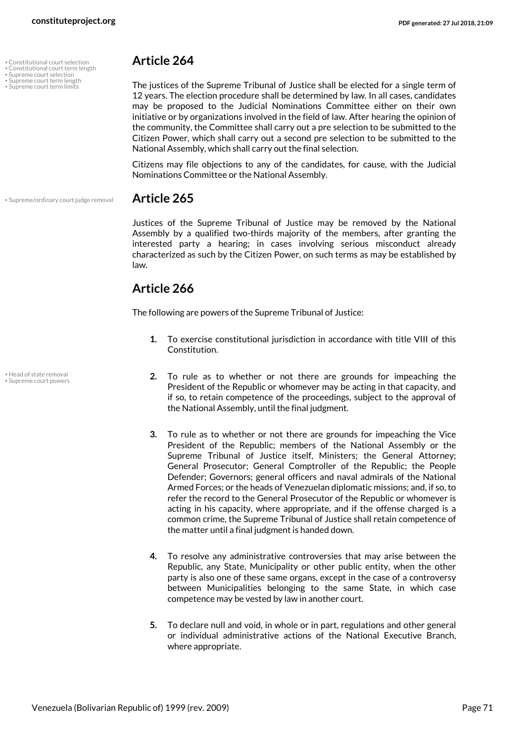- Constitutional court selection **Article 264** Constitutional court term length Supreme court selection
- 
- 
- Supreme court term length<br>• Supreme court term limits

The justices of the Supreme Tribunal of Justice shall be elected for a single term of 12 years. The election procedure shall be determined by law. In all cases, candidates may be proposed to the Judicial Nominations Committee either on their own initiative or by organizations involved in the field of law. After hearing the opinion of the community, the Committee shall carry out a pre selection to be submitted to the Citizen Power, which shall carry out a second pre selection to be submitted to the National Assembly, which shall carry out the final selection.

Citizens may file objections to any of the candidates, for cause, with the Judicial Nominations Committee or the National Assembly.

• Supreme/ordinary court judge removal **Article 265**

Justices of the Supreme Tribunal of Justice may be removed by the National Assembly by a qualified two-thirds majority of the members, after granting the interested party a hearing; in cases involving serious misconduct already characterized as such by the Citizen Power, on such terms as may be established by law.

### **Article 266**

The following are powers of the Supreme Tribunal of Justice:

- **1.** To exercise constitutional jurisdiction in accordance with title VIII of this Constitution.
- **2.** To rule as to whether or not there are grounds for impeaching the President of the Republic or whomever may be acting in that capacity, and if so, to retain competence of the proceedings, subject to the approval of the National Assembly, until the final judgment.
- **3.** To rule as to whether or not there are grounds for impeaching the Vice President of the Republic; members of the National Assembly or the Supreme Tribunal of Justice itself, Ministers; the General Attorney; General Prosecutor; General Comptroller of the Republic; the People Defender; Governors; general officers and naval admirals of the National Armed Forces; or the heads of Venezuelan diplomatic missions; and, if so, to refer the record to the General Prosecutor of the Republic or whomever is acting in his capacity, where appropriate, and if the offense charged is a common crime, the Supreme Tribunal of Justice shall retain competence of the matter until a final judgment is handed down.
- **4.** To resolve any administrative controversies that may arise between the Republic, any State, Municipality or other public entity, when the other party is also one of these same organs, except in the case of a controversy between Municipalities belonging to the same State, in which case competence may be vested by law in another court.
- **5.** To declare null and void, in whole or in part, regulations and other general or individual administrative actions of the National Executive Branch, where appropriate.

• Head of state removal • Supreme court powers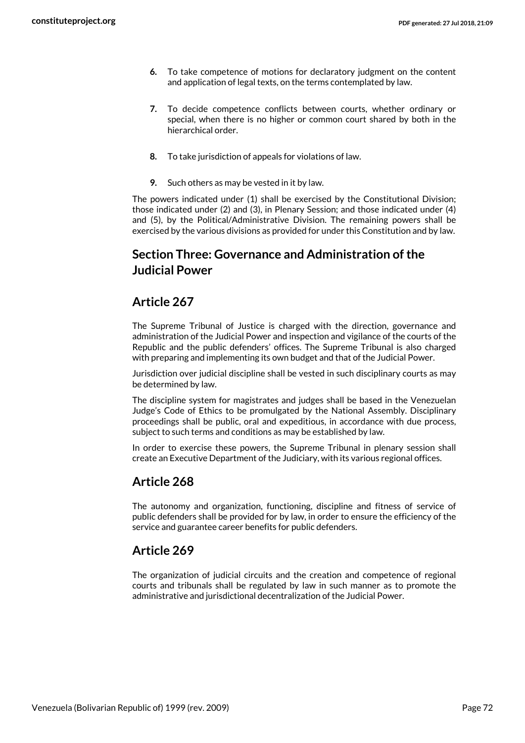- **6.** To take competence of motions for declaratory judgment on the content and application of legal texts, on the terms contemplated by law.
- **7.** To decide competence conflicts between courts, whether ordinary or special, when there is no higher or common court shared by both in the hierarchical order.
- **8.** To take jurisdiction of appeals for violations of law.
- **9.** Such others as may be vested in it by law.

The powers indicated under (1) shall be exercised by the Constitutional Division; those indicated under (2) and (3), in Plenary Session; and those indicated under (4) and (5), by the Political/Administrative Division. The remaining powers shall be exercised by the various divisions as provided for under this Constitution and by law.

## **Section Three: Governance and Administration of the Judicial Power**

### **Article 267**

The Supreme Tribunal of Justice is charged with the direction, governance and administration of the Judicial Power and inspection and vigilance of the courts of the Republic and the public defenders' offices. The Supreme Tribunal is also charged with preparing and implementing its own budget and that of the Judicial Power.

Jurisdiction over judicial discipline shall be vested in such disciplinary courts as may be determined by law.

The discipline system for magistrates and judges shall be based in the Venezuelan Judge's Code of Ethics to be promulgated by the National Assembly. Disciplinary proceedings shall be public, oral and expeditious, in accordance with due process, subject to such terms and conditions as may be established by law.

In order to exercise these powers, the Supreme Tribunal in plenary session shall create an Executive Department of the Judiciary, with its various regional offices.

### **Article 268**

The autonomy and organization, functioning, discipline and fitness of service of public defenders shall be provided for by law, in order to ensure the efficiency of the service and guarantee career benefits for public defenders.

### **Article 269**

The organization of judicial circuits and the creation and competence of regional courts and tribunals shall be regulated by law in such manner as to promote the administrative and jurisdictional decentralization of the Judicial Power.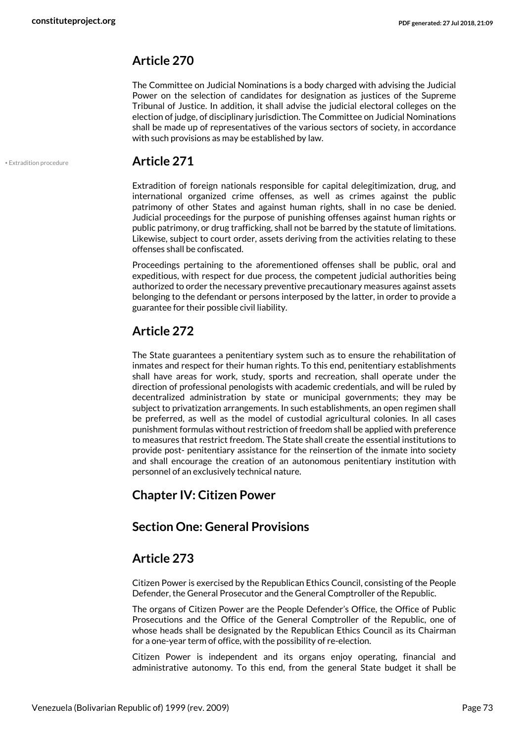The Committee on Judicial Nominations is a body charged with advising the Judicial Power on the selection of candidates for designation as justices of the Supreme Tribunal of Justice. In addition, it shall advise the judicial electoral colleges on the election of judge, of disciplinary jurisdiction. The Committee on Judicial Nominations shall be made up of representatives of the various sectors of society, in accordance with such provisions as may be established by law.

#### <span id="page-72-0"></span>• Extradition procedure **Article 271**

Extradition of foreign nationals responsible for capital delegitimization, drug, and international organized crime offenses, as well as crimes against the public patrimony of other States and against human rights, shall in no case be denied. Judicial proceedings for the purpose of punishing offenses against human rights or public patrimony, or drug trafficking, shall not be barred by the statute of limitations. Likewise, subject to court order, assets deriving from the activities relating to these offenses shall be confiscated.

Proceedings pertaining to the aforementioned offenses shall be public, oral and expeditious, with respect for due process, the competent judicial authorities being authorized to order the necessary preventive precautionary measures against assets belonging to the defendant or persons interposed by the latter, in order to provide a guarantee for their possible civil liability.

# **Article 272**

The State guarantees a penitentiary system such as to ensure the rehabilitation of inmates and respect for their human rights. To this end, penitentiary establishments shall have areas for work, study, sports and recreation, shall operate under the direction of professional penologists with academic credentials, and will be ruled by decentralized administration by state or municipal governments; they may be subject to privatization arrangements. In such establishments, an open regimen shall be preferred, as well as the model of custodial agricultural colonies. In all cases punishment formulas without restriction of freedom shall be applied with preference to measures that restrict freedom. The State shall create the essential institutions to provide post- penitentiary assistance for the reinsertion of the inmate into society and shall encourage the creation of an autonomous penitentiary institution with personnel of an exclusively technical nature.

# **Chapter IV: Citizen Power**

## **Section One: General Provisions**

### **Article 273**

Citizen Power is exercised by the Republican Ethics Council, consisting of the People Defender, the General Prosecutor and the General Comptroller of the Republic.

The organs of Citizen Power are the People Defender's Office, the Office of Public Prosecutions and the Office of the General Comptroller of the Republic, one of whose heads shall be designated by the Republican Ethics Council as its Chairman for a one-year term of office, with the possibility of re-election.

Citizen Power is independent and its organs enjoy operating, financial and administrative autonomy. To this end, from the general State budget it shall be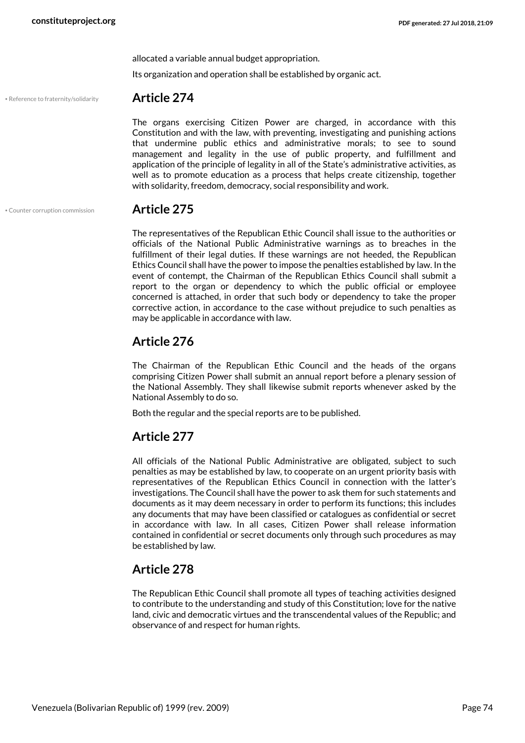allocated a variable annual budget appropriation.

Its organization and operation shall be established by organic act.

• Reference to fraternity/solidarity **Article 274**

<span id="page-73-1"></span>The organs exercising Citizen Power are charged, in accordance with this Constitution and with the law, with preventing, investigating and punishing actions that undermine public ethics and administrative morals; to see to sound management and legality in the use of public property, and fulfillment and application of the principle of legality in all of the State's administrative activities, as well as to promote education as a process that helps create citizenship, together with solidarity, freedom, democracy, social responsibility and work.

• Counter corruption commission **Article 275**

<span id="page-73-0"></span>The representatives of the Republican Ethic Council shall issue to the authorities or officials of the National Public Administrative warnings as to breaches in the fulfillment of their legal duties. If these warnings are not heeded, the Republican Ethics Council shall have the power to impose the penalties established by law. In the event of contempt, the Chairman of the Republican Ethics Council shall submit a report to the organ or dependency to which the public official or employee concerned is attached, in order that such body or dependency to take the proper corrective action, in accordance to the case without prejudice to such penalties as may be applicable in accordance with law.

## **Article 276**

The Chairman of the Republican Ethic Council and the heads of the organs comprising Citizen Power shall submit an annual report before a plenary session of the National Assembly. They shall likewise submit reports whenever asked by the National Assembly to do so.

Both the regular and the special reports are to be published.

## **Article 277**

All officials of the National Public Administrative are obligated, subject to such penalties as may be established by law, to cooperate on an urgent priority basis with representatives of the Republican Ethics Council in connection with the latter's investigations. The Council shall have the power to ask them for such statements and documents as it may deem necessary in order to perform its functions; this includes any documents that may have been classified or catalogues as confidential or secret in accordance with law. In all cases, Citizen Power shall release information contained in confidential or secret documents only through such procedures as may be established by law.

## **Article 278**

The Republican Ethic Council shall promote all types of teaching activities designed to contribute to the understanding and study of this Constitution; love for the native land, civic and democratic virtues and the transcendental values of the Republic; and observance of and respect for human rights.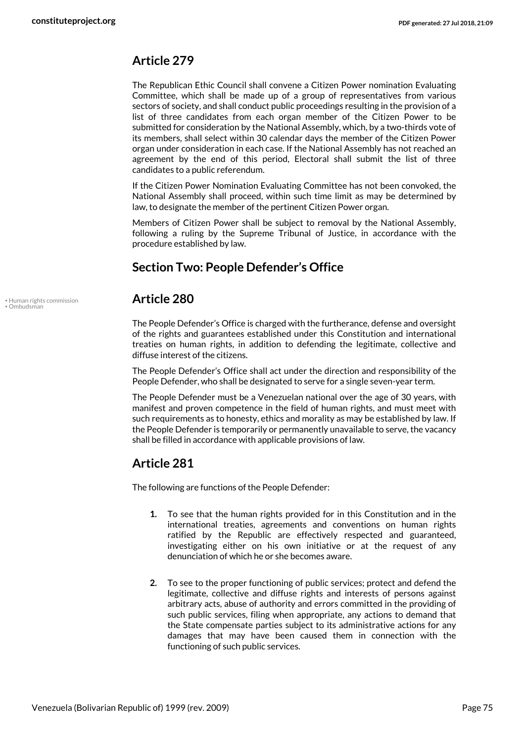The Republican Ethic Council shall convene a Citizen Power nomination Evaluating Committee, which shall be made up of a group of representatives from various sectors of society, and shall conduct public proceedings resulting in the provision of a list of three candidates from each organ member of the Citizen Power to be submitted for consideration by the National Assembly, which, by a two-thirds vote of its members, shall select within 30 calendar days the member of the Citizen Power organ under consideration in each case. If the National Assembly has not reached an agreement by the end of this period, Electoral shall submit the list of three candidates to a public referendum.

If the Citizen Power Nomination Evaluating Committee has not been convoked, the National Assembly shall proceed, within such time limit as may be determined by law, to designate the member of the pertinent Citizen Power organ.

Members of Citizen Power shall be subject to removal by the National Assembly, following a ruling by the Supreme Tribunal of Justice, in accordance with the procedure established by law.

## **Section Two: People Defender's Office**

<span id="page-74-0"></span>The People Defender's Office is charged with the furtherance, defense and oversight of the rights and guarantees established under this Constitution and international treaties on human rights, in addition to defending the legitimate, collective and diffuse interest of the citizens.

The People Defender's Office shall act under the direction and responsibility of the People Defender, who shall be designated to serve for a single seven-year term.

The People Defender must be a Venezuelan national over the age of 30 years, with manifest and proven competence in the field of human rights, and must meet with such requirements as to honesty, ethics and morality as may be established by law. If the People Defender is temporarily or permanently unavailable to serve, the vacancy shall be filled in accordance with applicable provisions of law.

# **Article 281**

The following are functions of the People Defender:

- **1.** To see that the human rights provided for in this Constitution and in the international treaties, agreements and conventions on human rights ratified by the Republic are effectively respected and guaranteed, investigating either on his own initiative or at the request of any denunciation of which he or she becomes aware.
- **2.** To see to the proper functioning of public services; protect and defend the legitimate, collective and diffuse rights and interests of persons against arbitrary acts, abuse of authority and errors committed in the providing of such public services, filing when appropriate, any actions to demand that the State compensate parties subject to its administrative actions for any damages that may have been caused them in connection with the functioning of such public services.

<span id="page-74-1"></span>• Human rights commission **Article 280** • Ombudsman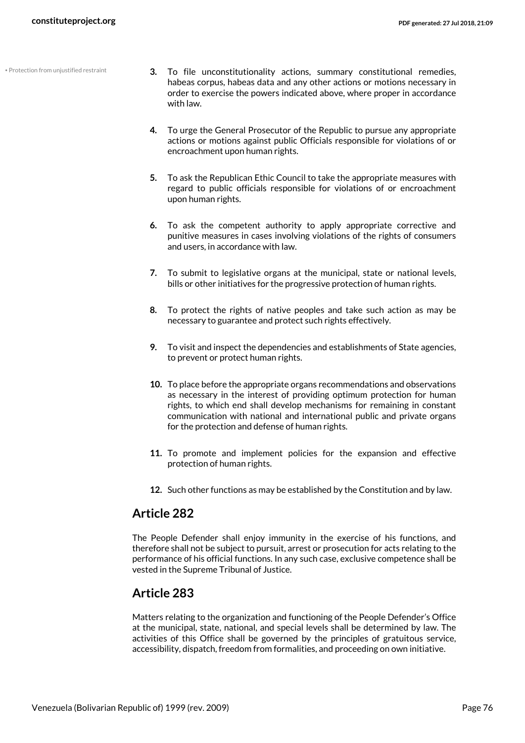• Protection from unjustified restraint

- <span id="page-75-0"></span>**3.** To file unconstitutionality actions, summary constitutional remedies, habeas corpus, habeas data and any other actions or motions necessary in order to exercise the powers indicated above, where proper in accordance with law.
- **4.** To urge the General Prosecutor of the Republic to pursue any appropriate actions or motions against public Officials responsible for violations of or encroachment upon human rights.
- **5.** To ask the Republican Ethic Council to take the appropriate measures with regard to public officials responsible for violations of or encroachment upon human rights.
- **6.** To ask the competent authority to apply appropriate corrective and punitive measures in cases involving violations of the rights of consumers and users, in accordance with law.
- **7.** To submit to legislative organs at the municipal, state or national levels, bills or other initiatives for the progressive protection of human rights.
- **8.** To protect the rights of native peoples and take such action as may be necessary to guarantee and protect such rights effectively.
- **9.** To visit and inspect the dependencies and establishments of State agencies, to prevent or protect human rights.
- **10.** To place before the appropriate organs recommendations and observations as necessary in the interest of providing optimum protection for human rights, to which end shall develop mechanisms for remaining in constant communication with national and international public and private organs for the protection and defense of human rights.
- **11.** To promote and implement policies for the expansion and effective protection of human rights.
- **12.** Such other functions as may be established by the Constitution and by law.

#### **Article 282**

The People Defender shall enjoy immunity in the exercise of his functions, and therefore shall not be subject to pursuit, arrest or prosecution for acts relating to the performance of his official functions. In any such case, exclusive competence shall be vested in the Supreme Tribunal of Justice.

## **Article 283**

Matters relating to the organization and functioning of the People Defender's Office at the municipal, state, national, and special levels shall be determined by law. The activities of this Office shall be governed by the principles of gratuitous service, accessibility, dispatch, freedom from formalities, and proceeding on own initiative.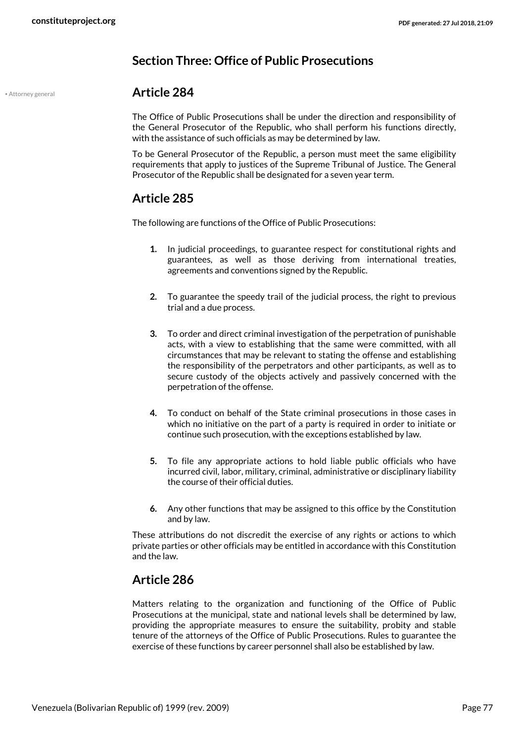# **Section Three: Office of Public Prosecutions**

## <span id="page-76-0"></span>• Attorney general **Article 284**

The Office of Public Prosecutions shall be under the direction and responsibility of the General Prosecutor of the Republic, who shall perform his functions directly, with the assistance of such officials as may be determined by law.

To be General Prosecutor of the Republic, a person must meet the same eligibility requirements that apply to justices of the Supreme Tribunal of Justice. The General Prosecutor of the Republic shall be designated for a seven year term.

# **Article 285**

The following are functions of the Office of Public Prosecutions:

- **1.** In judicial proceedings, to guarantee respect for constitutional rights and guarantees, as well as those deriving from international treaties, agreements and conventions signed by the Republic.
- **2.** To guarantee the speedy trail of the judicial process, the right to previous trial and a due process.
- **3.** To order and direct criminal investigation of the perpetration of punishable acts, with a view to establishing that the same were committed, with all circumstances that may be relevant to stating the offense and establishing the responsibility of the perpetrators and other participants, as well as to secure custody of the objects actively and passively concerned with the perpetration of the offense.
- **4.** To conduct on behalf of the State criminal prosecutions in those cases in which no initiative on the part of a party is required in order to initiate or continue such prosecution, with the exceptions established by law.
- **5.** To file any appropriate actions to hold liable public officials who have incurred civil, labor, military, criminal, administrative or disciplinary liability the course of their official duties.
- **6.** Any other functions that may be assigned to this office by the Constitution and by law.

These attributions do not discredit the exercise of any rights or actions to which private parties or other officials may be entitled in accordance with this Constitution and the law.

# **Article 286**

Matters relating to the organization and functioning of the Office of Public Prosecutions at the municipal, state and national levels shall be determined by law, providing the appropriate measures to ensure the suitability, probity and stable tenure of the attorneys of the Office of Public Prosecutions. Rules to guarantee the exercise of these functions by career personnel shall also be established by law.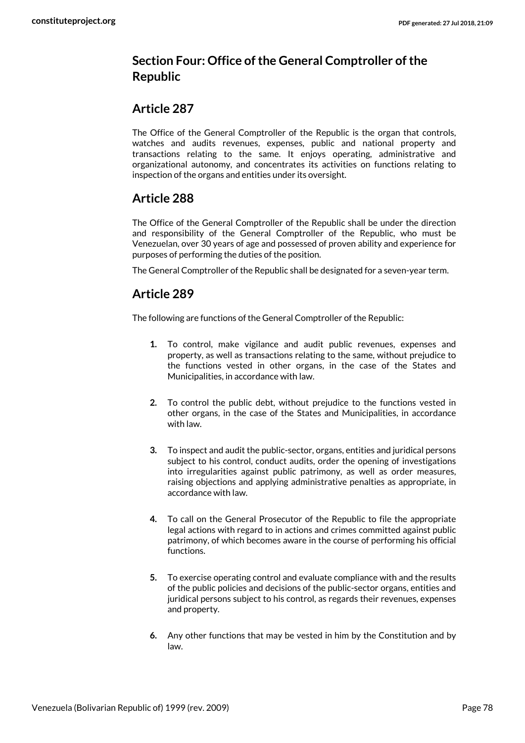# **Section Four: Office of the General Comptroller of the Republic**

# **Article 287**

The Office of the General Comptroller of the Republic is the organ that controls, watches and audits revenues, expenses, public and national property and transactions relating to the same. It enjoys operating, administrative and organizational autonomy, and concentrates its activities on functions relating to inspection of the organs and entities under its oversight.

# **Article 288**

The Office of the General Comptroller of the Republic shall be under the direction and responsibility of the General Comptroller of the Republic, who must be Venezuelan, over 30 years of age and possessed of proven ability and experience for purposes of performing the duties of the position.

The General Comptroller of the Republic shall be designated for a seven-year term.

# **Article 289**

The following are functions of the General Comptroller of the Republic:

- **1.** To control, make vigilance and audit public revenues, expenses and property, as well as transactions relating to the same, without prejudice to the functions vested in other organs, in the case of the States and Municipalities, in accordance with law.
- **2.** To control the public debt, without prejudice to the functions vested in other organs, in the case of the States and Municipalities, in accordance with law.
- **3.** To inspect and audit the public-sector, organs, entities and juridical persons subject to his control, conduct audits, order the opening of investigations into irregularities against public patrimony, as well as order measures, raising objections and applying administrative penalties as appropriate, in accordance with law.
- **4.** To call on the General Prosecutor of the Republic to file the appropriate legal actions with regard to in actions and crimes committed against public patrimony, of which becomes aware in the course of performing his official functions.
- **5.** To exercise operating control and evaluate compliance with and the results of the public policies and decisions of the public-sector organs, entities and juridical persons subject to his control, as regards their revenues, expenses and property.
- **6.** Any other functions that may be vested in him by the Constitution and by law.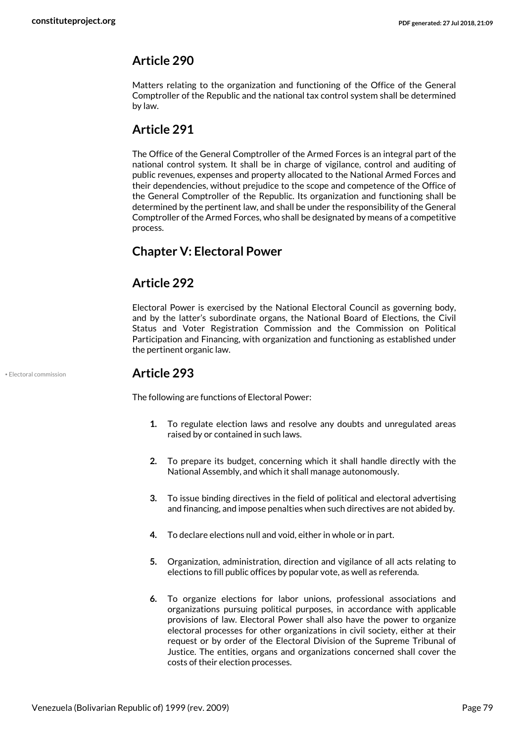Matters relating to the organization and functioning of the Office of the General Comptroller of the Republic and the national tax control system shall be determined by law.

## **Article 291**

The Office of the General Comptroller of the Armed Forces is an integral part of the national control system. It shall be in charge of vigilance, control and auditing of public revenues, expenses and property allocated to the National Armed Forces and their dependencies, without prejudice to the scope and competence of the Office of the General Comptroller of the Republic. Its organization and functioning shall be determined by the pertinent law, and shall be under the responsibility of the General Comptroller of the Armed Forces, who shall be designated by means of a competitive process.

# **Chapter V: Electoral Power**

## **Article 292**

Electoral Power is exercised by the National Electoral Council as governing body, and by the latter's subordinate organs, the National Board of Elections, the Civil Status and Voter Registration Commission and the Commission on Political Participation and Financing, with organization and functioning as established under the pertinent organic law.

#### <span id="page-78-0"></span>• Electoral commission **Article 293**

The following are functions of Electoral Power:

- **1.** To regulate election laws and resolve any doubts and unregulated areas raised by or contained in such laws.
- **2.** To prepare its budget, concerning which it shall handle directly with the National Assembly, and which it shall manage autonomously.
- **3.** To issue binding directives in the field of political and electoral advertising and financing, and impose penalties when such directives are not abided by.
- **4.** To declare elections null and void, either in whole or in part.
- **5.** Organization, administration, direction and vigilance of all acts relating to elections to fill public offices by popular vote, as well as referenda.
- **6.** To organize elections for labor unions, professional associations and organizations pursuing political purposes, in accordance with applicable provisions of law. Electoral Power shall also have the power to organize electoral processes for other organizations in civil society, either at their request or by order of the Electoral Division of the Supreme Tribunal of Justice. The entities, organs and organizations concerned shall cover the costs of their election processes.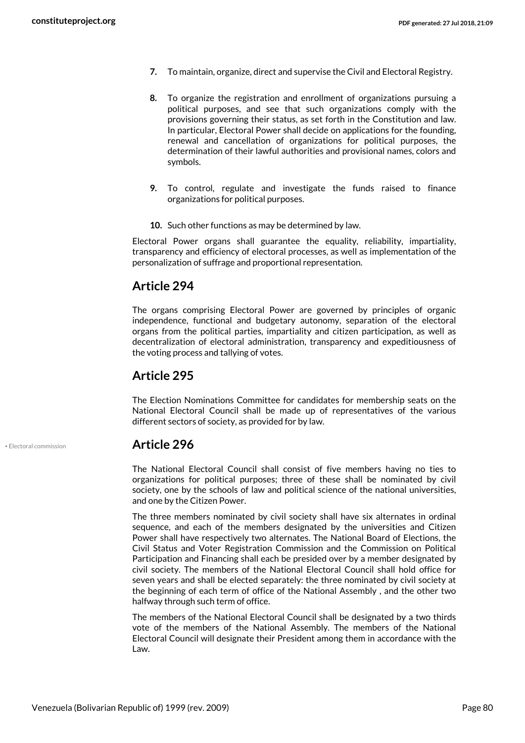- **7.** To maintain, organize, direct and supervise the Civil and Electoral Registry.
- **8.** To organize the registration and enrollment of organizations pursuing a political purposes, and see that such organizations comply with the provisions governing their status, as set forth in the Constitution and law. In particular, Electoral Power shall decide on applications for the founding, renewal and cancellation of organizations for political purposes, the determination of their lawful authorities and provisional names, colors and symbols.
- **9.** To control, regulate and investigate the funds raised to finance organizations for political purposes.
- **10.** Such other functions as may be determined by law.

Electoral Power organs shall guarantee the equality, reliability, impartiality, transparency and efficiency of electoral processes, as well as implementation of the personalization of suffrage and proportional representation.

## **Article 294**

The organs comprising Electoral Power are governed by principles of organic independence, functional and budgetary autonomy, separation of the electoral organs from the political parties, impartiality and citizen participation, as well as decentralization of electoral administration, transparency and expeditiousness of the voting process and tallying of votes.

## **Article 295**

The Election Nominations Committee for candidates for membership seats on the National Electoral Council shall be made up of representatives of the various different sectors of society, as provided for by law.

### • Electoral commission **Article 296**

The National Electoral Council shall consist of five members having no ties to organizations for political purposes; three of these shall be nominated by civil society, one by the schools of law and political science of the national universities, and one by the Citizen Power.

The three members nominated by civil society shall have six alternates in ordinal sequence, and each of the members designated by the universities and Citizen Power shall have respectively two alternates. The National Board of Elections, the Civil Status and Voter Registration Commission and the Commission on Political Participation and Financing shall each be presided over by a member designated by civil society. The members of the National Electoral Council shall hold office for seven years and shall be elected separately: the three nominated by civil society at the beginning of each term of office of the National Assembly , and the other two halfway through such term of office.

The members of the National Electoral Council shall be designated by a two thirds vote of the members of the National Assembly. The members of the National Electoral Council will designate their President among them in accordance with the Law.

<span id="page-79-0"></span>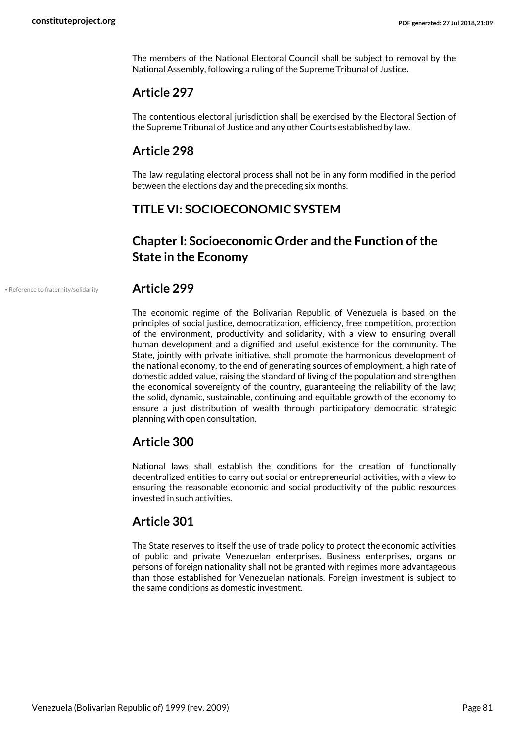The members of the National Electoral Council shall be subject to removal by the National Assembly, following a ruling of the Supreme Tribunal of Justice.

## **Article 297**

The contentious electoral jurisdiction shall be exercised by the Electoral Section of the Supreme Tribunal of Justice and any other Courts established by law.

## **Article 298**

The law regulating electoral process shall not be in any form modified in the period between the elections day and the preceding six months.

# **TITLE VI: SOCIOECONOMIC SYSTEM**

# **Chapter I: Socioeconomic Order and the Function of the State in the Economy**

#### • Reference to fraternity/solidarity **Article 299**

<span id="page-80-0"></span>The economic regime of the Bolivarian Republic of Venezuela is based on the principles of social justice, democratization, efficiency, free competition, protection of the environment, productivity and solidarity, with a view to ensuring overall human development and a dignified and useful existence for the community. The State, jointly with private initiative, shall promote the harmonious development of the national economy, to the end of generating sources of employment, a high rate of domestic added value, raising the standard of living of the population and strengthen the economical sovereignty of the country, guaranteeing the reliability of the law; the solid, dynamic, sustainable, continuing and equitable growth of the economy to ensure a just distribution of wealth through participatory democratic strategic planning with open consultation.

# **Article 300**

National laws shall establish the conditions for the creation of functionally decentralized entities to carry out social or entrepreneurial activities, with a view to ensuring the reasonable economic and social productivity of the public resources invested in such activities.

# **Article 301**

The State reserves to itself the use of trade policy to protect the economic activities of public and private Venezuelan enterprises. Business enterprises, organs or persons of foreign nationality shall not be granted with regimes more advantageous than those established for Venezuelan nationals. Foreign investment is subject to the same conditions as domestic investment.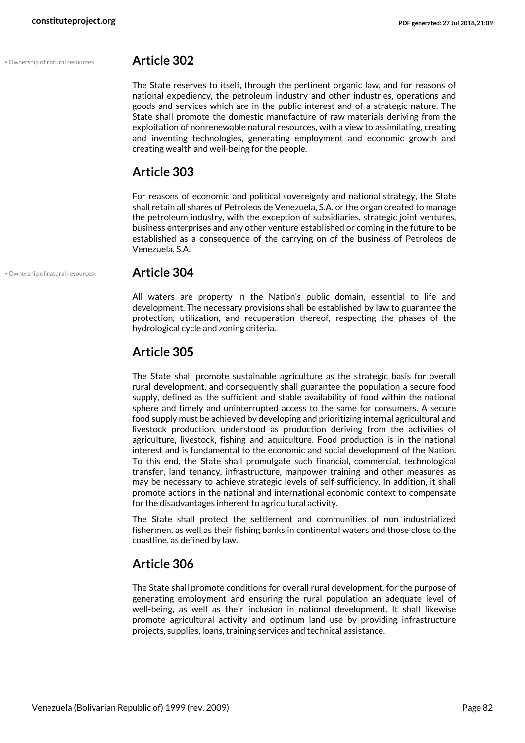• Ownership of natural resources **Article 302**

The State reserves to itself, through the pertinent organic law, and for reasons of national expediency, the petroleum industry and other industries, operations and goods and services which are in the public interest and of a strategic nature. The State shall promote the domestic manufacture of raw materials deriving from the exploitation of nonrenewable natural resources, with a view to assimilating, creating and inventing technologies, generating employment and economic growth and creating wealth and well-being for the people.

## **Article 303**

For reasons of economic and political sovereignty and national strategy, the State shall retain all shares of Petroleos de Venezuela, S.A. or the organ created to manage the petroleum industry, with the exception of subsidiaries, strategic joint ventures, business enterprises and any other venture established or coming in the future to be established as a consequence of the carrying on of the business of Petroleos de Venezuela, S.A.

• Ownership of natural resources **Article 304**

<span id="page-81-0"></span>All waters are property in the Nation's public domain, essential to life and development. The necessary provisions shall be established by law to guarantee the protection, utilization, and recuperation thereof, respecting the phases of the hydrological cycle and zoning criteria.

## **Article 305**

The State shall promote sustainable agriculture as the strategic basis for overall rural development, and consequently shall guarantee the population a secure food supply, defined as the sufficient and stable availability of food within the national sphere and timely and uninterrupted access to the same for consumers. A secure food supply must be achieved by developing and prioritizing internal agricultural and livestock production, understood as production deriving from the activities of agriculture, livestock, fishing and aquiculture. Food production is in the national interest and is fundamental to the economic and social development of the Nation. To this end, the State shall promulgate such financial, commercial, technological transfer, land tenancy, infrastructure, manpower training and other measures as may be necessary to achieve strategic levels of self-sufficiency. In addition, it shall promote actions in the national and international economic context to compensate for the disadvantages inherent to agricultural activity.

The State shall protect the settlement and communities of non industrialized fishermen, as well as their fishing banks in continental waters and those close to the coastline, as defined by law.

# **Article 306**

The State shall promote conditions for overall rural development, for the purpose of generating employment and ensuring the rural population an adequate level of well-being, as well as their inclusion in national development. It shall likewise promote agricultural activity and optimum land use by providing infrastructure projects, supplies, loans, training services and technical assistance.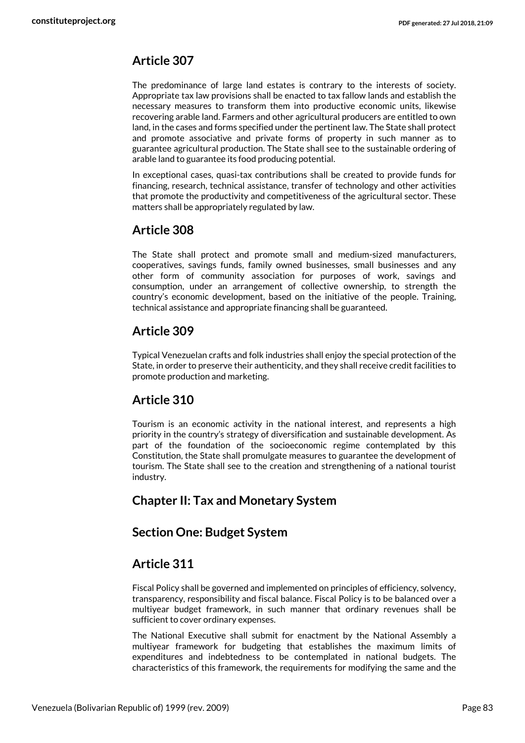The predominance of large land estates is contrary to the interests of society. Appropriate tax law provisions shall be enacted to tax fallow lands and establish the necessary measures to transform them into productive economic units, likewise recovering arable land. Farmers and other agricultural producers are entitled to own land, in the cases and forms specified under the pertinent law. The State shall protect and promote associative and private forms of property in such manner as to guarantee agricultural production. The State shall see to the sustainable ordering of arable land to guarantee its food producing potential.

In exceptional cases, quasi-tax contributions shall be created to provide funds for financing, research, technical assistance, transfer of technology and other activities that promote the productivity and competitiveness of the agricultural sector. These matters shall be appropriately regulated by law.

## **Article 308**

The State shall protect and promote small and medium-sized manufacturers, cooperatives, savings funds, family owned businesses, small businesses and any other form of community association for purposes of work, savings and consumption, under an arrangement of collective ownership, to strength the country's economic development, based on the initiative of the people. Training, technical assistance and appropriate financing shall be guaranteed.

## **Article 309**

Typical Venezuelan crafts and folk industries shall enjoy the special protection of the State, in order to preserve their authenticity, and they shall receive credit facilities to promote production and marketing.

## **Article 310**

Tourism is an economic activity in the national interest, and represents a high priority in the country's strategy of diversification and sustainable development. As part of the foundation of the socioeconomic regime contemplated by this Constitution, the State shall promulgate measures to guarantee the development of tourism. The State shall see to the creation and strengthening of a national tourist industry.

## **Chapter II: Tax and Monetary System**

## **Section One: Budget System**

### **Article 311**

Fiscal Policy shall be governed and implemented on principles of efficiency, solvency, transparency, responsibility and fiscal balance. Fiscal Policy is to be balanced over a multiyear budget framework, in such manner that ordinary revenues shall be sufficient to cover ordinary expenses.

The National Executive shall submit for enactment by the National Assembly a multiyear framework for budgeting that establishes the maximum limits of expenditures and indebtedness to be contemplated in national budgets. The characteristics of this framework, the requirements for modifying the same and the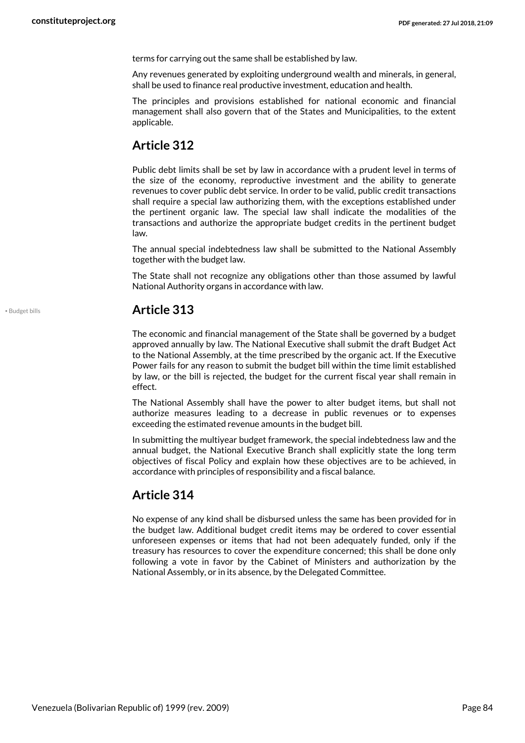terms for carrying out the same shall be established by law.

Any revenues generated by exploiting underground wealth and minerals, in general, shall be used to finance real productive investment, education and health.

The principles and provisions established for national economic and financial management shall also govern that of the States and Municipalities, to the extent applicable.

## **Article 312**

Public debt limits shall be set by law in accordance with a prudent level in terms of the size of the economy, reproductive investment and the ability to generate revenues to cover public debt service. In order to be valid, public credit transactions shall require a special law authorizing them, with the exceptions established under the pertinent organic law. The special law shall indicate the modalities of the transactions and authorize the appropriate budget credits in the pertinent budget law.

The annual special indebtedness law shall be submitted to the National Assembly together with the budget law.

The State shall not recognize any obligations other than those assumed by lawful National Authority organs in accordance with law.

#### • Budget bills **Article 313**

The economic and financial management of the State shall be governed by a budget approved annually by law. The National Executive shall submit the draft Budget Act to the National Assembly, at the time prescribed by the organic act. If the Executive Power fails for any reason to submit the budget bill within the time limit established by law, or the bill is rejected, the budget for the current fiscal year shall remain in effect.

The National Assembly shall have the power to alter budget items, but shall not authorize measures leading to a decrease in public revenues or to expenses exceeding the estimated revenue amounts in the budget bill.

In submitting the multiyear budget framework, the special indebtedness law and the annual budget, the National Executive Branch shall explicitly state the long term objectives of fiscal Policy and explain how these objectives are to be achieved, in accordance with principles of responsibility and a fiscal balance.

## **Article 314**

No expense of any kind shall be disbursed unless the same has been provided for in the budget law. Additional budget credit items may be ordered to cover essential unforeseen expenses or items that had not been adequately funded, only if the treasury has resources to cover the expenditure concerned; this shall be done only following a vote in favor by the Cabinet of Ministers and authorization by the National Assembly, or in its absence, by the Delegated Committee.

<span id="page-83-0"></span>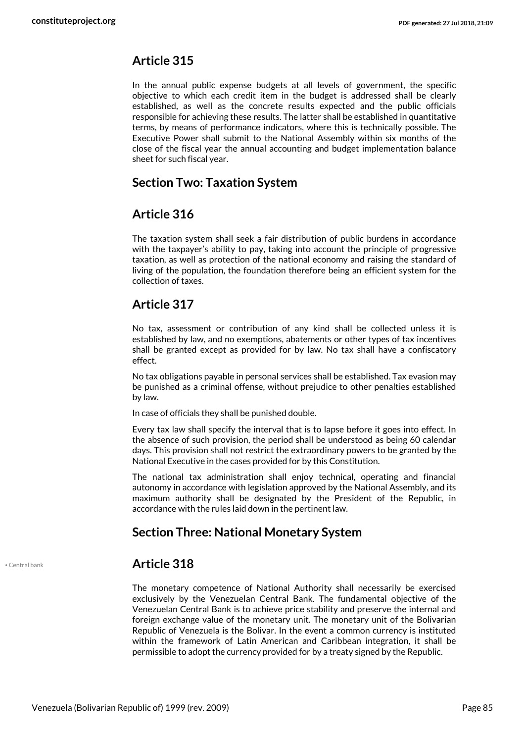In the annual public expense budgets at all levels of government, the specific objective to which each credit item in the budget is addressed shall be clearly established, as well as the concrete results expected and the public officials responsible for achieving these results. The latter shall be established in quantitative terms, by means of performance indicators, where this is technically possible. The Executive Power shall submit to the National Assembly within six months of the close of the fiscal year the annual accounting and budget implementation balance sheet for such fiscal year.

## **Section Two: Taxation System**

## **Article 316**

The taxation system shall seek a fair distribution of public burdens in accordance with the taxpayer's ability to pay, taking into account the principle of progressive taxation, as well as protection of the national economy and raising the standard of living of the population, the foundation therefore being an efficient system for the collection of taxes.

## **Article 317**

No tax, assessment or contribution of any kind shall be collected unless it is established by law, and no exemptions, abatements or other types of tax incentives shall be granted except as provided for by law. No tax shall have a confiscatory effect.

No tax obligations payable in personal services shall be established. Tax evasion may be punished as a criminal offense, without prejudice to other penalties established by law.

In case of officials they shall be punished double.

Every tax law shall specify the interval that is to lapse before it goes into effect. In the absence of such provision, the period shall be understood as being 60 calendar days. This provision shall not restrict the extraordinary powers to be granted by the National Executive in the cases provided for by this Constitution.

The national tax administration shall enjoy technical, operating and financial autonomy in accordance with legislation approved by the National Assembly, and its maximum authority shall be designated by the President of the Republic, in accordance with the rules laid down in the pertinent law.

## **Section Three: National Monetary System**

• Central bank **Article 318**

The monetary competence of National Authority shall necessarily be exercised exclusively by the Venezuelan Central Bank. The fundamental objective of the Venezuelan Central Bank is to achieve price stability and preserve the internal and foreign exchange value of the monetary unit. The monetary unit of the Bolivarian Republic of Venezuela is the Bolivar. In the event a common currency is instituted within the framework of Latin American and Caribbean integration, it shall be permissible to adopt the currency provided for by a treaty signed by the Republic.

<span id="page-84-0"></span>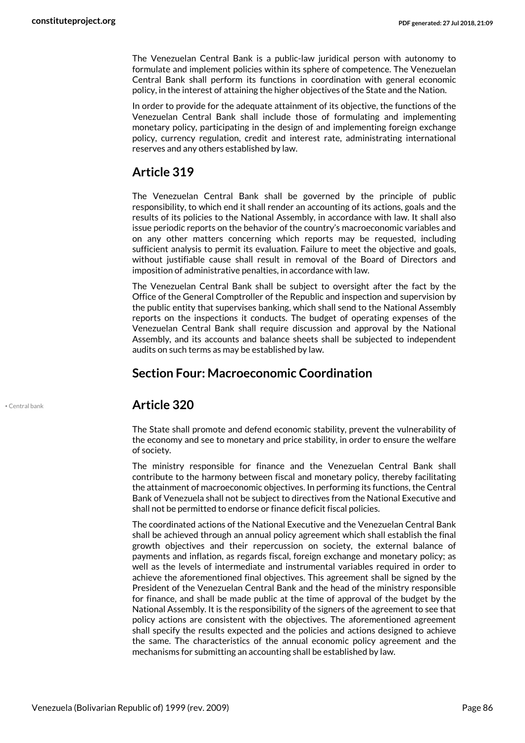The Venezuelan Central Bank is a public-law juridical person with autonomy to formulate and implement policies within its sphere of competence. The Venezuelan Central Bank shall perform its functions in coordination with general economic policy, in the interest of attaining the higher objectives of the State and the Nation.

In order to provide for the adequate attainment of its objective, the functions of the Venezuelan Central Bank shall include those of formulating and implementing monetary policy, participating in the design of and implementing foreign exchange policy, currency regulation, credit and interest rate, administrating international reserves and any others established by law.

## **Article 319**

The Venezuelan Central Bank shall be governed by the principle of public responsibility, to which end it shall render an accounting of its actions, goals and the results of its policies to the National Assembly, in accordance with law. It shall also issue periodic reports on the behavior of the country's macroeconomic variables and on any other matters concerning which reports may be requested, including sufficient analysis to permit its evaluation. Failure to meet the objective and goals, without justifiable cause shall result in removal of the Board of Directors and imposition of administrative penalties, in accordance with law.

The Venezuelan Central Bank shall be subject to oversight after the fact by the Office of the General Comptroller of the Republic and inspection and supervision by the public entity that supervises banking, which shall send to the National Assembly reports on the inspections it conducts. The budget of operating expenses of the Venezuelan Central Bank shall require discussion and approval by the National Assembly, and its accounts and balance sheets shall be subjected to independent audits on such terms as may be established by law.

## **Section Four: Macroeconomic Coordination**

• Central bank **Article 320**

The State shall promote and defend economic stability, prevent the vulnerability of the economy and see to monetary and price stability, in order to ensure the welfare of society.

The ministry responsible for finance and the Venezuelan Central Bank shall contribute to the harmony between fiscal and monetary policy, thereby facilitating the attainment of macroeconomic objectives. In performing its functions, the Central Bank of Venezuela shall not be subject to directives from the National Executive and shall not be permitted to endorse or finance deficit fiscal policies.

The coordinated actions of the National Executive and the Venezuelan Central Bank shall be achieved through an annual policy agreement which shall establish the final growth objectives and their repercussion on society, the external balance of payments and inflation, as regards fiscal, foreign exchange and monetary policy; as well as the levels of intermediate and instrumental variables required in order to achieve the aforementioned final objectives. This agreement shall be signed by the President of the Venezuelan Central Bank and the head of the ministry responsible for finance, and shall be made public at the time of approval of the budget by the National Assembly. It is the responsibility of the signers of the agreement to see that policy actions are consistent with the objectives. The aforementioned agreement shall specify the results expected and the policies and actions designed to achieve the same. The characteristics of the annual economic policy agreement and the mechanisms for submitting an accounting shall be established by law.

<span id="page-85-0"></span>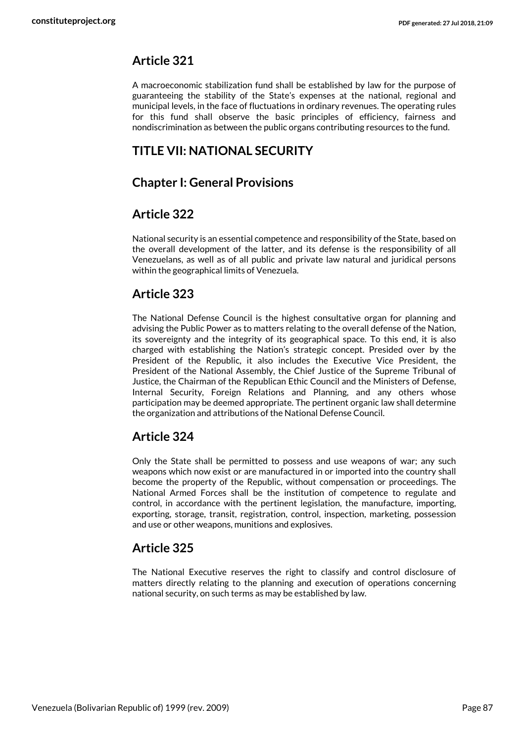A macroeconomic stabilization fund shall be established by law for the purpose of guaranteeing the stability of the State's expenses at the national, regional and municipal levels, in the face of fluctuations in ordinary revenues. The operating rules for this fund shall observe the basic principles of efficiency, fairness and nondiscrimination as between the public organs contributing resources to the fund.

# **TITLE VII: NATIONAL SECURITY**

## **Chapter I: General Provisions**

## **Article 322**

National security is an essential competence and responsibility of the State, based on the overall development of the latter, and its defense is the responsibility of all Venezuelans, as well as of all public and private law natural and juridical persons within the geographical limits of Venezuela.

## **Article 323**

The National Defense Council is the highest consultative organ for planning and advising the Public Power as to matters relating to the overall defense of the Nation, its sovereignty and the integrity of its geographical space. To this end, it is also charged with establishing the Nation's strategic concept. Presided over by the President of the Republic, it also includes the Executive Vice President, the President of the National Assembly, the Chief Justice of the Supreme Tribunal of Justice, the Chairman of the Republican Ethic Council and the Ministers of Defense, Internal Security, Foreign Relations and Planning, and any others whose participation may be deemed appropriate. The pertinent organic law shall determine the organization and attributions of the National Defense Council.

## **Article 324**

Only the State shall be permitted to possess and use weapons of war; any such weapons which now exist or are manufactured in or imported into the country shall become the property of the Republic, without compensation or proceedings. The National Armed Forces shall be the institution of competence to regulate and control, in accordance with the pertinent legislation, the manufacture, importing, exporting, storage, transit, registration, control, inspection, marketing, possession and use or other weapons, munitions and explosives.

## **Article 325**

The National Executive reserves the right to classify and control disclosure of matters directly relating to the planning and execution of operations concerning national security, on such terms as may be established by law.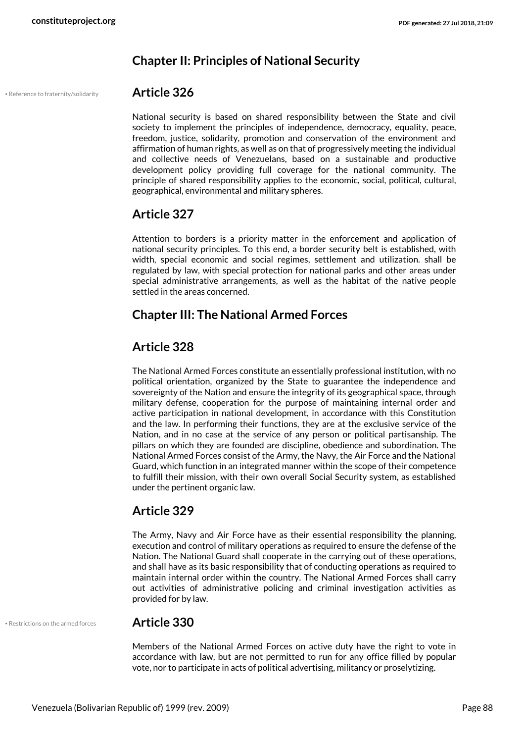## **Chapter II: Principles of National Security**

#### • Reference to fraternity/solidarity **Article 326**

<span id="page-87-0"></span>National security is based on shared responsibility between the State and civil society to implement the principles of independence, democracy, equality, peace, freedom, justice, solidarity, promotion and conservation of the environment and affirmation of human rights, as well as on that of progressively meeting the individual and collective needs of Venezuelans, based on a sustainable and productive development policy providing full coverage for the national community. The principle of shared responsibility applies to the economic, social, political, cultural, geographical, environmental and military spheres.

### **Article 327**

Attention to borders is a priority matter in the enforcement and application of national security principles. To this end, a border security belt is established, with width, special economic and social regimes, settlement and utilization. shall be regulated by law, with special protection for national parks and other areas under special administrative arrangements, as well as the habitat of the native people settled in the areas concerned.

## **Chapter III: The National Armed Forces**

## **Article 328**

The National Armed Forces constitute an essentially professional institution, with no political orientation, organized by the State to guarantee the independence and sovereignty of the Nation and ensure the integrity of its geographical space, through military defense, cooperation for the purpose of maintaining internal order and active participation in national development, in accordance with this Constitution and the law. In performing their functions, they are at the exclusive service of the Nation, and in no case at the service of any person or political partisanship. The pillars on which they are founded are discipline, obedience and subordination. The National Armed Forces consist of the Army, the Navy, the Air Force and the National Guard, which function in an integrated manner within the scope of their competence to fulfill their mission, with their own overall Social Security system, as established under the pertinent organic law.

## **Article 329**

The Army, Navy and Air Force have as their essential responsibility the planning, execution and control of military operations as required to ensure the defense of the Nation. The National Guard shall cooperate in the carrying out of these operations, and shall have as its basic responsibility that of conducting operations as required to maintain internal order within the country. The National Armed Forces shall carry out activities of administrative policing and criminal investigation activities as provided for by law.

#### • Restrictions on the armed forces **Article 330**

<span id="page-87-1"></span>Members of the National Armed Forces on active duty have the right to vote in accordance with law, but are not permitted to run for any office filled by popular vote, nor to participate in acts of political advertising, militancy or proselytizing.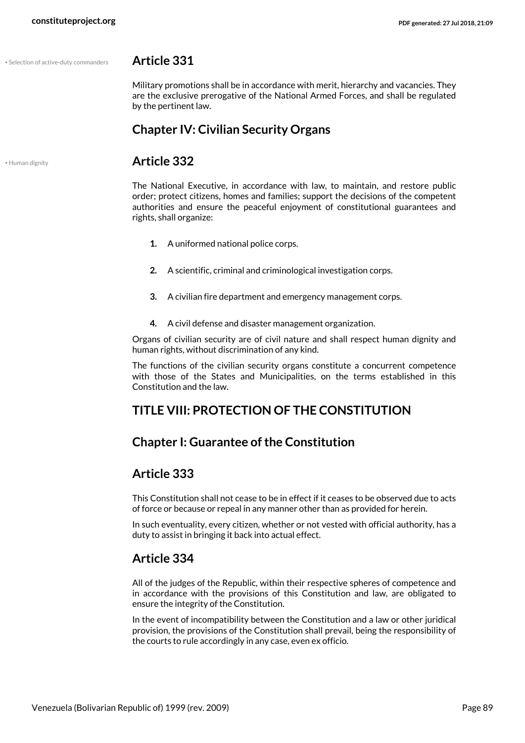• Selection of active-duty commanders **Article 331**

<span id="page-88-1"></span>Military promotions shall be in accordance with merit, hierarchy and vacancies. They are the exclusive prerogative of the National Armed Forces, and shall be regulated by the pertinent law.

# **Chapter IV: Civilian Security Organs**

### <span id="page-88-0"></span>• Human dignity **Article 332**

The National Executive, in accordance with law, to maintain, and restore public order; protect citizens, homes and families; support the decisions of the competent authorities and ensure the peaceful enjoyment of constitutional guarantees and rights, shall organize:

- **1.** A uniformed national police corps.
- **2.** A scientific, criminal and criminological investigation corps.
- **3.** A civilian fire department and emergency management corps.
- **4.** A civil defense and disaster management organization.

Organs of civilian security are of civil nature and shall respect human dignity and human rights, without discrimination of any kind.

The functions of the civilian security organs constitute a concurrent competence with those of the States and Municipalities, on the terms established in this Constitution and the law.

# **TITLE VIII: PROTECTION OF THE CONSTITUTION**

# **Chapter I: Guarantee of the Constitution**

## **Article 333**

This Constitution shall not cease to be in effect if it ceases to be observed due to acts of force or because or repeal in any manner other than as provided for herein.

In such eventuality, every citizen, whether or not vested with official authority, has a duty to assist in bringing it back into actual effect.

### **Article 334**

All of the judges of the Republic, within their respective spheres of competence and in accordance with the provisions of this Constitution and law, are obligated to ensure the integrity of the Constitution.

In the event of incompatibility between the Constitution and a law or other juridical provision, the provisions of the Constitution shall prevail, being the responsibility of the courts to rule accordingly in any case, even ex officio.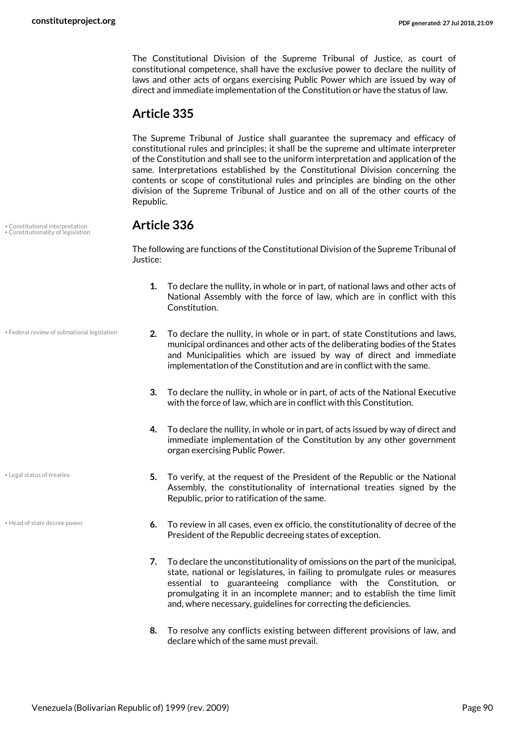The Constitutional Division of the Supreme Tribunal of Justice, as court of constitutional competence, shall have the exclusive power to declare the nullity of laws and other acts of organs exercising Public Power which are issued by way of direct and immediate implementation of the Constitution or have the status of law.

## **Article 335**

The Supreme Tribunal of Justice shall guarantee the supremacy and efficacy of constitutional rules and principles; it shall be the supreme and ultimate interpreter of the Constitution and shall see to the uniform interpretation and application of the same. Interpretations established by the Constitutional Division concerning the contents or scope of constitutional rules and principles are binding on the other division of the Supreme Tribunal of Justice and on all of the other courts of the Republic.

# • Constitutional interpretation **Article 336** • Constitutionality of legislation

<span id="page-89-1"></span><span id="page-89-0"></span>The following are functions of the Constitutional Division of the Supreme Tribunal of Justice:

- **1.** To declare the nullity, in whole or in part, of national laws and other acts of National Assembly with the force of law, which are in conflict with this Constitution.
- <span id="page-89-2"></span>**2.** To declare the nullity, in whole or in part, of state Constitutions and laws, municipal ordinances and other acts of the deliberating bodies of the States and Municipalities which are issued by way of direct and immediate implementation of the Constitution and are in conflict with the same.
	- **3.** To declare the nullity, in whole or in part, of acts of the National Executive with the force of law, which are in conflict with this Constitution.
	- **4.** To declare the nullity, in whole or in part, of acts issued by way of direct and immediate implementation of the Constitution by any other government organ exercising Public Power.
	- **5.** To verify, at the request of the President of the Republic or the National Assembly, the constitutionality of international treaties signed by the Republic, prior to ratification of the same.
	- **6.** To review in all cases, even ex officio, the constitutionality of decree of the President of the Republic decreeing states of exception.
	- **7.** To declare the unconstitutionality of omissions on the part of the municipal, state, national or legislatures, in failing to promulgate rules or measures essential to guaranteeing compliance with the Constitution, or promulgating it in an incomplete manner; and to establish the time limit and, where necessary, guidelines for correcting the deficiencies.
	- **8.** To resolve any conflicts existing between different provisions of law, and declare which of the same must prevail.

• Federal review of subnational legislation

<span id="page-89-4"></span>• Legal status of treaties

<span id="page-89-3"></span>• Head of state decree power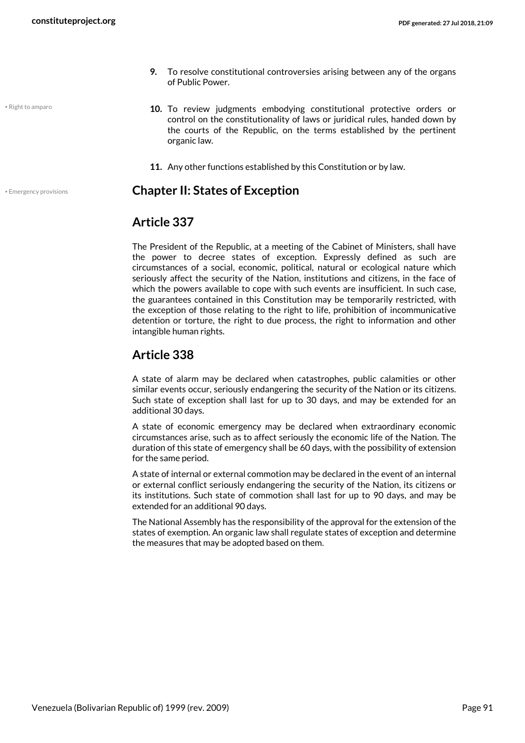<span id="page-90-1"></span>• Right to amparo

**10.** To review judgments embodying constitutional protective orders or control on the constitutionality of laws or juridical rules, handed down by the courts of the Republic, on the terms established by the pertinent

**9.** To resolve constitutional controversies arising between any of the organs

**11.** Any other functions established by this Constitution or by law.

#### <span id="page-90-0"></span>• Emergency provisions **Chapter II: States of Exception**

of Public Power.

organic law.

## **Article 337**

The President of the Republic, at a meeting of the Cabinet of Ministers, shall have the power to decree states of exception. Expressly defined as such are circumstances of a social, economic, political, natural or ecological nature which seriously affect the security of the Nation, institutions and citizens, in the face of which the powers available to cope with such events are insufficient. In such case, the guarantees contained in this Constitution may be temporarily restricted, with the exception of those relating to the right to life, prohibition of incommunicative detention or torture, the right to due process, the right to information and other intangible human rights.

## **Article 338**

A state of alarm may be declared when catastrophes, public calamities or other similar events occur, seriously endangering the security of the Nation or its citizens. Such state of exception shall last for up to 30 days, and may be extended for an additional 30 days.

A state of economic emergency may be declared when extraordinary economic circumstances arise, such as to affect seriously the economic life of the Nation. The duration of this state of emergency shall be 60 days, with the possibility of extension for the same period.

A state of internal or external commotion may be declared in the event of an internal or external conflict seriously endangering the security of the Nation, its citizens or its institutions. Such state of commotion shall last for up to 90 days, and may be extended for an additional 90 days.

The National Assembly has the responsibility of the approval for the extension of the states of exemption. An organic law shall regulate states of exception and determine the measures that may be adopted based on them.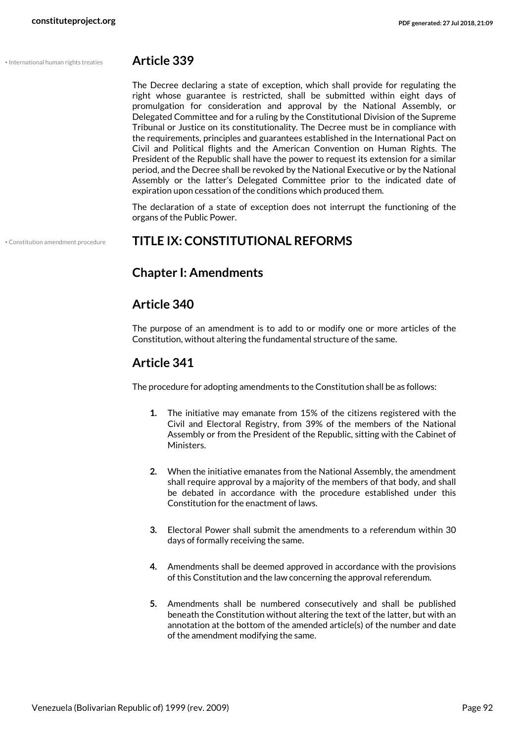• International human rights treaties **Article 339**

<span id="page-91-1"></span>The Decree declaring a state of exception, which shall provide for regulating the right whose guarantee is restricted, shall be submitted within eight days of promulgation for consideration and approval by the National Assembly, or Delegated Committee and for a ruling by the Constitutional Division of the Supreme Tribunal or Justice on its constitutionality. The Decree must be in compliance with the requirements, principles and guarantees established in the International Pact on Civil and Political flights and the American Convention on Human Rights. The President of the Republic shall have the power to request its extension for a similar period, and the Decree shall be revoked by the National Executive or by the National Assembly or the latter's Delegated Committee prior to the indicated date of expiration upon cessation of the conditions which produced them.

The declaration of a state of exception does not interrupt the functioning of the organs of the Public Power.

### • Constitution amendment procedure **TITLE IX: CONSTITUTIONAL REFORMS**

## <span id="page-91-0"></span>**Chapter I: Amendments**

### **Article 340**

The purpose of an amendment is to add to or modify one or more articles of the Constitution, without altering the fundamental structure of the same.

## **Article 341**

The procedure for adopting amendments to the Constitution shall be as follows:

- **1.** The initiative may emanate from 15% of the citizens registered with the Civil and Electoral Registry, from 39% of the members of the National Assembly or from the President of the Republic, sitting with the Cabinet of Ministers.
- **2.** When the initiative emanates from the National Assembly, the amendment shall require approval by a majority of the members of that body, and shall be debated in accordance with the procedure established under this Constitution for the enactment of laws.
- **3.** Electoral Power shall submit the amendments to a referendum within 30 days of formally receiving the same.
- **4.** Amendments shall be deemed approved in accordance with the provisions of this Constitution and the law concerning the approval referendum.
- **5.** Amendments shall be numbered consecutively and shall be published beneath the Constitution without altering the text of the latter, but with an annotation at the bottom of the amended article(s) of the number and date of the amendment modifying the same.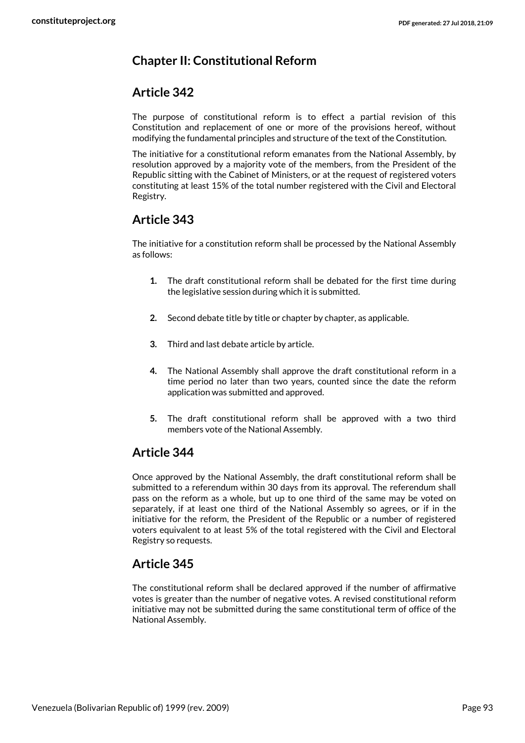## **Chapter II: Constitutional Reform**

## **Article 342**

The purpose of constitutional reform is to effect a partial revision of this Constitution and replacement of one or more of the provisions hereof, without modifying the fundamental principles and structure of the text of the Constitution.

The initiative for a constitutional reform emanates from the National Assembly, by resolution approved by a majority vote of the members, from the President of the Republic sitting with the Cabinet of Ministers, or at the request of registered voters constituting at least 15% of the total number registered with the Civil and Electoral Registry.

## **Article 343**

The initiative for a constitution reform shall be processed by the National Assembly as follows:

- **1.** The draft constitutional reform shall be debated for the first time during the legislative session during which it is submitted.
- **2.** Second debate title by title or chapter by chapter, as applicable.
- **3.** Third and last debate article by article.
- **4.** The National Assembly shall approve the draft constitutional reform in a time period no later than two years, counted since the date the reform application was submitted and approved.
- **5.** The draft constitutional reform shall be approved with a two third members vote of the National Assembly.

## **Article 344**

Once approved by the National Assembly, the draft constitutional reform shall be submitted to a referendum within 30 days from its approval. The referendum shall pass on the reform as a whole, but up to one third of the same may be voted on separately, if at least one third of the National Assembly so agrees, or if in the initiative for the reform, the President of the Republic or a number of registered voters equivalent to at least 5% of the total registered with the Civil and Electoral Registry so requests.

## **Article 345**

The constitutional reform shall be declared approved if the number of affirmative votes is greater than the number of negative votes. A revised constitutional reform initiative may not be submitted during the same constitutional term of office of the National Assembly.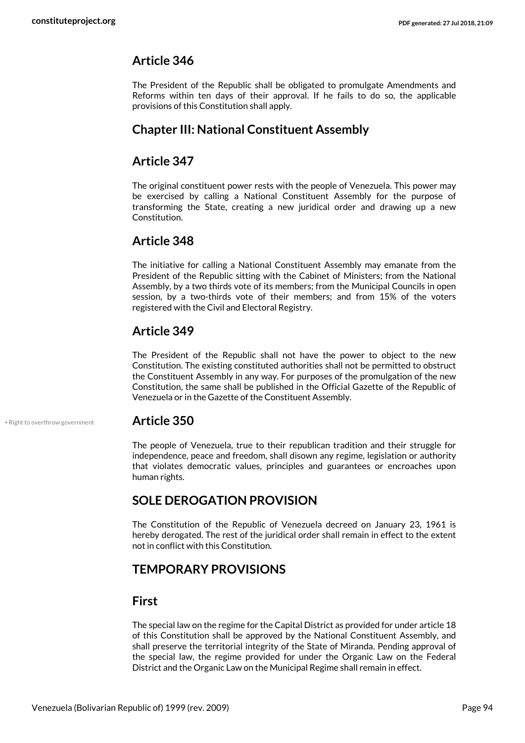The President of the Republic shall be obligated to promulgate Amendments and Reforms within ten days of their approval. If he fails to do so, the applicable provisions of this Constitution shall apply.

## **Chapter III: National Constituent Assembly**

## **Article 347**

The original constituent power rests with the people of Venezuela. This power may be exercised by calling a National Constituent Assembly for the purpose of transforming the State, creating a new juridical order and drawing up a new Constitution.

## **Article 348**

The initiative for calling a National Constituent Assembly may emanate from the President of the Republic sitting with the Cabinet of Ministers; from the National Assembly, by a two thirds vote of its members; from the Municipal Councils in open session, by a two-thirds vote of their members; and from 15% of the voters registered with the Civil and Electoral Registry.

# **Article 349**

The President of the Republic shall not have the power to object to the new Constitution. The existing constituted authorities shall not be permitted to obstruct the Constituent Assembly in any way. For purposes of the promulgation of the new Constitution, the same shall be published in the Official Gazette of the Republic of Venezuela or in the Gazette of the Constituent Assembly.

#### • Right to overthrow government **Article 350**

<span id="page-93-0"></span>The people of Venezuela, true to their republican tradition and their struggle for independence, peace and freedom, shall disown any regime, legislation or authority that violates democratic values, principles and guarantees or encroaches upon human rights.

## **SOLE DEROGATION PROVISION**

The Constitution of the Republic of Venezuela decreed on January 23, 1961 is hereby derogated. The rest of the juridical order shall remain in effect to the extent not in conflict with this Constitution.

# **TEMPORARY PROVISIONS**

## **First**

The special law on the regime for the Capital District as provided for under article 18 of this Constitution shall be approved by the National Constituent Assembly, and shall preserve the territorial integrity of the State of Miranda. Pending approval of the special law, the regime provided for under the Organic Law on the Federal District and the Organic Law on the Municipal Regime shall remain in effect.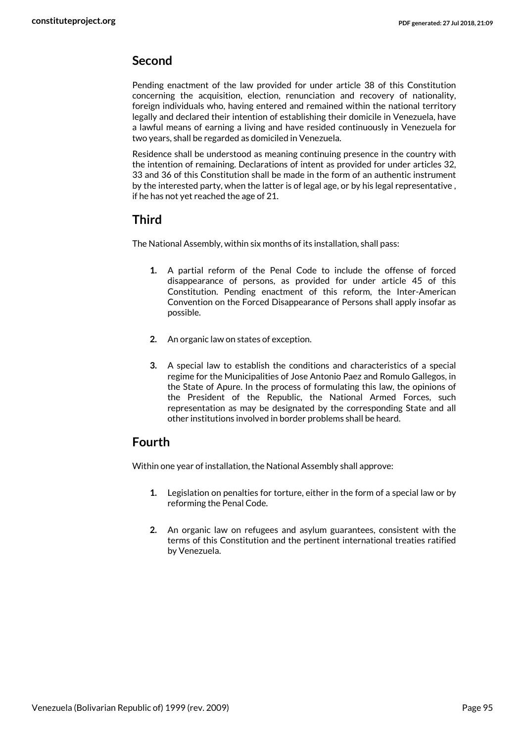#### **Second**

Pending enactment of the law provided for under article 38 of this Constitution concerning the acquisition, election, renunciation and recovery of nationality, foreign individuals who, having entered and remained within the national territory legally and declared their intention of establishing their domicile in Venezuela, have a lawful means of earning a living and have resided continuously in Venezuela for two years, shall be regarded as domiciled in Venezuela.

Residence shall be understood as meaning continuing presence in the country with the intention of remaining. Declarations of intent as provided for under articles 32, 33 and 36 of this Constitution shall be made in the form of an authentic instrument by the interested party, when the latter is of legal age, or by his legal representative , if he has not yet reached the age of 21.

## **Third**

The National Assembly, within six months of its installation, shall pass:

- **1.** A partial reform of the Penal Code to include the offense of forced disappearance of persons, as provided for under article 45 of this Constitution. Pending enactment of this reform, the Inter-American Convention on the Forced Disappearance of Persons shall apply insofar as possible.
- **2.** An organic law on states of exception.
- **3.** A special law to establish the conditions and characteristics of a special regime for the Municipalities of Jose Antonio Paez and Romulo Gallegos, in the State of Apure. In the process of formulating this law, the opinions of the President of the Republic, the National Armed Forces, such representation as may be designated by the corresponding State and all other institutions involved in border problems shall be heard.

### **Fourth**

Within one year of installation, the National Assembly shall approve:

- **1.** Legislation on penalties for torture, either in the form of a special law or by reforming the Penal Code.
- **2.** An organic law on refugees and asylum guarantees, consistent with the terms of this Constitution and the pertinent international treaties ratified by Venezuela.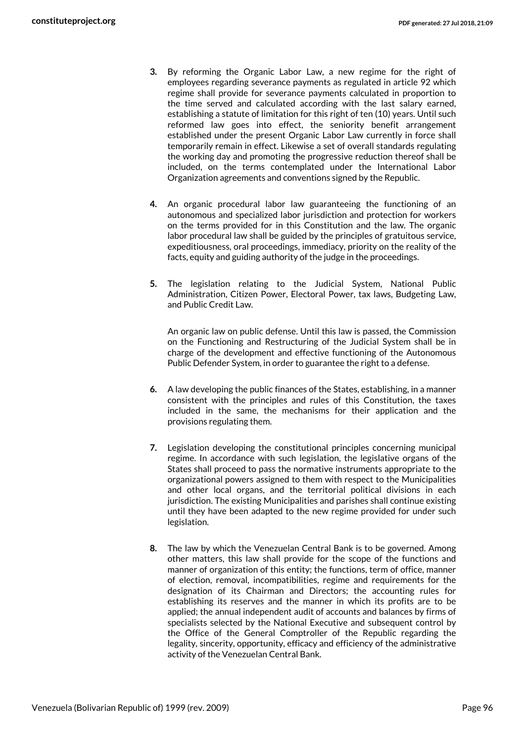- **3.** By reforming the Organic Labor Law, a new regime for the right of employees regarding severance payments as regulated in article 92 which regime shall provide for severance payments calculated in proportion to the time served and calculated according with the last salary earned, establishing a statute of limitation for this right of ten (10) years. Until such reformed law goes into effect, the seniority benefit arrangement established under the present Organic Labor Law currently in force shall temporarily remain in effect. Likewise a set of overall standards regulating the working day and promoting the progressive reduction thereof shall be included, on the terms contemplated under the International Labor Organization agreements and conventions signed by the Republic.
- **4.** An organic procedural labor law guaranteeing the functioning of an autonomous and specialized labor jurisdiction and protection for workers on the terms provided for in this Constitution and the law. The organic labor procedural law shall be guided by the principles of gratuitous service, expeditiousness, oral proceedings, immediacy, priority on the reality of the facts, equity and guiding authority of the judge in the proceedings.
- **5.** The legislation relating to the Judicial System, National Public Administration, Citizen Power, Electoral Power, tax laws, Budgeting Law, and Public Credit Law.

An organic law on public defense. Until this law is passed, the Commission on the Functioning and Restructuring of the Judicial System shall be in charge of the development and effective functioning of the Autonomous Public Defender System, in order to guarantee the right to a defense.

- **6.** A law developing the public finances of the States, establishing, in a manner consistent with the principles and rules of this Constitution, the taxes included in the same, the mechanisms for their application and the provisions regulating them.
- **7.** Legislation developing the constitutional principles concerning municipal regime. In accordance with such legislation, the legislative organs of the States shall proceed to pass the normative instruments appropriate to the organizational powers assigned to them with respect to the Municipalities and other local organs, and the territorial political divisions in each jurisdiction. The existing Municipalities and parishes shall continue existing until they have been adapted to the new regime provided for under such legislation.
- **8.** The law by which the Venezuelan Central Bank is to be governed. Among other matters, this law shall provide for the scope of the functions and manner of organization of this entity; the functions, term of office, manner of election, removal, incompatibilities, regime and requirements for the designation of its Chairman and Directors; the accounting rules for establishing its reserves and the manner in which its profits are to be applied; the annual independent audit of accounts and balances by firms of specialists selected by the National Executive and subsequent control by the Office of the General Comptroller of the Republic regarding the legality, sincerity, opportunity, efficacy and efficiency of the administrative activity of the Venezuelan Central Bank.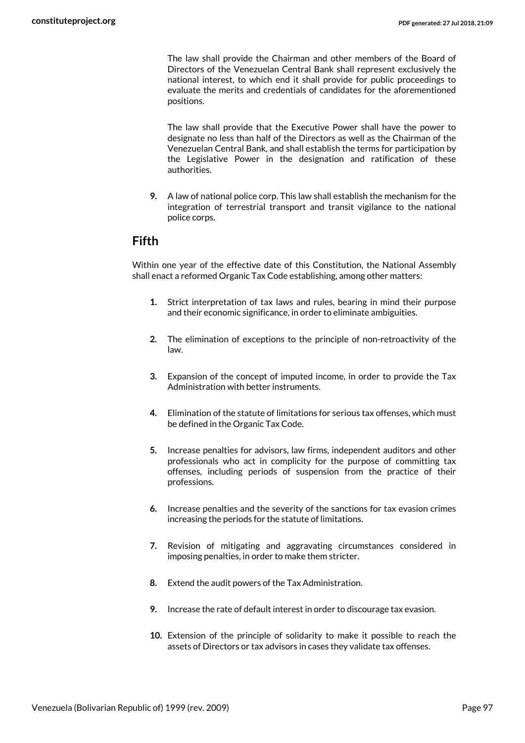The law shall provide the Chairman and other members of the Board of Directors of the Venezuelan Central Bank shall represent exclusively the national interest, to which end it shall provide for public proceedings to evaluate the merits and credentials of candidates for the aforementioned positions.

The law shall provide that the Executive Power shall have the power to designate no less than half of the Directors as well as the Chairman of the Venezuelan Central Bank, and shall establish the terms for participation by the Legislative Power in the designation and ratification of these authorities.

**9.** A law of national police corp. This law shall establish the mechanism for the integration of terrestrial transport and transit vigilance to the national police corps.

#### **Fifth**

Within one year of the effective date of this Constitution, the National Assembly shall enact a reformed Organic Tax Code establishing, among other matters:

- **1.** Strict interpretation of tax laws and rules, bearing in mind their purpose and their economic significance, in order to eliminate ambiguities.
- **2.** The elimination of exceptions to the principle of non-retroactivity of the law.
- **3.** Expansion of the concept of imputed income, in order to provide the Tax Administration with better instruments.
- **4.** Elimination of the statute of limitations for serious tax offenses, which must be defined in the Organic Tax Code.
- **5.** Increase penalties for advisors, law firms, independent auditors and other professionals who act in complicity for the purpose of committing tax offenses, including periods of suspension from the practice of their professions.
- **6.** Increase penalties and the severity of the sanctions for tax evasion crimes increasing the periods for the statute of limitations.
- **7.** Revision of mitigating and aggravating circumstances considered in imposing penalties, in order to make them stricter.
- **8.** Extend the audit powers of the Tax Administration.
- **9.** Increase the rate of default interest in order to discourage tax evasion.
- **10.** Extension of the principle of solidarity to make it possible to reach the assets of Directors or tax advisors in cases they validate tax offenses.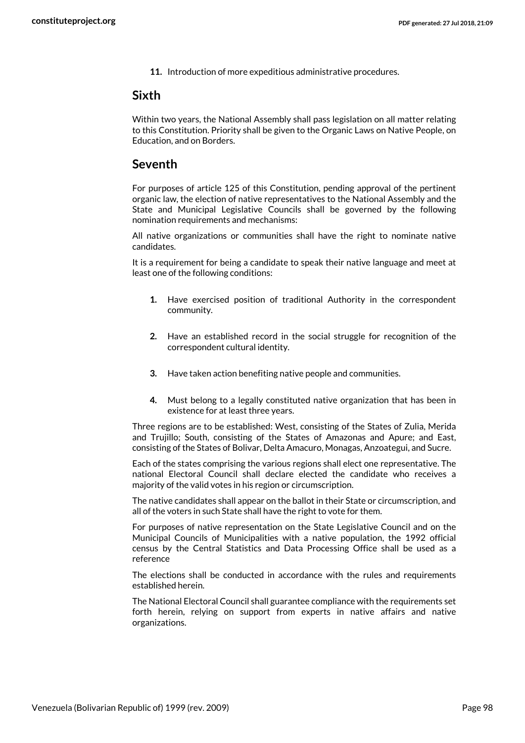**11.** Introduction of more expeditious administrative procedures.

#### **Sixth**

Within two years, the National Assembly shall pass legislation on all matter relating to this Constitution. Priority shall be given to the Organic Laws on Native People, on Education, and on Borders.

#### **Seventh**

For purposes of article 125 of this Constitution, pending approval of the pertinent organic law, the election of native representatives to the National Assembly and the State and Municipal Legislative Councils shall be governed by the following nomination requirements and mechanisms:

All native organizations or communities shall have the right to nominate native candidates.

It is a requirement for being a candidate to speak their native language and meet at least one of the following conditions:

- **1.** Have exercised position of traditional Authority in the correspondent community.
- **2.** Have an established record in the social struggle for recognition of the correspondent cultural identity.
- **3.** Have taken action benefiting native people and communities.
- **4.** Must belong to a legally constituted native organization that has been in existence for at least three years.

Three regions are to be established: West, consisting of the States of Zulia, Merida and Trujillo; South, consisting of the States of Amazonas and Apure; and East, consisting of the States of Bolivar, Delta Amacuro, Monagas, Anzoategui, and Sucre.

Each of the states comprising the various regions shall elect one representative. The national Electoral Council shall declare elected the candidate who receives a majority of the valid votes in his region or circumscription.

The native candidates shall appear on the ballot in their State or circumscription, and all of the voters in such State shall have the right to vote for them.

For purposes of native representation on the State Legislative Council and on the Municipal Councils of Municipalities with a native population, the 1992 official census by the Central Statistics and Data Processing Office shall be used as a reference

The elections shall be conducted in accordance with the rules and requirements established herein.

The National Electoral Council shall guarantee compliance with the requirements set forth herein, relying on support from experts in native affairs and native organizations.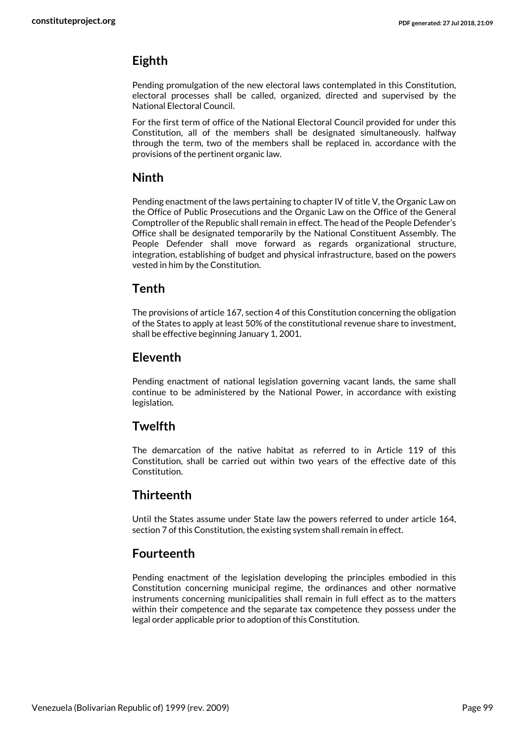## **Eighth**

Pending promulgation of the new electoral laws contemplated in this Constitution, electoral processes shall be called, organized, directed and supervised by the National Electoral Council.

For the first term of office of the National Electoral Council provided for under this Constitution, all of the members shall be designated simultaneously. halfway through the term, two of the members shall be replaced in. accordance with the provisions of the pertinent organic law.

#### **Ninth**

Pending enactment of the laws pertaining to chapter IV of title V, the Organic Law on the Office of Public Prosecutions and the Organic Law on the Office of the General Comptroller of the Republic shall remain in effect. The head of the People Defender's Office shall be designated temporarily by the National Constituent Assembly. The People Defender shall move forward as regards organizational structure, integration, establishing of budget and physical infrastructure, based on the powers vested in him by the Constitution.

### **Tenth**

The provisions of article 167, section 4 of this Constitution concerning the obligation of the States to apply at least 50% of the constitutional revenue share to investment, shall be effective beginning January 1, 2001.

### **Eleventh**

Pending enactment of national legislation governing vacant lands, the same shall continue to be administered by the National Power, in accordance with existing legislation.

### **Twelfth**

The demarcation of the native habitat as referred to in Article 119 of this Constitution, shall be carried out within two years of the effective date of this Constitution.

### **Thirteenth**

Until the States assume under State law the powers referred to under article 164, section 7 of this Constitution, the existing system shall remain in effect.

### **Fourteenth**

Pending enactment of the legislation developing the principles embodied in this Constitution concerning municipal regime, the ordinances and other normative instruments concerning municipalities shall remain in full effect as to the matters within their competence and the separate tax competence they possess under the legal order applicable prior to adoption of this Constitution.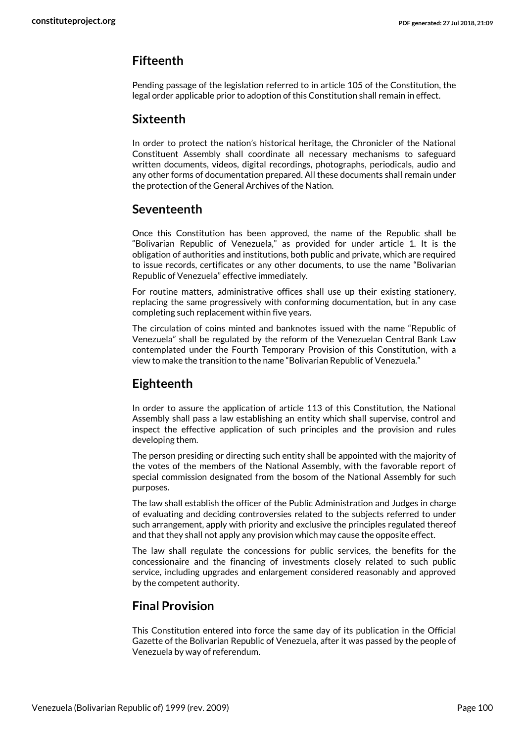## **Fifteenth**

Pending passage of the legislation referred to in article 105 of the Constitution, the legal order applicable prior to adoption of this Constitution shall remain in effect.

#### **Sixteenth**

In order to protect the nation's historical heritage, the Chronicler of the National Constituent Assembly shall coordinate all necessary mechanisms to safeguard written documents, videos, digital recordings, photographs, periodicals, audio and any other forms of documentation prepared. All these documents shall remain under the protection of the General Archives of the Nation.

### **Seventeenth**

Once this Constitution has been approved, the name of the Republic shall be "Bolivarian Republic of Venezuela," as provided for under article 1. It is the obligation of authorities and institutions, both public and private, which are required to issue records, certificates or any other documents, to use the name "Bolivarian Republic of Venezuela" effective immediately.

For routine matters, administrative offices shall use up their existing stationery, replacing the same progressively with conforming documentation, but in any case completing such replacement within five years.

The circulation of coins minted and banknotes issued with the name "Republic of Venezuela" shall be regulated by the reform of the Venezuelan Central Bank Law contemplated under the Fourth Temporary Provision of this Constitution, with a view to make the transition to the name "Bolivarian Republic of Venezuela."

## **Eighteenth**

In order to assure the application of article 113 of this Constitution, the National Assembly shall pass a law establishing an entity which shall supervise, control and inspect the effective application of such principles and the provision and rules developing them.

The person presiding or directing such entity shall be appointed with the majority of the votes of the members of the National Assembly, with the favorable report of special commission designated from the bosom of the National Assembly for such purposes.

The law shall establish the officer of the Public Administration and Judges in charge of evaluating and deciding controversies related to the subjects referred to under such arrangement, apply with priority and exclusive the principles regulated thereof and that they shall not apply any provision which may cause the opposite effect.

The law shall regulate the concessions for public services, the benefits for the concessionaire and the financing of investments closely related to such public service, including upgrades and enlargement considered reasonably and approved by the competent authority.

### **Final Provision**

This Constitution entered into force the same day of its publication in the Official Gazette of the Bolivarian Republic of Venezuela, after it was passed by the people of Venezuela by way of referendum.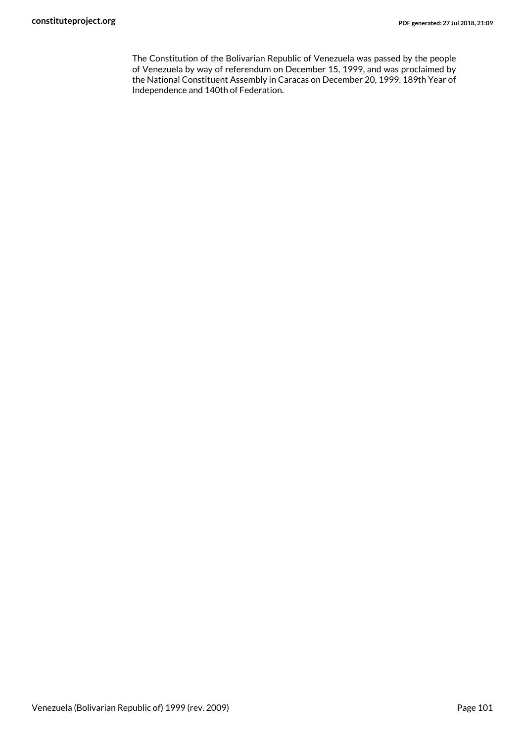The Constitution of the Bolivarian Republic of Venezuela was passed by the people of Venezuela by way of referendum on December 15, 1999, and was proclaimed by the National Constituent Assembly in Caracas on December 20, 1999. 189th Year of Independence and 140th of Federation.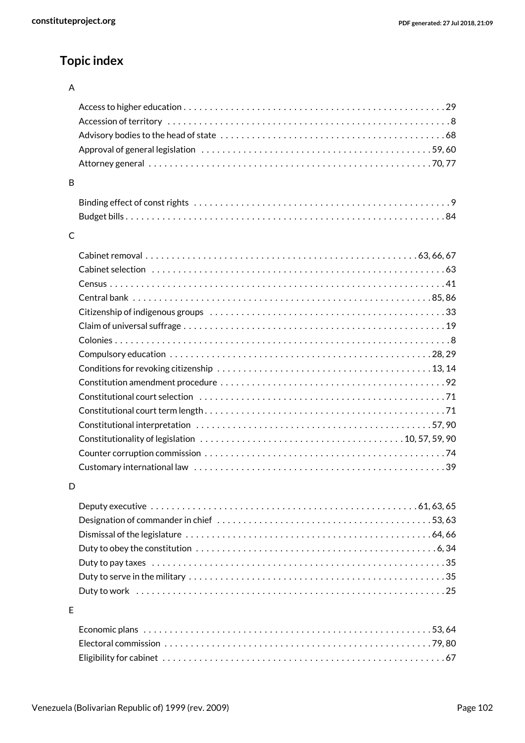# **Topic index**

#### A

| B |  |
|---|--|
|   |  |
|   |  |
|   |  |
| C |  |
|   |  |
|   |  |
|   |  |
|   |  |
|   |  |
|   |  |
|   |  |
|   |  |
|   |  |
|   |  |
|   |  |
|   |  |
|   |  |
|   |  |
|   |  |
|   |  |
| D |  |
|   |  |

| Deputy executive $\dots\dots\dots\dots\dots\dots\dots\dots\dots\dots\dots\dots\dots\dots\dots\dots\dots$ |  |
|----------------------------------------------------------------------------------------------------------|--|
|                                                                                                          |  |
|                                                                                                          |  |
|                                                                                                          |  |
|                                                                                                          |  |
|                                                                                                          |  |
|                                                                                                          |  |

#### E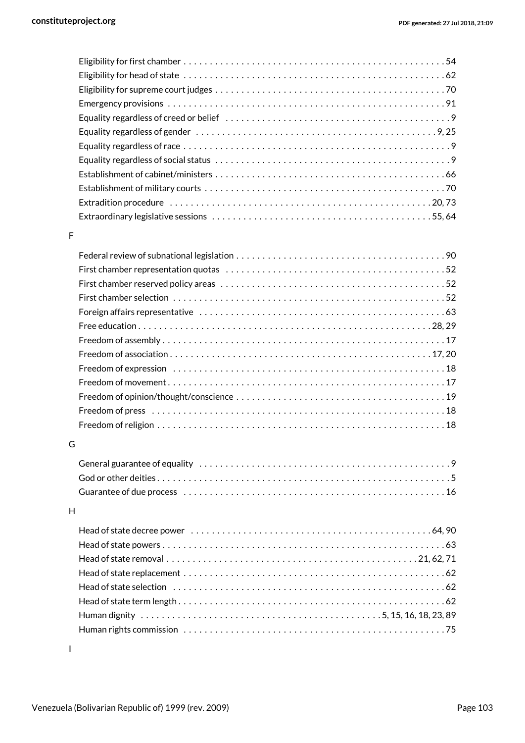| Equality regardless of gender $\dots\dots\dots\dots\dots\dots\dots\dots\dots\dots\dots\dots\dots\dots9,25$ |  |
|------------------------------------------------------------------------------------------------------------|--|
|                                                                                                            |  |
|                                                                                                            |  |
|                                                                                                            |  |
|                                                                                                            |  |
|                                                                                                            |  |
|                                                                                                            |  |
|                                                                                                            |  |
|                                                                                                            |  |

#### F

| G |  |
|---|--|
|   |  |
|   |  |
|   |  |
| H |  |
|   |  |
|   |  |
|   |  |
|   |  |
|   |  |
|   |  |
|   |  |
|   |  |

I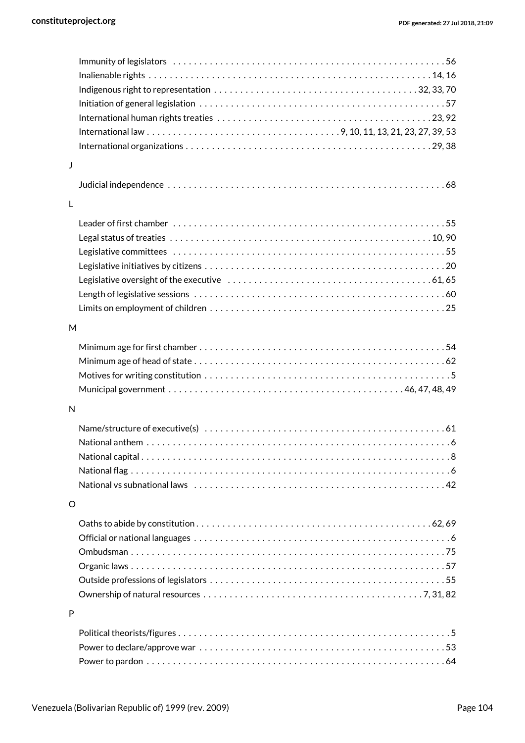| J |  |
|---|--|
|   |  |
|   |  |
| L |  |
|   |  |
|   |  |
|   |  |
|   |  |
|   |  |
|   |  |
|   |  |
| M |  |
|   |  |
|   |  |
|   |  |
|   |  |
|   |  |
| N |  |
|   |  |
|   |  |
|   |  |
|   |  |
|   |  |
| O |  |
|   |  |
|   |  |
|   |  |
|   |  |
|   |  |
|   |  |
|   |  |
| P |  |
|   |  |
|   |  |
|   |  |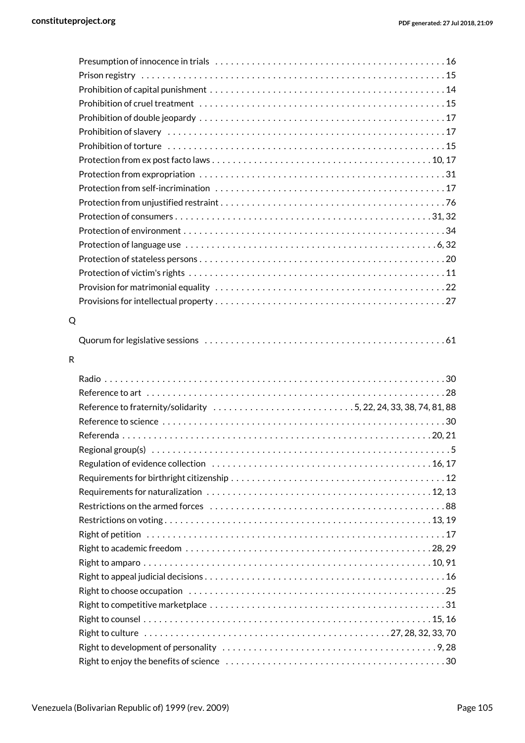|   | Protection of language use $\dots\dots\dots\dots\dots\dots\dots\dots\dots\dots\dots\dots\dots\dots\dots\dots$ |  |
|---|---------------------------------------------------------------------------------------------------------------|--|
|   |                                                                                                               |  |
|   |                                                                                                               |  |
|   |                                                                                                               |  |
|   |                                                                                                               |  |
| Q |                                                                                                               |  |
|   |                                                                                                               |  |
|   |                                                                                                               |  |
| R |                                                                                                               |  |
|   |                                                                                                               |  |
|   |                                                                                                               |  |
|   |                                                                                                               |  |
|   |                                                                                                               |  |
|   | Reference to fraternity/solidarity 5, 22, 24, 33, 38, 74, 81, 88                                              |  |
|   |                                                                                                               |  |
|   |                                                                                                               |  |
|   |                                                                                                               |  |
|   |                                                                                                               |  |
|   |                                                                                                               |  |
|   |                                                                                                               |  |
|   |                                                                                                               |  |
|   |                                                                                                               |  |
|   |                                                                                                               |  |
|   |                                                                                                               |  |
|   |                                                                                                               |  |
|   |                                                                                                               |  |
|   |                                                                                                               |  |
|   |                                                                                                               |  |
|   |                                                                                                               |  |
|   |                                                                                                               |  |
|   |                                                                                                               |  |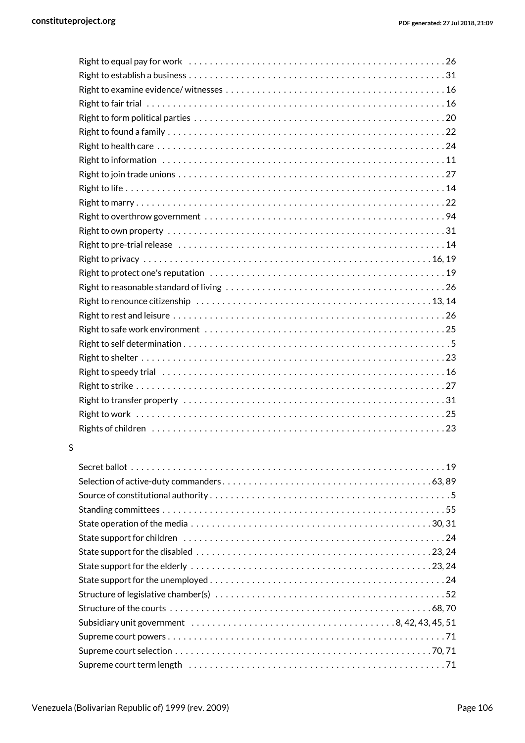| S |                                                                                                                |
|---|----------------------------------------------------------------------------------------------------------------|
|   |                                                                                                                |
|   |                                                                                                                |
|   |                                                                                                                |
|   |                                                                                                                |
|   |                                                                                                                |
|   |                                                                                                                |
|   |                                                                                                                |
|   |                                                                                                                |
|   |                                                                                                                |
|   |                                                                                                                |
|   |                                                                                                                |
|   |                                                                                                                |
|   |                                                                                                                |
|   |                                                                                                                |
|   |                                                                                                                |
|   | Supreme court term length (and the content of the content of the content of the court of the content of the co |